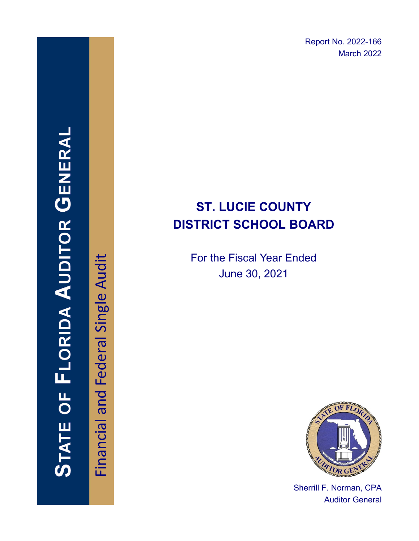Report No. 2022-166 March 2022

# STATE OF FLORIDA AUDITOR GENERAI

Financial and Federal Single Audit Financial and Federal Single Audit

# **ST. LUCIE COUNTY DISTRICT SCHOOL BOARD**

For the Fiscal Year Ended June 30, 2021



Sherrill F. Norman, CPA Auditor General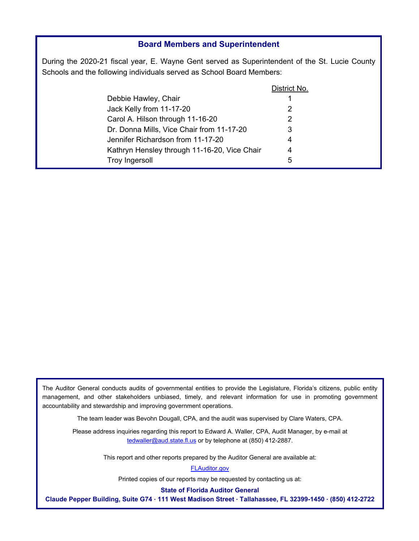# **Board Members and Superintendent**

During the 2020-21 fiscal year, E. Wayne Gent served as Superintendent of the St. Lucie County Schools and the following individuals served as School Board Members:

|                                              | District No. |
|----------------------------------------------|--------------|
| Debbie Hawley, Chair                         |              |
| Jack Kelly from 11-17-20                     | 2            |
| Carol A. Hilson through 11-16-20             | 2            |
| Dr. Donna Mills, Vice Chair from 11-17-20    | 3            |
| Jennifer Richardson from 11-17-20            | 4            |
| Kathryn Hensley through 11-16-20, Vice Chair | 4            |
| <b>Troy Ingersoll</b>                        | 5            |

The Auditor General conducts audits of governmental entities to provide the Legislature, Florida's citizens, public entity management, and other stakeholders unbiased, timely, and relevant information for use in promoting government accountability and stewardship and improving government operations.

The team leader was Bevohn Dougall, CPA, and the audit was supervised by Clare Waters, CPA.

Please address inquiries regarding this report to Edward A. Waller, CPA, Audit Manager, by e-mail at tedwaller@aud.state.fl.us or by telephone at (850) 412-2887.

This report and other reports prepared by the Auditor General are available at:

[FLAuditor.gov](http://flauditor.gov/)

Printed copies of our reports may be requested by contacting us at:

**State of Florida Auditor General** 

**Claude Pepper Building, Suite G74 · 111 West Madison Street · Tallahassee, FL 32399-1450 · (850) 412-2722**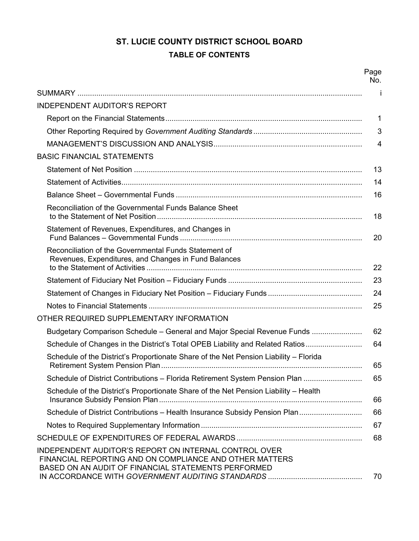# **ST. LUCIE COUNTY DISTRICT SCHOOL BOARD TABLE OF CONTENTS**

|                                                                                                                                                                         | Page<br>No.    |
|-------------------------------------------------------------------------------------------------------------------------------------------------------------------------|----------------|
|                                                                                                                                                                         | Ť              |
| <b>INDEPENDENT AUDITOR'S REPORT</b>                                                                                                                                     |                |
|                                                                                                                                                                         | 1              |
|                                                                                                                                                                         | 3              |
|                                                                                                                                                                         | $\overline{4}$ |
| <b>BASIC FINANCIAL STATEMENTS</b>                                                                                                                                       |                |
|                                                                                                                                                                         | 13             |
|                                                                                                                                                                         | 14             |
|                                                                                                                                                                         | 16             |
| Reconciliation of the Governmental Funds Balance Sheet                                                                                                                  | 18             |
| Statement of Revenues, Expenditures, and Changes in                                                                                                                     | 20             |
| Reconciliation of the Governmental Funds Statement of<br>Revenues, Expenditures, and Changes in Fund Balances                                                           | 22             |
|                                                                                                                                                                         | 23             |
|                                                                                                                                                                         | 24             |
|                                                                                                                                                                         | 25             |
| OTHER REQUIRED SUPPLEMENTARY INFORMATION                                                                                                                                |                |
| Budgetary Comparison Schedule – General and Major Special Revenue Funds                                                                                                 | 62             |
| Schedule of Changes in the District's Total OPEB Liability and Related Ratios                                                                                           | 64             |
| Schedule of the District's Proportionate Share of the Net Pension Liability – Florida                                                                                   | 65             |
| Schedule of District Contributions - Florida Retirement System Pension Plan                                                                                             | 65             |
| Schedule of the District's Proportionate Share of the Net Pension Liability - Health                                                                                    | 66             |
| Schedule of District Contributions - Health Insurance Subsidy Pension Plan                                                                                              | 66             |
|                                                                                                                                                                         | 67             |
|                                                                                                                                                                         | 68             |
| INDEPENDENT AUDITOR'S REPORT ON INTERNAL CONTROL OVER<br>FINANCIAL REPORTING AND ON COMPLIANCE AND OTHER MATTERS<br>BASED ON AN AUDIT OF FINANCIAL STATEMENTS PERFORMED | 70             |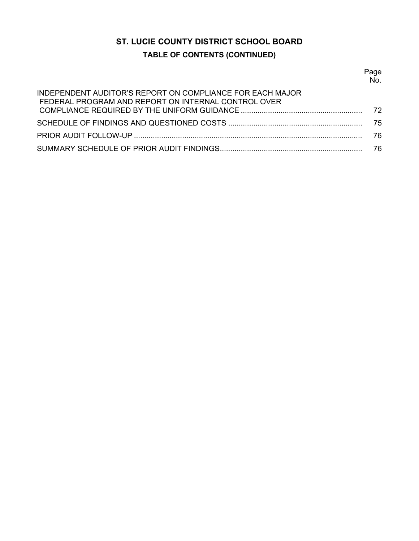# **ST. LUCIE COUNTY DISTRICT SCHOOL BOARD TABLE OF CONTENTS (CONTINUED)**

|                                                                                                                  | Page<br>No. |
|------------------------------------------------------------------------------------------------------------------|-------------|
| INDEPENDENT AUDITOR'S REPORT ON COMPLIANCE FOR EACH MAJOR<br>FEDERAL PROGRAM AND REPORT ON INTERNAL CONTROL OVER |             |
|                                                                                                                  | 72          |
|                                                                                                                  |             |
|                                                                                                                  | 76.         |
|                                                                                                                  | 76          |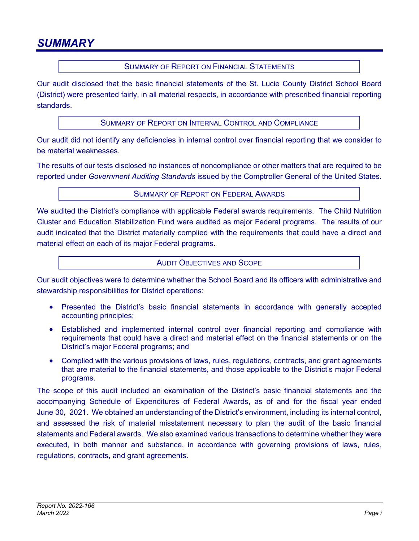# SUMMARY OF REPORT ON FINANCIAL STATEMENTS

<span id="page-4-0"></span>Our audit disclosed that the basic financial statements of the St. Lucie County District School Board (District) were presented fairly, in all material respects, in accordance with prescribed financial reporting standards.

SUMMARY OF REPORT ON INTERNAL CONTROL AND COMPLIANCE

Our audit did not identify any deficiencies in internal control over financial reporting that we consider to be material weaknesses.

The results of our tests disclosed no instances of noncompliance or other matters that are required to be reported under *Government Auditing Standards* issued by the Comptroller General of the United States*.* 

SUMMARY OF REPORT ON FEDERAL AWARDS

We audited the District's compliance with applicable Federal awards requirements. The Child Nutrition Cluster and Education Stabilization Fund were audited as major Federal programs. The results of our audit indicated that the District materially complied with the requirements that could have a direct and material effect on each of its major Federal programs.

# AUDIT OBJECTIVES AND SCOPE

Our audit objectives were to determine whether the School Board and its officers with administrative and stewardship responsibilities for District operations:

- Presented the District's basic financial statements in accordance with generally accepted accounting principles;
- Established and implemented internal control over financial reporting and compliance with requirements that could have a direct and material effect on the financial statements or on the District's major Federal programs; and
- Complied with the various provisions of laws, rules, regulations, contracts, and grant agreements that are material to the financial statements, and those applicable to the District's major Federal programs.

The scope of this audit included an examination of the District's basic financial statements and the accompanying Schedule of Expenditures of Federal Awards, as of and for the fiscal year ended June 30, 2021. We obtained an understanding of the District's environment, including its internal control, and assessed the risk of material misstatement necessary to plan the audit of the basic financial statements and Federal awards. We also examined various transactions to determine whether they were executed, in both manner and substance, in accordance with governing provisions of laws, rules, regulations, contracts, and grant agreements.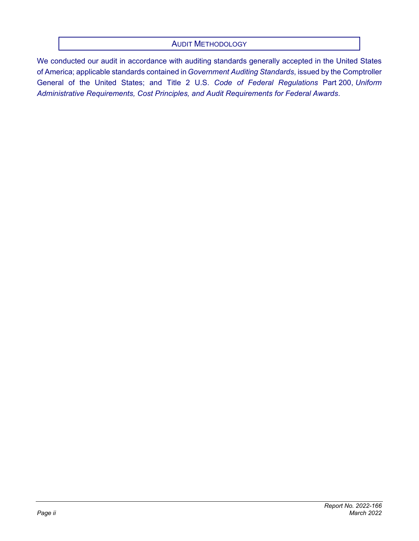# AUDIT METHODOLOGY

We conducted our audit in accordance with auditing standards generally accepted in the United States of America; applicable standards contained in *Government Auditing Standards*, issued by the Comptroller General of the United States; and Title 2 U.S. *Code of Federal Regulations* Part 200, *Uniform Administrative Requirements, Cost Principles, and Audit Requirements for Federal Awards*.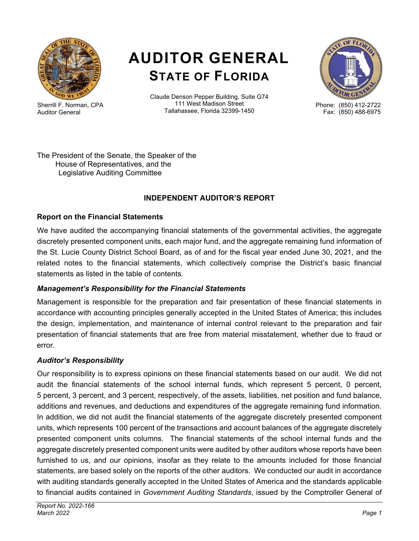<span id="page-6-0"></span>

Sherrill F. Norman, CPA Auditor General

# **AUDITOR GENERAL STATE OF FLORIDA**

Claude Denson Pepper Building, Suite G74 111 West Madison Street Tallahassee, Florida 32399-1450



Phone: (850) 412-2722 Fax: (850) 488-6975

The President of the Senate, the Speaker of the House of Representatives, and the Legislative Auditing Committee

# **INDEPENDENT AUDITOR'S REPORT**

# **Report on the Financial Statements**

We have audited the accompanying financial statements of the governmental activities, the aggregate discretely presented component units, each major fund, and the aggregate remaining fund information of the St. Lucie County District School Board, as of and for the fiscal year ended June 30, 2021, and the related notes to the financial statements, which collectively comprise the District's basic financial statements as listed in the table of contents.

# *Management's Responsibility for the Financial Statements*

Management is responsible for the preparation and fair presentation of these financial statements in accordance with accounting principles generally accepted in the United States of America; this includes the design, implementation, and maintenance of internal control relevant to the preparation and fair presentation of financial statements that are free from material misstatement, whether due to fraud or error.

# *Auditor's Responsibility*

Our responsibility is to express opinions on these financial statements based on our audit. We did not audit the financial statements of the school internal funds, which represent 5 percent, 0 percent, 5 percent, 3 percent, and 3 percent, respectively, of the assets, liabilities, net position and fund balance, additions and revenues, and deductions and expenditures of the aggregate remaining fund information. In addition, we did not audit the financial statements of the aggregate discretely presented component units, which represents 100 percent of the transactions and account balances of the aggregate discretely presented component units columns. The financial statements of the school internal funds and the aggregate discretely presented component units were audited by other auditors whose reports have been furnished to us, and our opinions, insofar as they relate to the amounts included for those financial statements, are based solely on the reports of the other auditors. We conducted our audit in accordance with auditing standards generally accepted in the United States of America and the standards applicable to financial audits contained in *Government Auditing Standards*, issued by the Comptroller General of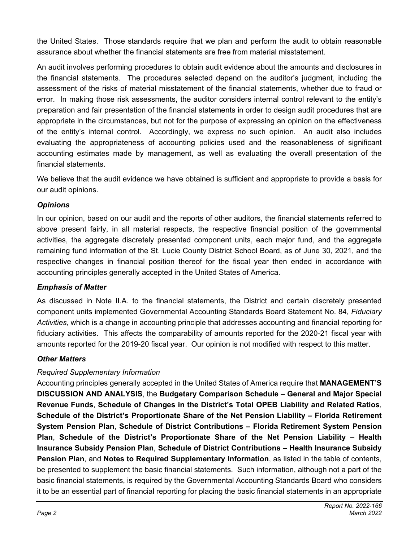the United States. Those standards require that we plan and perform the audit to obtain reasonable assurance about whether the financial statements are free from material misstatement.

An audit involves performing procedures to obtain audit evidence about the amounts and disclosures in the financial statements. The procedures selected depend on the auditor's judgment, including the assessment of the risks of material misstatement of the financial statements, whether due to fraud or error. In making those risk assessments, the auditor considers internal control relevant to the entity's preparation and fair presentation of the financial statements in order to design audit procedures that are appropriate in the circumstances, but not for the purpose of expressing an opinion on the effectiveness of the entity's internal control. Accordingly, we express no such opinion. An audit also includes evaluating the appropriateness of accounting policies used and the reasonableness of significant accounting estimates made by management, as well as evaluating the overall presentation of the financial statements.

We believe that the audit evidence we have obtained is sufficient and appropriate to provide a basis for our audit opinions.

# *Opinions*

In our opinion, based on our audit and the reports of other auditors, the financial statements referred to above present fairly, in all material respects, the respective financial position of the governmental activities, the aggregate discretely presented component units, each major fund, and the aggregate remaining fund information of the St. Lucie County District School Board, as of June 30, 2021, and the respective changes in financial position thereof for the fiscal year then ended in accordance with accounting principles generally accepted in the United States of America.

# *Emphasis of Matter*

As discussed in Note II.A. to the financial statements, the District and certain discretely presented component units implemented Governmental Accounting Standards Board Statement No. 84, *Fiduciary Activities*, which is a change in accounting principle that addresses accounting and financial reporting for fiduciary activities. This affects the comparability of amounts reported for the 2020-21 fiscal year with amounts reported for the 2019-20 fiscal year. Our opinion is not modified with respect to this matter.

# *Other Matters*

# *Required Supplementary Information*

Accounting principles generally accepted in the United States of America require that **MANAGEMENT'S DISCUSSION AND ANALYSIS**, the **Budgetary Comparison Schedule – General and Major Special Revenue Funds**, **Schedule of Changes in the District's Total OPEB Liability and Related Ratios**, **Schedule of the District's Proportionate Share of the Net Pension Liability – Florida Retirement System Pension Plan**, **Schedule of District Contributions – Florida Retirement System Pension Plan**, **Schedule of the District's Proportionate Share of the Net Pension Liability – Health Insurance Subsidy Pension Plan**, **Schedule of District Contributions – Health Insurance Subsidy Pension Plan**, and **Notes to Required Supplementary Information**, as listed in the table of contents, be presented to supplement the basic financial statements. Such information, although not a part of the basic financial statements, is required by the Governmental Accounting Standards Board who considers it to be an essential part of financial reporting for placing the basic financial statements in an appropriate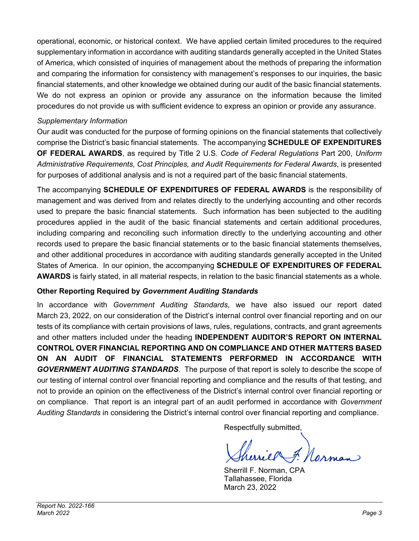<span id="page-8-0"></span>operational, economic, or historical context. We have applied certain limited procedures to the required supplementary information in accordance with auditing standards generally accepted in the United States of America, which consisted of inquiries of management about the methods of preparing the information and comparing the information for consistency with management's responses to our inquiries, the basic financial statements, and other knowledge we obtained during our audit of the basic financial statements. We do not express an opinion or provide any assurance on the information because the limited procedures do not provide us with sufficient evidence to express an opinion or provide any assurance.

# *Supplementary Information*

Our audit was conducted for the purpose of forming opinions on the financial statements that collectively comprise the District's basic financial statements. The accompanying **SCHEDULE OF EXPENDITURES OF FEDERAL AWARDS**, as required by Title 2 U.S. *Code of Federal Regulations* Part 200, *Uniform Administrative Requirements, Cost Principles, and Audit Requirements for Federal Awards*, is presented for purposes of additional analysis and is not a required part of the basic financial statements.

The accompanying **SCHEDULE OF EXPENDITURES OF FEDERAL AWARDS** is the responsibility of management and was derived from and relates directly to the underlying accounting and other records used to prepare the basic financial statements. Such information has been subjected to the auditing procedures applied in the audit of the basic financial statements and certain additional procedures, including comparing and reconciling such information directly to the underlying accounting and other records used to prepare the basic financial statements or to the basic financial statements themselves, and other additional procedures in accordance with auditing standards generally accepted in the United States of America. In our opinion, the accompanying **SCHEDULE OF EXPENDITURES OF FEDERAL AWARDS** is fairly stated, in all material respects, in relation to the basic financial statements as a whole.

# **Other Reporting Required by** *Government Auditing Standards*

In accordance with *Government Auditing Standards*, we have also issued our report dated March 23, 2022, on our consideration of the District's internal control over financial reporting and on our tests of its compliance with certain provisions of laws, rules, regulations, contracts, and grant agreements and other matters included under the heading **INDEPENDENT AUDITOR'S REPORT ON INTERNAL CONTROL OVER FINANCIAL REPORTING AND ON COMPLIANCE AND OTHER MATTERS BASED ON AN AUDIT OF FINANCIAL STATEMENTS PERFORMED IN ACCORDANCE WITH**  *GOVERNMENT AUDITING STANDARDS*. The purpose of that report is solely to describe the scope of our testing of internal control over financial reporting and compliance and the results of that testing, and not to provide an opinion on the effectiveness of the District's internal control over financial reporting or on compliance. That report is an integral part of an audit performed in accordance with *Government Auditing Standards* in considering the District's internal control over financial reporting and compliance.

Respectfully submitted,

Lorman

Sherrill F. Norman, CPA Tallahassee, Florida March 23, 2022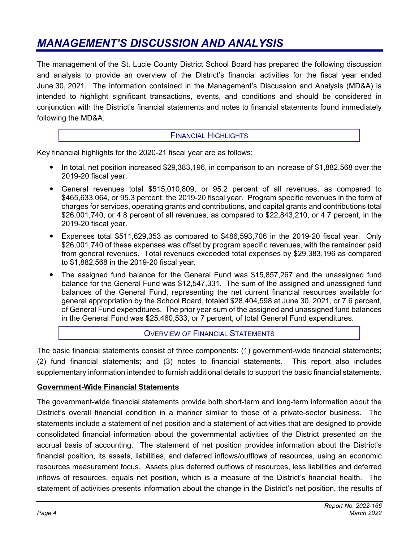# <span id="page-9-0"></span>*MANAGEMENT'S DISCUSSION AND ANALYSIS*

The management of the St. Lucie County District School Board has prepared the following discussion and analysis to provide an overview of the District's financial activities for the fiscal year ended June 30, 2021. The information contained in the Management's Discussion and Analysis (MD&A) is intended to highlight significant transactions, events, and conditions and should be considered in conjunction with the District's financial statements and notes to financial statements found immediately following the MD&A.

# FINANCIAL HIGHLIGHTS

Key financial highlights for the 2020-21 fiscal year are as follows:

- In total, net position increased \$29,383,196, in comparison to an increase of \$1,882,568 over the 2019-20 fiscal year.
- General revenues total \$515,010,809, or 95.2 percent of all revenues, as compared to \$465,633,064, or 95.3 percent, the 2019-20 fiscal year. Program specific revenues in the form of charges for services, operating grants and contributions, and capital grants and contributions total \$26,001,740, or 4.8 percent of all revenues, as compared to \$22,843,210, or 4.7 percent, in the 2019-20 fiscal year.
- Expenses total \$511,629,353 as compared to \$486,593,706 in the 2019-20 fiscal year. Only \$26,001,740 of these expenses was offset by program specific revenues, with the remainder paid from general revenues. Total revenues exceeded total expenses by \$29,383,196 as compared to \$1,882,568 in the 2019-20 fiscal year.
- The assigned fund balance for the General Fund was \$15,857,267 and the unassigned fund balance for the General Fund was \$12,547,331. The sum of the assigned and unassigned fund balances of the General Fund, representing the net current financial resources available for general appropriation by the School Board, totaled \$28,404,598 at June 30, 2021, or 7.6 percent, of General Fund expenditures. The prior year sum of the assigned and unassigned fund balances in the General Fund was \$25,460,533, or 7 percent, of total General Fund expenditures.

# OVERVIEW OF FINANCIAL STATEMENTS

The basic financial statements consist of three components: (1) government-wide financial statements; (2) fund financial statements; and (3) notes to financial statements. This report also includes supplementary information intended to furnish additional details to support the basic financial statements.

# **Government-Wide Financial Statements**

The government-wide financial statements provide both short-term and long-term information about the District's overall financial condition in a manner similar to those of a private-sector business. The statements include a statement of net position and a statement of activities that are designed to provide consolidated financial information about the governmental activities of the District presented on the accrual basis of accounting. The statement of net position provides information about the District's financial position, its assets, liabilities, and deferred inflows/outflows of resources, using an economic resources measurement focus. Assets plus deferred outflows of resources, less liabilities and deferred inflows of resources, equals net position, which is a measure of the District's financial health. The statement of activities presents information about the change in the District's net position, the results of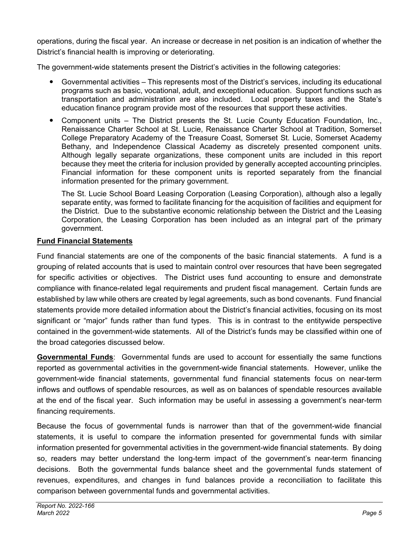operations, during the fiscal year. An increase or decrease in net position is an indication of whether the District's financial health is improving or deteriorating.

The government-wide statements present the District's activities in the following categories:

- Governmental activities This represents most of the District's services, including its educational programs such as basic, vocational, adult, and exceptional education. Support functions such as transportation and administration are also included. Local property taxes and the State's education finance program provide most of the resources that support these activities.
- Component units The District presents the St. Lucie County Education Foundation, Inc., Renaissance Charter School at St. Lucie, Renaissance Charter School at Tradition, Somerset College Preparatory Academy of the Treasure Coast, Somerset St. Lucie, Somerset Academy Bethany, and Independence Classical Academy as discretely presented component units. Although legally separate organizations, these component units are included in this report because they meet the criteria for inclusion provided by generally accepted accounting principles. Financial information for these component units is reported separately from the financial information presented for the primary government.

The St. Lucie School Board Leasing Corporation (Leasing Corporation), although also a legally separate entity, was formed to facilitate financing for the acquisition of facilities and equipment for the District. Due to the substantive economic relationship between the District and the Leasing Corporation, the Leasing Corporation has been included as an integral part of the primary government.

# **Fund Financial Statements**

Fund financial statements are one of the components of the basic financial statements. A fund is a grouping of related accounts that is used to maintain control over resources that have been segregated for specific activities or objectives. The District uses fund accounting to ensure and demonstrate compliance with finance-related legal requirements and prudent fiscal management. Certain funds are established by law while others are created by legal agreements, such as bond covenants. Fund financial statements provide more detailed information about the District's financial activities, focusing on its most significant or "major" funds rather than fund types. This is in contrast to the entitywide perspective contained in the government-wide statements. All of the District's funds may be classified within one of the broad categories discussed below.

**Governmental Funds**: Governmental funds are used to account for essentially the same functions reported as governmental activities in the government-wide financial statements. However, unlike the government-wide financial statements, governmental fund financial statements focus on near-term inflows and outflows of spendable resources, as well as on balances of spendable resources available at the end of the fiscal year. Such information may be useful in assessing a government's near-term financing requirements.

Because the focus of governmental funds is narrower than that of the government-wide financial statements, it is useful to compare the information presented for governmental funds with similar information presented for governmental activities in the government-wide financial statements. By doing so, readers may better understand the long-term impact of the government's near-term financing decisions. Both the governmental funds balance sheet and the governmental funds statement of revenues, expenditures, and changes in fund balances provide a reconciliation to facilitate this comparison between governmental funds and governmental activities.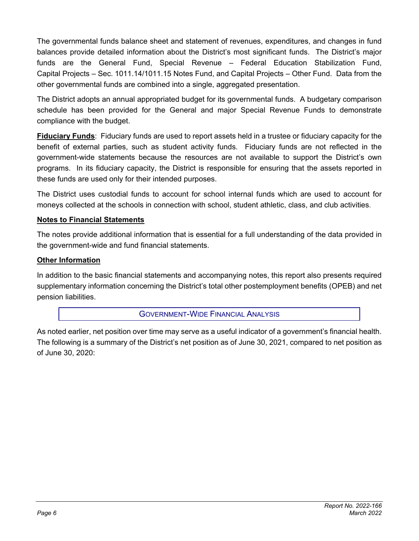The governmental funds balance sheet and statement of revenues, expenditures, and changes in fund balances provide detailed information about the District's most significant funds. The District's major funds are the General Fund, Special Revenue – Federal Education Stabilization Fund, Capital Projects – Sec. 1011.14/1011.15 Notes Fund, and Capital Projects – Other Fund. Data from the other governmental funds are combined into a single, aggregated presentation.

The District adopts an annual appropriated budget for its governmental funds. A budgetary comparison schedule has been provided for the General and major Special Revenue Funds to demonstrate compliance with the budget.

**Fiduciary Funds**: Fiduciary funds are used to report assets held in a trustee or fiduciary capacity for the benefit of external parties, such as student activity funds. Fiduciary funds are not reflected in the government-wide statements because the resources are not available to support the District's own programs. In its fiduciary capacity, the District is responsible for ensuring that the assets reported in these funds are used only for their intended purposes.

The District uses custodial funds to account for school internal funds which are used to account for moneys collected at the schools in connection with school, student athletic, class, and club activities.

# **Notes to Financial Statements**

The notes provide additional information that is essential for a full understanding of the data provided in the government-wide and fund financial statements.

# **Other Information**

In addition to the basic financial statements and accompanying notes, this report also presents required supplementary information concerning the District's total other postemployment benefits (OPEB) and net pension liabilities.

GOVERNMENT-WIDE FINANCIAL ANALYSIS

As noted earlier, net position over time may serve as a useful indicator of a government's financial health. The following is a summary of the District's net position as of June 30, 2021, compared to net position as of June 30, 2020: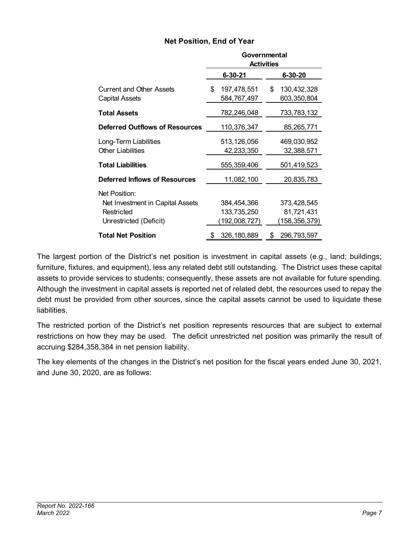|                                                                                           | Governmental<br><b>Activities</b>           |                                              |  |  |  |
|-------------------------------------------------------------------------------------------|---------------------------------------------|----------------------------------------------|--|--|--|
|                                                                                           | 6-30-21                                     | 6-30-20                                      |  |  |  |
| <b>Current and Other Assets</b><br><b>Capital Assets</b>                                  | \$<br>197,478,551<br>584,767,497            | \$<br>130,432,328<br>603,350,804             |  |  |  |
| <b>Total Assets</b>                                                                       | 782,246,048                                 | 733,783,132                                  |  |  |  |
| <b>Deferred Outflows of Resources</b>                                                     | 110,376,347                                 | 85,265,771                                   |  |  |  |
| Long-Term Liabilities<br><b>Other Liabilities</b>                                         | 513,126,056<br>42,233,350                   | 469,030,952<br>32,388,571                    |  |  |  |
| <b>Total Liabilities</b>                                                                  | 555,359,406                                 | 501,419,523                                  |  |  |  |
| Deferred Inflows of Resources                                                             | 11,082,100                                  | 20,835,783                                   |  |  |  |
| Net Position:<br>Net Investment in Capital Assets<br>Restricted<br>Unrestricted (Deficit) | 384,454,366<br>133,735,250<br>(192,008,727) | 373,428,545<br>81,721,431<br>(158, 356, 379) |  |  |  |
| <b>Total Net Position</b>                                                                 | 326, 180, 889<br>\$                         | 296,793,597<br>\$                            |  |  |  |

The largest portion of the District's net position is investment in capital assets (e.g., land; buildings; furniture, fixtures, and equipment), less any related debt still outstanding. The District uses these capital assets to provide services to students; consequently, these assets are not available for future spending. Although the investment in capital assets is reported net of related debt, the resources used to repay the debt must be provided from other sources, since the capital assets cannot be used to liquidate these liabilities.

The restricted portion of the District's net position represents resources that are subject to external restrictions on how they may be used. The deficit unrestricted net position was primarily the result of accruing \$284,358,384 in net pension liability.

The key elements of the changes in the District's net position for the fiscal years ended June 30, 2021, and June 30, 2020, are as follows: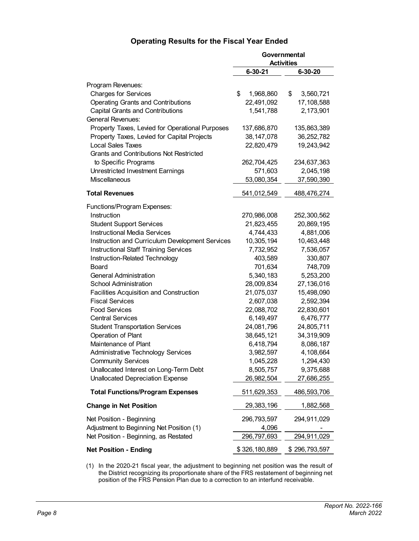# **Operating Results for the Fiscal Year Ended**

|                                                 | Governmental<br><b>Activities</b> |                 |  |  |  |
|-------------------------------------------------|-----------------------------------|-----------------|--|--|--|
|                                                 | $6 - 30 - 21$                     | $6 - 30 - 20$   |  |  |  |
| Program Revenues:                               |                                   |                 |  |  |  |
| <b>Charges for Services</b>                     | \$<br>1,968,860                   | \$<br>3,560,721 |  |  |  |
| <b>Operating Grants and Contributions</b>       | 22,491,092                        | 17,108,588      |  |  |  |
| Capital Grants and Contributions                | 1,541,788                         | 2,173,901       |  |  |  |
| <b>General Revenues:</b>                        |                                   |                 |  |  |  |
| Property Taxes, Levied for Operational Purposes | 137,686,870                       | 135,863,389     |  |  |  |
| Property Taxes, Levied for Capital Projects     | 38, 147, 078                      | 36,252,782      |  |  |  |
| <b>Local Sales Taxes</b>                        | 22,820,479                        | 19,243,942      |  |  |  |
| <b>Grants and Contributions Not Restricted</b>  |                                   |                 |  |  |  |
| to Specific Programs                            | 262,704,425                       | 234,637,363     |  |  |  |
| Unrestricted Investment Earnings                | 571,603                           | 2,045,198       |  |  |  |
| <b>Miscellaneous</b>                            | 53,080,354                        | 37,590,390      |  |  |  |
| <b>Total Revenues</b>                           | 541,012,549                       | 488,476,274     |  |  |  |
| Functions/Program Expenses:                     |                                   |                 |  |  |  |
| Instruction                                     | 270,986,008                       | 252,300,562     |  |  |  |
| <b>Student Support Services</b>                 | 21,823,455                        | 20,869,195      |  |  |  |
| <b>Instructional Media Services</b>             | 4,744,433                         | 4,881,006       |  |  |  |
| Instruction and Curriculum Development Services | 10,305,194                        | 10,463,448      |  |  |  |
| <b>Instructional Staff Training Services</b>    | 7,732,952                         | 7,536,057       |  |  |  |
| Instruction-Related Technology                  | 403,589                           | 330,807         |  |  |  |
| Board                                           | 701,634                           | 748,709         |  |  |  |
| <b>General Administration</b>                   | 5,340,183                         | 5,253,200       |  |  |  |
| <b>School Administration</b>                    | 28,009,834                        | 27,136,016      |  |  |  |
| <b>Facilities Acquisition and Construction</b>  | 21,075,037                        | 15,498,090      |  |  |  |
| <b>Fiscal Services</b>                          | 2,607,038                         | 2,592,394       |  |  |  |
| <b>Food Services</b>                            | 22,088,702                        | 22,830,601      |  |  |  |
| <b>Central Services</b>                         | 6,149,497                         | 6,476,777       |  |  |  |
| <b>Student Transportation Services</b>          | 24,081,796                        | 24,805,711      |  |  |  |
| Operation of Plant                              | 38,645,121                        | 34,319,909      |  |  |  |
| Maintenance of Plant                            | 6,418,794                         | 8,086,187       |  |  |  |
| <b>Administrative Technology Services</b>       | 3,982,597                         | 4,108,664       |  |  |  |
| <b>Community Services</b>                       | 1,045,228                         | 1,294,430       |  |  |  |
| Unallocated Interest on Long-Term Debt          | 8,505,757                         | 9,375,688       |  |  |  |
| <b>Unallocated Depreciation Expense</b>         | 26,982,504                        | 27,686,255      |  |  |  |
| <b>Total Functions/Program Expenses</b>         | 511,629,353                       | 486,593,706     |  |  |  |
| <b>Change in Net Position</b>                   | 29,383,196                        | 1,882,568       |  |  |  |
| Net Position - Beginning                        | 296,793,597                       | 294,911,029     |  |  |  |
| Adjustment to Beginning Net Position (1)        | 4,096                             |                 |  |  |  |
| Net Position - Beginning, as Restated           | 296,797,693                       | 294,911,029     |  |  |  |
| <b>Net Position - Ending</b>                    | \$326,180,889                     | \$296,793,597   |  |  |  |

(1) In the 2020-21 fiscal year, the adjustment to beginning net position was the result of the District recognizing its proportionate share of the FRS restatement of beginning net position of the FRS Pension Plan due to a correction to an interfund receivable.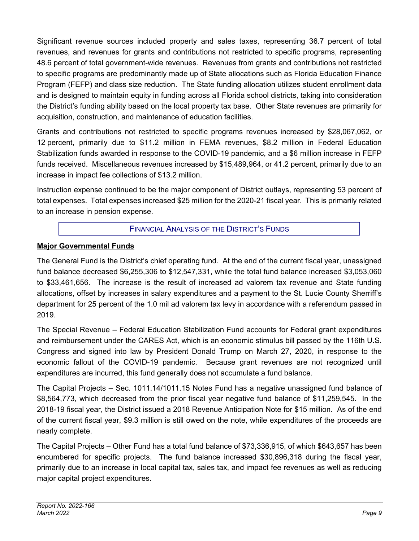Significant revenue sources included property and sales taxes, representing 36.7 percent of total revenues, and revenues for grants and contributions not restricted to specific programs, representing 48.6 percent of total government-wide revenues. Revenues from grants and contributions not restricted to specific programs are predominantly made up of State allocations such as Florida Education Finance Program (FEFP) and class size reduction. The State funding allocation utilizes student enrollment data and is designed to maintain equity in funding across all Florida school districts, taking into consideration the District's funding ability based on the local property tax base. Other State revenues are primarily for acquisition, construction, and maintenance of education facilities.

Grants and contributions not restricted to specific programs revenues increased by \$28,067,062, or 12 percent, primarily due to \$11.2 million in FEMA revenues, \$8.2 million in Federal Education Stabilization funds awarded in response to the COVID-19 pandemic, and a \$6 million increase in FEFP funds received. Miscellaneous revenues increased by \$15,489,964, or 41.2 percent, primarily due to an increase in impact fee collections of \$13.2 million.

Instruction expense continued to be the major component of District outlays, representing 53 percent of total expenses. Total expenses increased \$25 million for the 2020-21 fiscal year. This is primarily related to an increase in pension expense.

FINANCIAL ANALYSIS OF THE DISTRICT'S FUNDS

# **Major Governmental Funds**

The General Fund is the District's chief operating fund. At the end of the current fiscal year, unassigned fund balance decreased \$6,255,306 to \$12,547,331, while the total fund balance increased \$3,053,060 to \$33,461,656. The increase is the result of increased ad valorem tax revenue and State funding allocations, offset by increases in salary expenditures and a payment to the St. Lucie County Sherriff's department for 25 percent of the 1.0 mil ad valorem tax levy in accordance with a referendum passed in 2019.

The Special Revenue – Federal Education Stabilization Fund accounts for Federal grant expenditures and reimbursement under the CARES Act, which is an economic stimulus bill passed by the 116th U.S. Congress and signed into law by President Donald Trump on March 27, 2020, in response to the economic fallout of the COVID-19 pandemic. Because grant revenues are not recognized until expenditures are incurred, this fund generally does not accumulate a fund balance.

The Capital Projects – Sec. 1011.14/1011.15 Notes Fund has a negative unassigned fund balance of \$8,564,773, which decreased from the prior fiscal year negative fund balance of \$11,259,545. In the 2018-19 fiscal year, the District issued a 2018 Revenue Anticipation Note for \$15 million. As of the end of the current fiscal year, \$9.3 million is still owed on the note, while expenditures of the proceeds are nearly complete.

The Capital Projects – Other Fund has a total fund balance of \$73,336,915, of which \$643,657 has been encumbered for specific projects. The fund balance increased \$30,896,318 during the fiscal year, primarily due to an increase in local capital tax, sales tax, and impact fee revenues as well as reducing major capital project expenditures.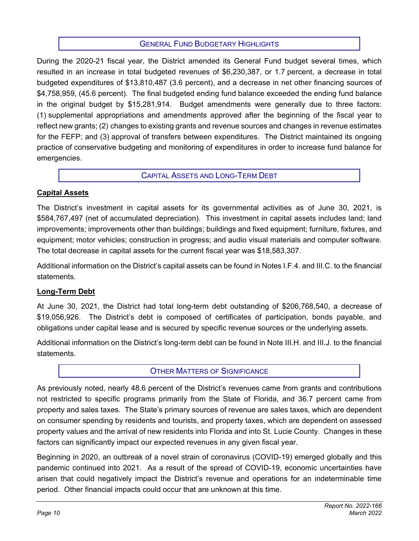# GENERAL FUND BUDGETARY HIGHLIGHTS

During the 2020-21 fiscal year, the District amended its General Fund budget several times, which resulted in an increase in total budgeted revenues of \$6,230,387, or 1.7 percent, a decrease in total budgeted expenditures of \$13,810,487 (3.6 percent), and a decrease in net other financing sources of \$4,758,959, (45.6 percent). The final budgeted ending fund balance exceeded the ending fund balance in the original budget by \$15,281,914. Budget amendments were generally due to three factors: (1) supplemental appropriations and amendments approved after the beginning of the fiscal year to reflect new grants; (2) changes to existing grants and revenue sources and changes in revenue estimates for the FEFP; and (3) approval of transfers between expenditures. The District maintained its ongoing practice of conservative budgeting and monitoring of expenditures in order to increase fund balance for emergencies.

# CAPITAL ASSETS AND LONG-TERM DEBT

# **Capital Assets**

The District's investment in capital assets for its governmental activities as of June 30, 2021, is \$584,767,497 (net of accumulated depreciation). This investment in capital assets includes land; land improvements; improvements other than buildings; buildings and fixed equipment; furniture, fixtures, and equipment; motor vehicles; construction in progress; and audio visual materials and computer software. The total decrease in capital assets for the current fiscal year was \$18,583,307.

Additional information on the District's capital assets can be found in Notes I.F.4. and III.C. to the financial statements.

# **Long-Term Debt**

At June 30, 2021, the District had total long-term debt outstanding of \$206,768,540, a decrease of \$19,056,926. The District's debt is composed of certificates of participation, bonds payable, and obligations under capital lease and is secured by specific revenue sources or the underlying assets.

Additional information on the District's long-term debt can be found in Note III.H. and III.J. to the financial statements.

# OTHER MATTERS OF SIGNIFICANCE

As previously noted, nearly 48.6 percent of the District's revenues came from grants and contributions not restricted to specific programs primarily from the State of Florida, and 36.7 percent came from property and sales taxes. The State's primary sources of revenue are sales taxes, which are dependent on consumer spending by residents and tourists, and property taxes, which are dependent on assessed property values and the arrival of new residents into Florida and into St. Lucie County. Changes in these factors can significantly impact our expected revenues in any given fiscal year.

Beginning in 2020, an outbreak of a novel strain of coronavirus (COVID-19) emerged globally and this pandemic continued into 2021. As a result of the spread of COVID-19, economic uncertainties have arisen that could negatively impact the District's revenue and operations for an indeterminable time period. Other financial impacts could occur that are unknown at this time.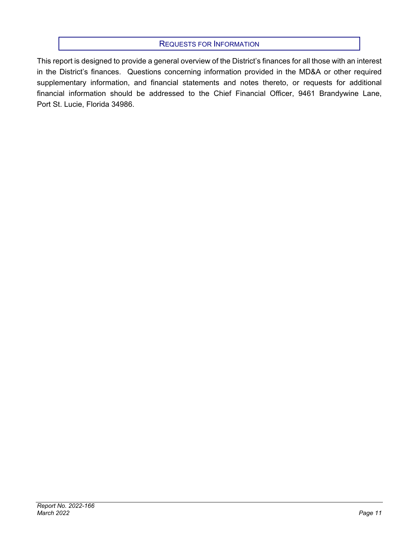# REQUESTS FOR INFORMATION

This report is designed to provide a general overview of the District's finances for all those with an interest in the District's finances. Questions concerning information provided in the MD&A or other required supplementary information, and financial statements and notes thereto, or requests for additional financial information should be addressed to the Chief Financial Officer, 9461 Brandywine Lane, Port St. Lucie, Florida 34986.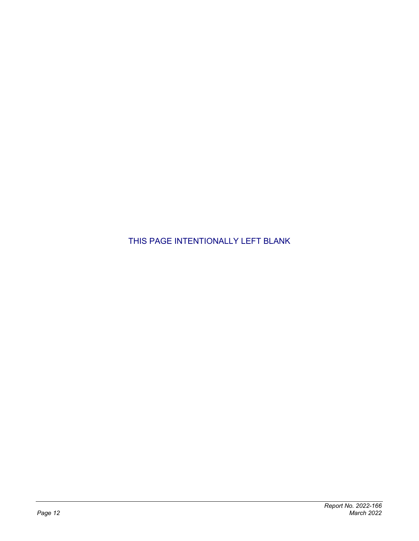THIS PAGE INTENTIONALLY LEFT BLANK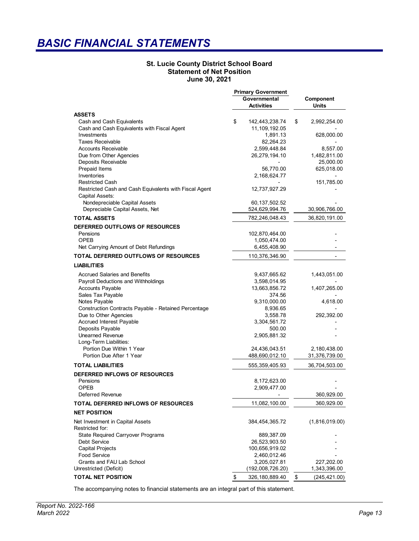# <span id="page-18-0"></span>*BASIC FINANCIAL STATEMENTS*

## **St. Lucie County District School Board Statement of Net Position June 30, 2021**

|                                                            | <b>Primary Government</b> |                          |
|------------------------------------------------------------|---------------------------|--------------------------|
|                                                            | Governmental              | Component                |
|                                                            | <b>Activities</b>         | <b>Units</b>             |
| <b>ASSETS</b>                                              |                           |                          |
| Cash and Cash Equivalents                                  | \$<br>142,443,238.74      | 2,992,254.00<br>\$       |
|                                                            |                           |                          |
| Cash and Cash Equivalents with Fiscal Agent<br>Investments | 11, 109, 192.05           |                          |
|                                                            | 1,891.13                  | 628,000.00               |
| <b>Taxes Receivable</b>                                    | 82,264.23                 |                          |
| <b>Accounts Receivable</b>                                 | 2,599,448.84              | 8,557.00                 |
| Due from Other Agencies                                    | 26,279,194.10             | 1,482,811.00             |
| Deposits Receivable                                        |                           | 25,000.00                |
| Prepaid Items                                              | 56,770.00                 | 625,018.00               |
| Inventories                                                | 2,168,624.77              |                          |
| <b>Restricted Cash</b>                                     |                           | 151,785.00               |
| Restricted Cash and Cash Equivalents with Fiscal Agent     | 12,737,927.29             |                          |
| Capital Assets:                                            |                           |                          |
| Nondepreciable Capital Assets                              | 60, 137, 502.52           |                          |
| Depreciable Capital Assets, Net                            | 524,629,994.76            | 30,906,766.00            |
|                                                            |                           |                          |
| <b>TOTAL ASSETS</b>                                        | 782,246,048.43            | 36,820,191.00            |
| DEFERRED OUTFLOWS OF RESOURCES                             |                           |                          |
| Pensions                                                   | 102,870,464.00            |                          |
| <b>OPEB</b>                                                | 1,050,474.00              |                          |
| Net Carrying Amount of Debt Refundings                     | 6,455,408.90              |                          |
|                                                            |                           |                          |
| TOTAL DEFERRED OUTFLOWS OF RESOURCES                       | 110,376,346.90            | $\overline{\phantom{0}}$ |
| <b>LIABILITIES</b>                                         |                           |                          |
| <b>Accrued Salaries and Benefits</b>                       | 9,437,665.62              | 1,443,051.00             |
| Payroll Deductions and Withholdings                        | 3,598,014.95              |                          |
| <b>Accounts Payable</b>                                    | 13,663,856.72             | 1,407,265.00             |
|                                                            |                           |                          |
| Sales Tax Payable                                          | 374.56                    |                          |
| Notes Payable                                              | 9,310,000.00              | 4,618.00                 |
| Construction Contracts Payable - Retained Percentage       | 8,936.65                  |                          |
| Due to Other Agencies                                      | 3,558.78                  | 292,392.00               |
| Accrued Interest Payable                                   | 3,304,561.72              |                          |
| Deposits Payable                                           | 500.00                    |                          |
| <b>Unearned Revenue</b>                                    | 2,905,881.32              |                          |
| Long-Term Liabilities:                                     |                           |                          |
| Portion Due Within 1 Year                                  | 24,436,043.51             | 2,180,438.00             |
| Portion Due After 1 Year                                   | 488,690,012.10            | 31,376,739.00            |
|                                                            |                           |                          |
| <b>TOTAL LIABILITIES</b>                                   | 555,359,405.93            | 36,704,503.00            |
| DEFERRED INFLOWS OF RESOURCES                              |                           |                          |
| Pensions                                                   | 8,172,623.00              |                          |
| <b>OPEB</b>                                                | 2,909,477.00              |                          |
| Deferred Revenue                                           |                           | 360,929.00               |
| TOTAL DEFERRED INFLOWS OF RESOURCES                        | 11,082,100.00             | 360,929.00               |
|                                                            |                           |                          |
| <b>NET POSITION</b>                                        |                           |                          |
| Net Investment in Capital Assets                           | 384,454,365.72            | (1,816,019.00)           |
| Restricted for:                                            |                           |                          |
| <b>State Required Carryover Programs</b>                   | 889,387.09                |                          |
| Debt Service                                               | 26,523,903.50             |                          |
| <b>Capital Projects</b>                                    | 100,656,919.02            |                          |
| <b>Food Service</b>                                        | 2,460,012.46              |                          |
| Grants and FAU Lab School                                  | 3,205,027.81              | 227,202.00               |
| Unrestricted (Deficit)                                     | (192,008,726.20)          | 1,343,396.00             |
|                                                            |                           |                          |
| TOTAL NET POSITION                                         | \$<br>326, 180, 889. 40   | \$<br>(245, 421.00)      |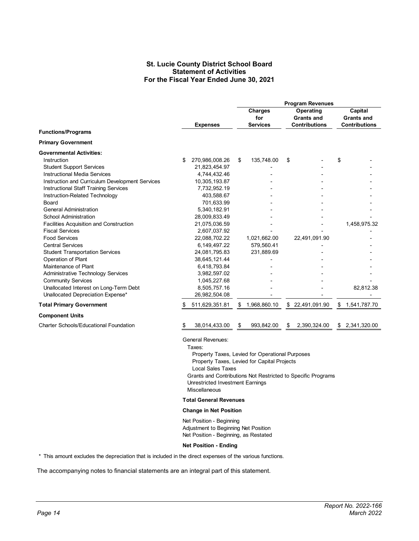# **St. Lucie County District School Board Statement of Activities For the Fiscal Year Ended June 30, 2021**

<span id="page-19-0"></span>

|                                                 |                      | <b>Program Revenues</b> |                       |    |                                |              |                              |
|-------------------------------------------------|----------------------|-------------------------|-----------------------|----|--------------------------------|--------------|------------------------------|
|                                                 |                      |                         | <b>Charges</b><br>for |    | Operating<br><b>Grants and</b> |              | Capital<br><b>Grants and</b> |
| <b>Functions/Programs</b>                       | <b>Expenses</b>      |                         | <b>Services</b>       |    | <b>Contributions</b>           |              | <b>Contributions</b>         |
|                                                 |                      |                         |                       |    |                                |              |                              |
| <b>Primary Government</b>                       |                      |                         |                       |    |                                |              |                              |
| <b>Governmental Activities:</b>                 |                      |                         |                       |    |                                |              |                              |
| Instruction                                     | \$<br>270,986,008.26 | \$                      | 135,748.00            | \$ |                                | \$           |                              |
| <b>Student Support Services</b>                 | 21,823,454.97        |                         |                       |    |                                |              |                              |
| <b>Instructional Media Services</b>             | 4,744,432.46         |                         |                       |    |                                |              |                              |
| Instruction and Curriculum Development Services | 10,305,193.87        |                         |                       |    |                                |              |                              |
| <b>Instructional Staff Training Services</b>    | 7,732,952.19         |                         |                       |    |                                |              |                              |
| Instruction-Related Technology                  | 403,588.67           |                         |                       |    |                                |              |                              |
| Board                                           | 701,633.99           |                         |                       |    |                                |              |                              |
| <b>General Administration</b>                   | 5,340,182.91         |                         |                       |    |                                |              |                              |
| <b>School Administration</b>                    | 28,009,833.49        |                         |                       |    |                                |              |                              |
| <b>Facilities Acquisition and Construction</b>  | 21,075,036.59        |                         |                       |    |                                |              | 1,458,975.32                 |
| <b>Fiscal Services</b>                          | 2,607,037.92         |                         |                       |    |                                |              |                              |
| <b>Food Services</b>                            | 22,088,702.22        |                         | 1,021,662.00          |    | 22,491,091.90                  |              |                              |
| <b>Central Services</b>                         | 6,149,497.22         |                         | 579,560.41            |    |                                |              |                              |
| <b>Student Transportation Services</b>          | 24,081,795.83        |                         | 231,889.69            |    |                                |              |                              |
| <b>Operation of Plant</b>                       | 38,645,121.44        |                         |                       |    |                                |              |                              |
| Maintenance of Plant                            | 6,418,793.84         |                         |                       |    |                                |              |                              |
| <b>Administrative Technology Services</b>       | 3,982,597.02         |                         |                       |    |                                |              |                              |
| <b>Community Services</b>                       | 1,045,227.68         |                         |                       |    |                                |              |                              |
| Unallocated Interest on Long-Term Debt          | 8,505,757.16         |                         |                       |    |                                |              | 82,812.38                    |
| Unallocated Depreciation Expense*               | 26,982,504.08        |                         |                       |    |                                |              |                              |
| <b>Total Primary Government</b>                 | 511,629,351.81       | \$                      | 1,968,860.10          |    | \$ 22,491,091.90               | $\mathbb{S}$ | 1,541,787.70                 |
| <b>Component Units</b>                          |                      |                         |                       |    |                                |              |                              |
| <b>Charter Schools/Educational Foundation</b>   | 38,014,433.00        | \$                      | 993,842.00            | S  | 2,390,324.00                   |              | \$2,341,320.00               |
|                                                 |                      |                         |                       |    |                                |              |                              |

General Revenues:

Taxes: Property Taxes, Levied for Operational Purposes Property Taxes, Levied for Capital Projects Local Sales Taxes Grants and Contributions Not Restricted to Specific Programs Unrestricted Investment Earnings **Miscellaneous** 

### **Total General Revenues**

### **Change in Net Position**

Net Position - Beginning Adjustment to Beginning Net Position Net Position - Beginning, as Restated

### **Net Position - Ending**

\* This amount excludes the depreciation that is included in the direct expenses of the various functions.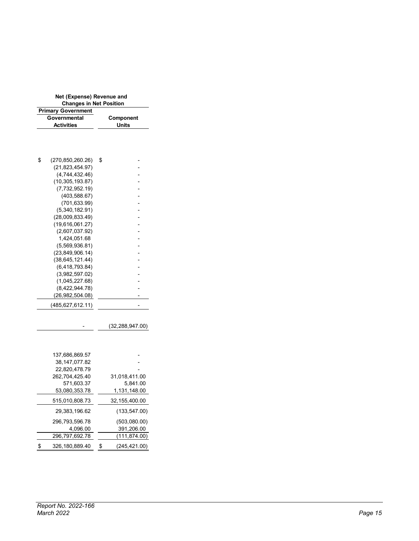| <b>Changes in Net Position</b> |    |                   |  |  |  |  |  |
|--------------------------------|----|-------------------|--|--|--|--|--|
| <b>Primary Government</b>      |    |                   |  |  |  |  |  |
| Governmental                   |    | Component         |  |  |  |  |  |
| <b>Activities</b>              |    | Units             |  |  |  |  |  |
|                                |    |                   |  |  |  |  |  |
|                                |    |                   |  |  |  |  |  |
|                                |    |                   |  |  |  |  |  |
|                                |    |                   |  |  |  |  |  |
| \$<br>(270,850,260.26)         | \$ |                   |  |  |  |  |  |
| (21, 823, 454.97)              |    |                   |  |  |  |  |  |
| (4,744,432.46)                 |    |                   |  |  |  |  |  |
| (10, 305, 193.87)              |    |                   |  |  |  |  |  |
| (7,732,952.19)                 |    |                   |  |  |  |  |  |
| (403, 588.67)                  |    |                   |  |  |  |  |  |
| (701, 633.99)                  |    |                   |  |  |  |  |  |
| (5,340,182.91)                 |    |                   |  |  |  |  |  |
| (28,009,833.49)                |    |                   |  |  |  |  |  |
| (19,616,061.27)                |    |                   |  |  |  |  |  |
| (2,607,037.92)                 |    |                   |  |  |  |  |  |
| 1,424,051.68                   |    |                   |  |  |  |  |  |
| (5,569,936.81)                 |    |                   |  |  |  |  |  |
| (23, 849, 906.14)              |    |                   |  |  |  |  |  |
| (38, 645, 121.44)              |    |                   |  |  |  |  |  |
| (6, 418, 793.84)               |    |                   |  |  |  |  |  |
| (3,982,597.02)                 |    |                   |  |  |  |  |  |
| (1,045,227.68)                 |    |                   |  |  |  |  |  |
| (8,422,944.78)                 |    |                   |  |  |  |  |  |
| (26,982,504.08)                |    |                   |  |  |  |  |  |
| (485,627,612.11)               |    |                   |  |  |  |  |  |
|                                |    |                   |  |  |  |  |  |
|                                |    |                   |  |  |  |  |  |
|                                |    | (32, 288, 947.00) |  |  |  |  |  |
|                                |    |                   |  |  |  |  |  |
|                                |    |                   |  |  |  |  |  |
| 137,686,869.57                 |    |                   |  |  |  |  |  |
| 38,147,077.82                  |    |                   |  |  |  |  |  |
| 22,820,478.79                  |    |                   |  |  |  |  |  |
| 262,704,425.40                 |    | 31,018,411.00     |  |  |  |  |  |
| 571,603.37                     |    | 5,841.00          |  |  |  |  |  |
| 53,080,353.78                  |    | 1,131,148.00      |  |  |  |  |  |
|                                |    |                   |  |  |  |  |  |
| 515,010,808.73                 |    | 32, 155, 400.00   |  |  |  |  |  |
| 29,383,196.62                  |    | (133,547.00)      |  |  |  |  |  |
| 296,793,596.78                 |    | (503,080.00)      |  |  |  |  |  |
| 4,096.00                       |    | 391,206.00        |  |  |  |  |  |
| 296,797,692.78                 |    | (111, 874.00)     |  |  |  |  |  |
| \$<br>326,180,889.40           | \$ | (245, 421.00)     |  |  |  |  |  |
|                                |    |                   |  |  |  |  |  |

**Net (Expense) Revenue and**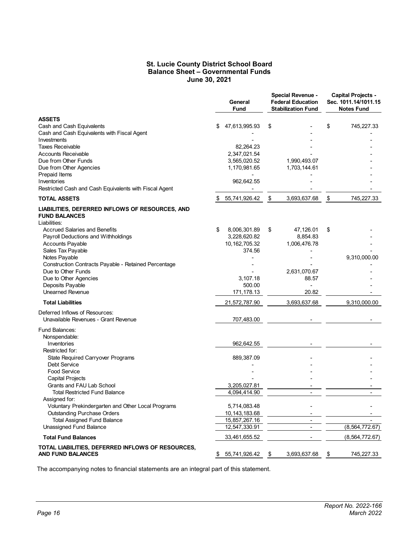# **St. Lucie County District School Board Balance Sheet – Governmental Funds June 30, 2021**

<span id="page-21-0"></span>

|                                                                               | General<br>Fund     |               | <b>Special Revenue -</b><br><b>Federal Education</b><br><b>Stabilization Fund</b> | <b>Capital Projects -</b><br>Sec. 1011.14/1011.15<br><b>Notes Fund</b> |                  |
|-------------------------------------------------------------------------------|---------------------|---------------|-----------------------------------------------------------------------------------|------------------------------------------------------------------------|------------------|
| <b>ASSETS</b>                                                                 |                     |               |                                                                                   |                                                                        |                  |
| Cash and Cash Equivalents                                                     | \$<br>47,613,995.93 | \$            |                                                                                   | \$                                                                     | 745,227.33       |
| Cash and Cash Equivalents with Fiscal Agent                                   |                     |               |                                                                                   |                                                                        |                  |
| Investments                                                                   |                     |               |                                                                                   |                                                                        |                  |
| <b>Taxes Receivable</b>                                                       | 82,264.23           |               |                                                                                   |                                                                        |                  |
| <b>Accounts Receivable</b>                                                    | 2,347,021.54        |               |                                                                                   |                                                                        |                  |
| Due from Other Funds                                                          | 3,565,020.52        |               | 1,990,493.07                                                                      |                                                                        |                  |
| Due from Other Agencies                                                       | 1,170,981.65        |               | 1,703,144.61                                                                      |                                                                        |                  |
| Prepaid Items<br>Inventories                                                  |                     |               |                                                                                   |                                                                        |                  |
| Restricted Cash and Cash Equivalents with Fiscal Agent                        | 962,642.55          |               |                                                                                   |                                                                        |                  |
| <b>TOTAL ASSETS</b>                                                           | \$<br>55,741,926.42 | $\frac{1}{2}$ | 3,693,637.68                                                                      | \$                                                                     | 745,227.33       |
| LIABILITIES, DEFERRED INFLOWS OF RESOURCES, AND                               |                     |               |                                                                                   |                                                                        |                  |
| <b>FUND BALANCES</b>                                                          |                     |               |                                                                                   |                                                                        |                  |
| Liabilities:                                                                  |                     |               |                                                                                   |                                                                        |                  |
| <b>Accrued Salaries and Benefits</b>                                          | \$<br>8,006,301.89  | \$            | 47,126.01                                                                         | \$                                                                     |                  |
| Payroll Deductions and Withholdings                                           | 3,228,620.82        |               | 8,854.83                                                                          |                                                                        |                  |
| Accounts Payable                                                              | 10, 162, 705.32     |               | 1,006,476.78                                                                      |                                                                        |                  |
| Sales Tax Payable                                                             | 374.56              |               |                                                                                   |                                                                        |                  |
| Notes Payable                                                                 |                     |               |                                                                                   |                                                                        | 9,310,000.00     |
| Construction Contracts Payable - Retained Percentage                          |                     |               |                                                                                   |                                                                        |                  |
| Due to Other Funds                                                            |                     |               | 2,631,070.67                                                                      |                                                                        |                  |
| Due to Other Agencies                                                         | 3,107.18            |               | 88.57                                                                             |                                                                        |                  |
| Deposits Payable                                                              | 500.00              |               |                                                                                   |                                                                        |                  |
| <b>Unearned Revenue</b>                                                       | 171, 178.13         |               | 20.82                                                                             |                                                                        |                  |
| <b>Total Liabilities</b>                                                      | 21,572,787.90       |               | 3,693,637.68                                                                      |                                                                        | 9,310,000.00     |
| Deferred Inflows of Resources:                                                |                     |               |                                                                                   |                                                                        |                  |
| Unavailable Revenues - Grant Revenue                                          | 707,483.00          |               |                                                                                   |                                                                        |                  |
| Fund Balances:                                                                |                     |               |                                                                                   |                                                                        |                  |
| Nonspendable:                                                                 |                     |               |                                                                                   |                                                                        |                  |
| Inventories                                                                   | 962,642.55          |               |                                                                                   |                                                                        |                  |
| Restricted for:<br>State Required Carryover Programs                          | 889,387.09          |               |                                                                                   |                                                                        |                  |
| Debt Service                                                                  |                     |               |                                                                                   |                                                                        |                  |
| <b>Food Service</b>                                                           |                     |               |                                                                                   |                                                                        |                  |
| <b>Capital Projects</b>                                                       |                     |               |                                                                                   |                                                                        |                  |
| Grants and FAU Lab School                                                     | 3,205,027.81        |               |                                                                                   |                                                                        |                  |
| <b>Total Restricted Fund Balance</b>                                          | 4,094,414.90        |               | ٠                                                                                 |                                                                        |                  |
| Assigned for:                                                                 |                     |               |                                                                                   |                                                                        |                  |
| Voluntary Prekindergarten and Other Local Programs                            | 5,714,083.48        |               |                                                                                   |                                                                        |                  |
| Outstanding Purchase Orders                                                   | 10, 143, 183.68     |               |                                                                                   |                                                                        |                  |
| <b>Total Assigned Fund Balance</b>                                            | 15,857,267.16       |               | $\blacksquare$                                                                    |                                                                        |                  |
| <b>Unassigned Fund Balance</b>                                                | 12,547,330.91       |               |                                                                                   |                                                                        | (8, 564, 772.67) |
| <b>Total Fund Balances</b>                                                    | 33,461,655.52       |               | $\overline{\phantom{0}}$                                                          |                                                                        | (8, 564, 772.67) |
| TOTAL LIABILITIES, DEFERRED INFLOWS OF RESOURCES,<br><b>AND FUND BALANCES</b> | \$ 55,741,926.42    | \$            | 3,693,637.68                                                                      | - \$                                                                   | 745,227.33       |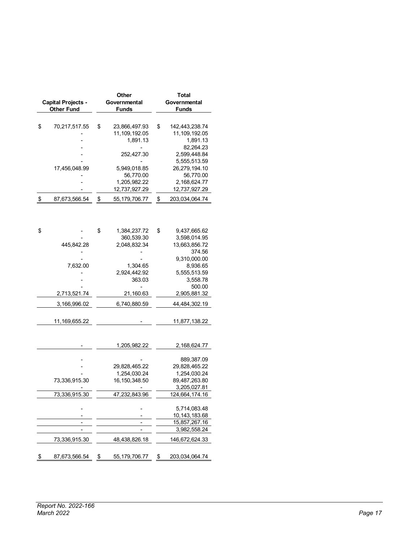|               | <b>Capital Projects -</b><br><b>Other Fund</b> | Other<br>Governmental<br>Funds   | Total<br>Governmental<br>Funds |                               |
|---------------|------------------------------------------------|----------------------------------|--------------------------------|-------------------------------|
|               |                                                |                                  |                                |                               |
| \$            | 70,217,517.55                                  | \$<br>23,866,497.93              | \$                             | 142,443,238.74                |
|               |                                                | 11,109,192.05                    |                                | 11,109,192.05                 |
|               |                                                | 1,891.13                         |                                | 1,891.13                      |
|               |                                                |                                  |                                | 82,264.23                     |
|               |                                                | 252,427.30                       |                                | 2,599,448.84                  |
|               |                                                |                                  |                                | 5,555,513.59                  |
|               | 17,456,048.99                                  | 5,949,018.85                     |                                | 26,279,194.10                 |
|               |                                                | 56,770.00                        |                                | 56,770.00                     |
|               |                                                | 1,205,982.22                     |                                | 2,168,624.77                  |
|               |                                                | 12,737,927.29                    |                                | 12,737,927.29                 |
| $\frac{1}{2}$ | 87,673,566.54                                  | \$<br>55, 179, 706. 77           | \$                             | 203,034,064.74                |
|               |                                                |                                  |                                |                               |
| \$            |                                                | \$<br>1,384,237.72<br>360,539.30 | \$                             | 9,437,665.62                  |
|               | 445,842.28                                     | 2,048,832.34                     |                                | 3,598,014.95<br>13,663,856.72 |
|               |                                                |                                  |                                | 374.56                        |
|               |                                                |                                  |                                | 9,310,000.00                  |
|               | 7,632.00                                       | 1,304.65                         |                                | 8,936.65                      |
|               |                                                | 2,924,442.92                     |                                | 5,555,513.59                  |
|               |                                                | 363.03                           |                                | 3,558.78                      |
|               |                                                |                                  |                                | 500.00                        |
|               | 2,713,521.74                                   | 21,160.63                        |                                | 2,905,881.32                  |
|               | 3,166,996.02                                   | 6,740,880.59                     |                                | 44,484,302.19                 |
|               | 11,169,655.22                                  |                                  |                                | 11,877,138.22                 |
|               |                                                |                                  |                                |                               |
|               |                                                | 1,205,982.22                     |                                | 2,168,624.77                  |
|               |                                                |                                  |                                | 889,387.09                    |
|               |                                                | 29,828,465.22                    |                                | 29,828,465.22                 |
|               |                                                | 1,254,030.24                     |                                | 1,254,030.24                  |
|               | 73,336,915.30                                  | 16, 150, 348.50                  |                                | 89,487,263.80                 |
|               |                                                |                                  |                                | 3,205,027.81                  |
|               | 73,336,915.30                                  | 47,232,843.96                    |                                | 124,664,174.16                |
|               |                                                |                                  |                                | 5,714,083.48                  |
|               |                                                |                                  |                                | 10,143,183.68                 |
|               |                                                |                                  |                                | 15,857,267.16                 |
|               |                                                |                                  |                                | 3,982,558.24                  |
|               | 73.336.915.30                                  | 48,438,826.18                    |                                | 146,672,624.33                |
| \$            | 87,673,566.54                                  | \$<br>55,179,706.77              | \$                             | 203,034,064.74                |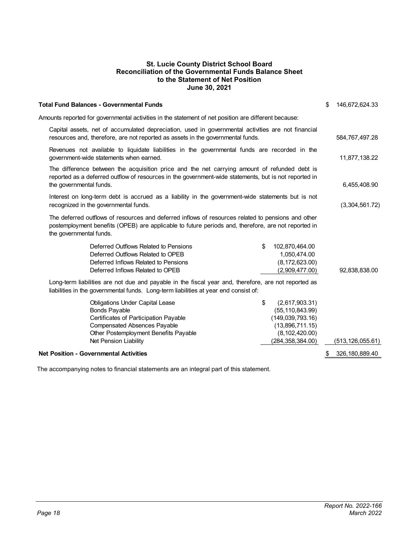# **St. Lucie County District School Board Reconciliation of the Governmental Funds Balance Sheet to the Statement of Net Position June 30, 2021**

<span id="page-23-0"></span>

| <b>Total Fund Balances - Governmental Funds</b>                                                                                                                                                                                      | \$                                                                                                                           | 146,672,624.33 |                    |
|--------------------------------------------------------------------------------------------------------------------------------------------------------------------------------------------------------------------------------------|------------------------------------------------------------------------------------------------------------------------------|----------------|--------------------|
| Amounts reported for governmental activities in the statement of net position are different because:                                                                                                                                 |                                                                                                                              |                |                    |
| Capital assets, net of accumulated depreciation, used in governmental activities are not financial<br>resources and, therefore, are not reported as assets in the governmental funds.                                                |                                                                                                                              | 584,767,497.28 |                    |
| Revenues not available to liquidate liabilities in the governmental funds are recorded in the<br>government-wide statements when earned.                                                                                             |                                                                                                                              |                | 11,877,138.22      |
| The difference between the acquisition price and the net carrying amount of refunded debt is<br>reported as a deferred outflow of resources in the government-wide statements, but is not reported in<br>the governmental funds.     |                                                                                                                              |                | 6,455,408.90       |
| Interest on long-term debt is accrued as a liability in the government-wide statements but is not<br>recognized in the governmental funds.                                                                                           |                                                                                                                              |                | (3,304,561.72)     |
| The deferred outflows of resources and deferred inflows of resources related to pensions and other<br>postemployment benefits (OPEB) are applicable to future periods and, therefore, are not reported in<br>the governmental funds. |                                                                                                                              |                |                    |
| Deferred Outflows Related to Pensions<br>Deferred Outflows Related to OPEB<br>Deferred Inflows Related to Pensions<br>Deferred Inflows Related to OPEB                                                                               | \$<br>102,870,464.00<br>1,050,474.00<br>(8, 172, 623.00)<br>(2,909,477.00)                                                   |                | 92,838,838.00      |
| Long-term liabilities are not due and payable in the fiscal year and, therefore, are not reported as<br>liabilities in the governmental funds. Long-term liabilities at year end consist of:                                         |                                                                                                                              |                |                    |
| <b>Obligations Under Capital Lease</b><br><b>Bonds Payable</b><br>Certificates of Participation Payable<br><b>Compensated Absences Payable</b><br>Other Postemployment Benefits Payable<br>Net Pension Liability                     | \$<br>(2,617,903.31)<br>(55, 110, 843.99)<br>(149, 039, 793.16)<br>(13,896,711.15)<br>(8, 102, 420.00)<br>(284, 358, 384.00) |                | (513, 126, 055.61) |
| <b>Net Position - Governmental Activities</b>                                                                                                                                                                                        |                                                                                                                              | P.             | 326, 180, 889. 40  |
|                                                                                                                                                                                                                                      |                                                                                                                              |                |                    |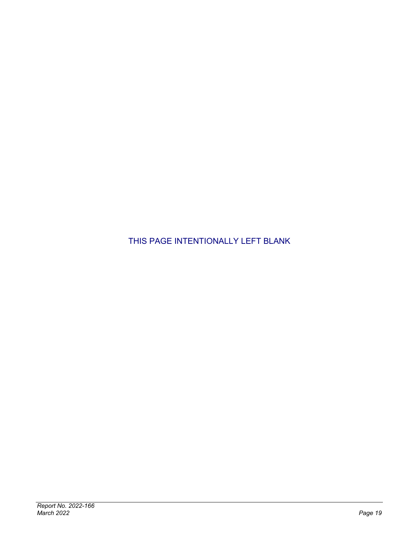THIS PAGE INTENTIONALLY LEFT BLANK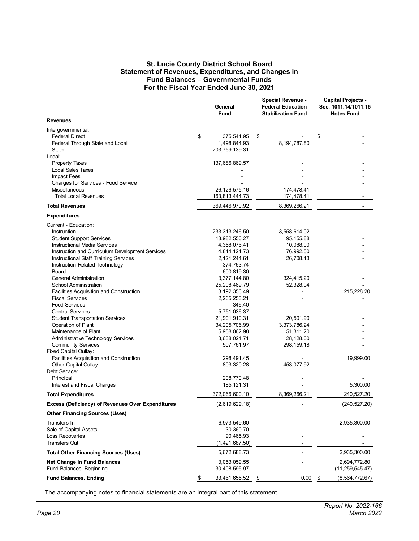# **St. Lucie County District School Board Statement of Revenues, Expenditures, and Changes in Fund Balances – Governmental Funds For the Fiscal Year Ended June 30, 2021**

<span id="page-25-0"></span>

|                                                                                                                            | General<br><b>Fund</b> |                                                          | <b>Special Revenue -</b><br><b>Federal Education</b><br><b>Stabilization Fund</b> | <b>Capital Projects -</b><br>Sec. 1011.14/1011.15<br><b>Notes Fund</b> |                                   |
|----------------------------------------------------------------------------------------------------------------------------|------------------------|----------------------------------------------------------|-----------------------------------------------------------------------------------|------------------------------------------------------------------------|-----------------------------------|
| <b>Revenues</b>                                                                                                            |                        |                                                          |                                                                                   |                                                                        |                                   |
| Intergovernmental:<br><b>Federal Direct</b><br>Federal Through State and Local<br>State<br>Local:                          | \$                     | 375,541.95<br>1,498,844.93<br>203,759,139.31             | \$<br>8, 194, 787.80                                                              | \$                                                                     |                                   |
| <b>Property Taxes</b><br><b>Local Sales Taxes</b><br><b>Impact Fees</b>                                                    |                        | 137,686,869.57                                           |                                                                                   |                                                                        |                                   |
| Charges for Services - Food Service<br>Miscellaneous<br><b>Total Local Revenues</b>                                        |                        | 26, 126, 575. 16<br>163,813,444.73                       | 174,478.41<br>174,478.41                                                          |                                                                        |                                   |
| <b>Total Revenues</b>                                                                                                      |                        | 369,446,970.92                                           | 8,369,266.21                                                                      |                                                                        |                                   |
| <b>Expenditures</b>                                                                                                        |                        |                                                          |                                                                                   |                                                                        |                                   |
| Current - Education:                                                                                                       |                        |                                                          |                                                                                   |                                                                        |                                   |
| Instruction<br><b>Student Support Services</b><br>Instructional Media Services                                             |                        | 233,313,246.50<br>18,982,550.27<br>4,358,076.41          | 3,558,614.02<br>95, 155.88<br>10,088.00                                           |                                                                        |                                   |
| Instruction and Curriculum Development Services<br>Instructional Staff Training Services<br>Instruction-Related Technology |                        | 4,814,121.73<br>2,121,244.61<br>374,763.74               | 76,992.50<br>26,708.13                                                            |                                                                        |                                   |
| Board<br>General Administration<br>School Administration                                                                   |                        | 600,819.30<br>3,377,144.80<br>25,208,469.79              | 324,415.20<br>52,328.04                                                           |                                                                        |                                   |
| Facilities Acquisition and Construction<br><b>Fiscal Services</b><br><b>Food Services</b>                                  |                        | 3, 192, 356.49<br>2,265,253.21<br>346.40                 |                                                                                   |                                                                        | 215,228.20                        |
| <b>Central Services</b><br><b>Student Transportation Services</b><br>Operation of Plant                                    |                        | 5,751,036.37<br>21,901,910.31<br>34,205,706.99           | 20,501.90<br>3,373,786.24                                                         |                                                                        |                                   |
| Maintenance of Plant<br>Administrative Technology Services<br><b>Community Services</b>                                    |                        | 5,958,062.98<br>3,638,024.71<br>507,761.97               | 51,311.20<br>28,128.00<br>298, 159. 18                                            |                                                                        |                                   |
| Fixed Capital Outlay:<br>Facilities Acquisition and Construction<br>Other Capital Outlay<br>Debt Service:                  |                        | 298,491.45<br>803,320.28                                 | 453,077.92                                                                        |                                                                        | 19,999.00                         |
| Principal<br>Interest and Fiscal Charges                                                                                   |                        | 208,770.48<br>185, 121.31                                |                                                                                   |                                                                        | 5,300.00                          |
| <b>Total Expenditures</b>                                                                                                  |                        | 372,066,600.10                                           | 8.369.266.21                                                                      |                                                                        | 240,527.20                        |
| Excess (Deficiency) of Revenues Over Expenditures                                                                          |                        | (2,619,629.18)                                           |                                                                                   |                                                                        | (240, 527.20)                     |
| <b>Other Financing Sources (Uses)</b>                                                                                      |                        |                                                          |                                                                                   |                                                                        |                                   |
| Transfers In<br>Sale of Capital Assets<br>Loss Recoveries<br><b>Transfers Out</b>                                          |                        | 6,973,549.60<br>30,360.70<br>90,465.93<br>(1,421,687.50) |                                                                                   |                                                                        | 2,935,300.00                      |
| <b>Total Other Financing Sources (Uses)</b>                                                                                |                        | 5,672,688.73                                             |                                                                                   |                                                                        | 2,935,300.00                      |
| <b>Net Change in Fund Balances</b><br>Fund Balances, Beginning                                                             |                        | 3,053,059.55<br>30,408,595.97                            |                                                                                   |                                                                        | 2,694,772.80<br>(11, 259, 545.47) |
| <b>Fund Balances, Ending</b>                                                                                               | \$                     | 33,461,655.52                                            | $0.00$ \$<br>\$                                                                   |                                                                        | (8, 564, 772.67)                  |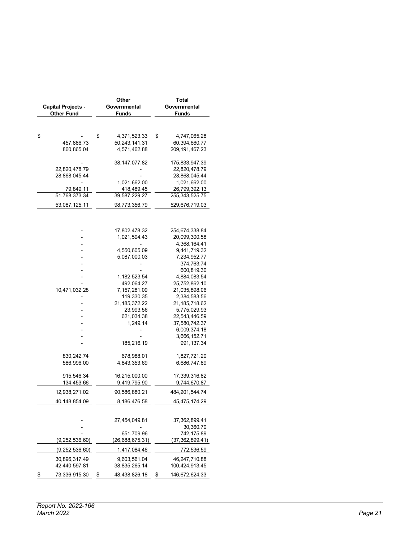| <b>Capital Projects -</b><br><b>Other Fund</b> | Other<br>Governmental<br><b>Funds</b> |           | Total<br>Governmental<br>Funds |
|------------------------------------------------|---------------------------------------|-----------|--------------------------------|
|                                                |                                       |           |                                |
| \$                                             | \$<br>4,371,523.33                    | \$        | 4,747,065.28                   |
| 457,886.73                                     | 50,243,141.31                         |           | 60,394,660.77                  |
| 860,865.04                                     | 4,571,462.88                          |           | 209, 191, 467.23               |
|                                                |                                       |           |                                |
|                                                | 38, 147, 077.82                       |           | 175,833,947.39                 |
| 22,820,478.79                                  |                                       |           | 22,820,478.79                  |
| 28,868,045.44                                  |                                       |           | 28,868,045.44                  |
|                                                | 1,021,662.00                          |           | 1,021,662.00                   |
| 79,849.11                                      | 418,489.45                            |           | 26,799,392.13                  |
| 51,768,373.34                                  | 39,587,229.27                         |           | 255, 343, 525. 75              |
| 53,087,125.11                                  | 98,773,356.79                         |           | 529,676,719.03                 |
|                                                |                                       |           |                                |
|                                                | 17,802,478.32                         |           | 254,674,338.84                 |
|                                                | 1,021,594.43                          |           | 20,099,300.58                  |
|                                                |                                       |           | 4,368,164.41                   |
|                                                | 4,550,605.09                          |           | 9,441,719.32                   |
|                                                | 5,087,000.03                          |           | 7,234,952.77                   |
|                                                |                                       |           | 374,763.74                     |
|                                                |                                       |           | 600,819.30                     |
|                                                | 1, 182, 523.54<br>492,064.27          |           | 4,884,083.54<br>25,752,862.10  |
| 10,471,032.28                                  | 7,157,281.09                          |           | 21,035,898.06                  |
|                                                | 119,330.35                            |           | 2,384,583.56                   |
|                                                | 21, 185, 372. 22                      |           | 21, 185, 718.62                |
|                                                | 23,993.56                             |           | 5,775,029.93                   |
|                                                | 621,034.38                            |           | 22,543,446.59                  |
|                                                | 1,249.14                              |           | 37,580,742.37                  |
|                                                |                                       |           | 6,009,374.18                   |
|                                                |                                       |           | 3,666,152.71                   |
|                                                | 185,216.19                            |           | 991, 137.34                    |
| 830,242.74                                     | 678,988.01                            |           | 1,827,721.20                   |
| 586,996.00                                     | 4,843,353.69                          |           | 6,686,747.89                   |
| 915,546.34                                     | 16,215,000.00                         |           | 17,339,316.82                  |
| 134,453.66                                     | 9,419,795.90                          |           | 9,744,670.87                   |
| 12,938,271.02                                  | 90,586,880.21                         |           | 484,201,544.74                 |
| 40,148,854.09                                  | <u>8,186,476.58</u>                   |           | 45,475,174.29                  |
|                                                |                                       |           |                                |
|                                                | 27,454,049.81                         |           | 37,362,899.41                  |
|                                                |                                       |           | 30,360.70                      |
|                                                | 651,709.96                            |           | 742, 175.89                    |
| (9,252,536.60)                                 | (26,688,675.31)                       |           | (37, 362, 899.41)              |
| (9,252,536.60)                                 | 1,417,084.46                          |           | 772,536.59                     |
| 30,896,317.49                                  | 9,603,561.04                          |           | 46,247,710.88                  |
| 42,440,597.81                                  | 38,835,265.14                         |           | 100,424,913.45                 |
| 73,336,915.30<br><u>\$</u>                     | \$<br>48,438,826.18                   | <u>\$</u> | 146,672,624.33                 |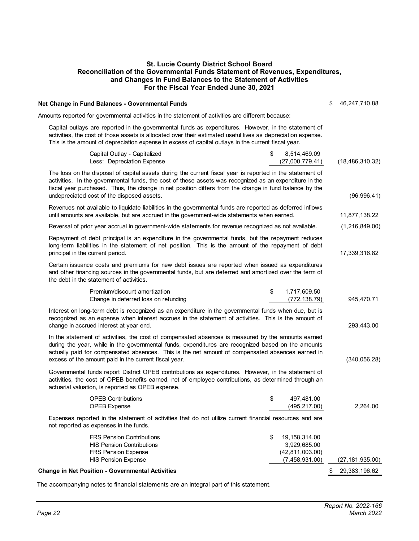# <span id="page-27-0"></span>**St. Lucie County District School Board Reconciliation of the Governmental Funds Statement of Revenues, Expenditures, and Changes in Fund Balances to the Statement of Activities For the Fiscal Year Ended June 30, 2021**

### **Net Change in Fund Balances - Governmental Funds 1996 1997 1998 1998 1998 1998 1998 1998 1999 1999 1999 1999 1999 1999 1999 1999 1999 1999 1999 1999 1999 1999 1999 1999 19**

Amounts reported for governmental activities in the statement of activities are different because:

Capital outlays are reported in the governmental funds as expenditures. However, in the statement of activities, the cost of those assets is allocated over their estimated useful lives as depreciation expense. This is the amount of depreciation expense in excess of capital outlays in the current fiscal year.

| Capital Outlay - Capitalized<br>Less: Depreciation Expense                                                                                                                                                                                                                                                                                                                   | \$ | 8,514,469.09<br>(27,000,779.41)                    |    | (18, 486, 310.32)                  |
|------------------------------------------------------------------------------------------------------------------------------------------------------------------------------------------------------------------------------------------------------------------------------------------------------------------------------------------------------------------------------|----|----------------------------------------------------|----|------------------------------------|
| The loss on the disposal of capital assets during the current fiscal year is reported in the statement of<br>activities. In the governmental funds, the cost of these assets was recognized as an expenditure in the<br>fiscal year purchased. Thus, the change in net position differs from the change in fund balance by the<br>undepreciated cost of the disposed assets. |    |                                                    |    | (96, 996.41)                       |
| Revenues not available to liquidate liabilities in the governmental funds are reported as deferred inflows<br>until amounts are available, but are accrued in the government-wide statements when earned.                                                                                                                                                                    |    |                                                    |    | 11,877,138.22                      |
| Reversal of prior year accrual in government-wide statements for revenue recognized as not available.                                                                                                                                                                                                                                                                        |    |                                                    |    | (1,216,849.00)                     |
| Repayment of debt principal is an expenditure in the governmental funds, but the repayment reduces<br>long-term liabilities in the statement of net position. This is the amount of the repayment of debt<br>principal in the current period.                                                                                                                                |    |                                                    |    | 17,339,316.82                      |
| Certain issuance costs and premiums for new debt issues are reported when issued as expenditures<br>and other financing sources in the governmental funds, but are deferred and amortized over the term of<br>the debt in the statement of activities.                                                                                                                       |    |                                                    |    |                                    |
| Premium/discount amortization<br>Change in deferred loss on refunding                                                                                                                                                                                                                                                                                                        | \$ | 1,717,609.50<br>(772,138.79)                       |    | 945,470.71                         |
| Interest on long-term debt is recognized as an expenditure in the governmental funds when due, but is<br>recognized as an expense when interest accrues in the statement of activities. This is the amount of<br>change in accrued interest at year end.                                                                                                                     |    |                                                    |    | 293,443.00                         |
| In the statement of activities, the cost of compensated absences is measured by the amounts earned<br>during the year, while in the governmental funds, expenditures are recognized based on the amounts<br>actually paid for compensated absences. This is the net amount of compensated absences earned in<br>excess of the amount paid in the current fiscal year.        |    |                                                    |    | (340, 056.28)                      |
| Governmental funds report District OPEB contributions as expenditures. However, in the statement of<br>activities, the cost of OPEB benefits earned, net of employee contributions, as determined through an<br>actuarial valuation, is reported as OPEB expense.                                                                                                            |    |                                                    |    |                                    |
| <b>OPEB Contributions</b><br><b>OPEB Expense</b>                                                                                                                                                                                                                                                                                                                             | \$ | 497,481.00<br>(495, 217.00)                        |    | 2.264.00                           |
| Expenses reported in the statement of activities that do not utilize current financial resources and are<br>not reported as expenses in the funds.                                                                                                                                                                                                                           |    |                                                    |    |                                    |
| <b>FRS Pension Contributions</b><br><b>HIS Pension Contributions</b><br><b>FRS Pension Expense</b>                                                                                                                                                                                                                                                                           | \$ | 19,158,314.00<br>3,929,685.00<br>(42, 811, 003.00) |    |                                    |
| <b>HIS Pension Expense</b><br><b>Change in Net Position - Governmental Activities</b>                                                                                                                                                                                                                                                                                        |    | (7,458,931.00)                                     | \$ | (27, 181, 935.00)<br>29,383,196.62 |
|                                                                                                                                                                                                                                                                                                                                                                              |    |                                                    |    |                                    |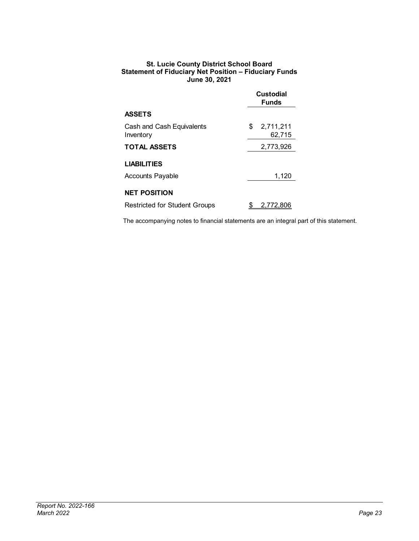# <span id="page-28-0"></span>**St. Lucie County District School Board Statement of Fiduciary Net Position – Fiduciary Funds June 30, 2021**

|                                        | <b>Custodial</b><br><b>Funds</b> |                     |  |  |
|----------------------------------------|----------------------------------|---------------------|--|--|
| <b>ASSETS</b>                          |                                  |                     |  |  |
| Cash and Cash Equivalents<br>Inventory | \$                               | 2,711,211<br>62,715 |  |  |
| <b>TOTAL ASSETS</b>                    |                                  | 2,773,926           |  |  |
| <b>LIABILITIES</b>                     |                                  |                     |  |  |
| Accounts Payable                       |                                  | 1,120               |  |  |
| <b>NET POSITION</b>                    |                                  |                     |  |  |
| Restricted for Student Groups          |                                  | 2.772.806           |  |  |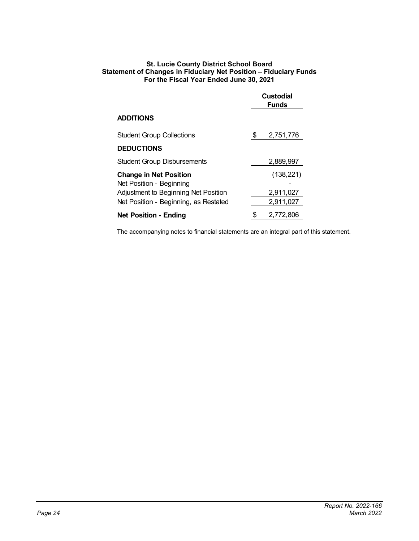# <span id="page-29-0"></span>**St. Lucie County District School Board Statement of Changes in Fiduciary Net Position – Fiduciary Funds For the Fiscal Year Ended June 30, 2021**

|                                                           | <b>Custodial</b><br><b>Funds</b> |            |
|-----------------------------------------------------------|----------------------------------|------------|
| <b>ADDITIONS</b>                                          |                                  |            |
| <b>Student Group Collections</b>                          | \$                               | 2,751,776  |
| <b>DEDUCTIONS</b>                                         |                                  |            |
| <b>Student Group Disbursements</b>                        |                                  | 2,889,997  |
| <b>Change in Net Position</b><br>Net Position - Beginning |                                  | (138, 221) |
| Adjustment to Beginning Net Position                      |                                  | 2,911,027  |
| Net Position - Beginning, as Restated                     |                                  | 2,911,027  |
| <b>Net Position - Ending</b>                              |                                  | 2.772.806  |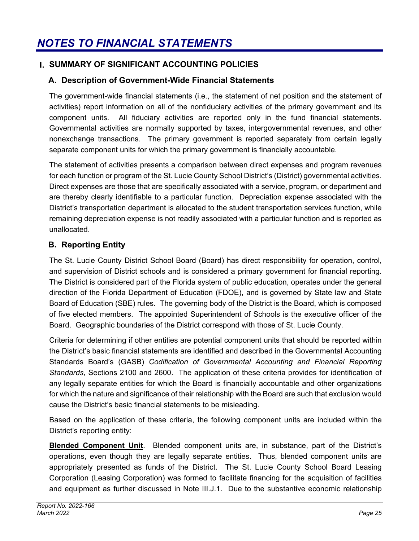# <span id="page-30-0"></span> **SUMMARY OF SIGNIFICANT ACCOUNTING POLICIES**

# **A. Description of Government-Wide Financial Statements**

The government-wide financial statements (i.e., the statement of net position and the statement of activities) report information on all of the nonfiduciary activities of the primary government and its component units. All fiduciary activities are reported only in the fund financial statements. Governmental activities are normally supported by taxes, intergovernmental revenues, and other nonexchange transactions. The primary government is reported separately from certain legally separate component units for which the primary government is financially accountable.

The statement of activities presents a comparison between direct expenses and program revenues for each function or program of the St. Lucie County School District's (District) governmental activities. Direct expenses are those that are specifically associated with a service, program, or department and are thereby clearly identifiable to a particular function. Depreciation expense associated with the District's transportation department is allocated to the student transportation services function, while remaining depreciation expense is not readily associated with a particular function and is reported as unallocated.

# **B. Reporting Entity**

The St. Lucie County District School Board (Board) has direct responsibility for operation, control, and supervision of District schools and is considered a primary government for financial reporting. The District is considered part of the Florida system of public education, operates under the general direction of the Florida Department of Education (FDOE), and is governed by State law and State Board of Education (SBE) rules. The governing body of the District is the Board, which is composed of five elected members. The appointed Superintendent of Schools is the executive officer of the Board. Geographic boundaries of the District correspond with those of St. Lucie County.

Criteria for determining if other entities are potential component units that should be reported within the District's basic financial statements are identified and described in the Governmental Accounting Standards Board's (GASB) *Codification of Governmental Accounting and Financial Reporting Standards*, Sections 2100 and 2600. The application of these criteria provides for identification of any legally separate entities for which the Board is financially accountable and other organizations for which the nature and significance of their relationship with the Board are such that exclusion would cause the District's basic financial statements to be misleading.

Based on the application of these criteria, the following component units are included within the District's reporting entity:

**Blended Component Unit**. Blended component units are, in substance, part of the District's operations, even though they are legally separate entities. Thus, blended component units are appropriately presented as funds of the District. The St. Lucie County School Board Leasing Corporation (Leasing Corporation) was formed to facilitate financing for the acquisition of facilities and equipment as further discussed in Note III.J.1. Due to the substantive economic relationship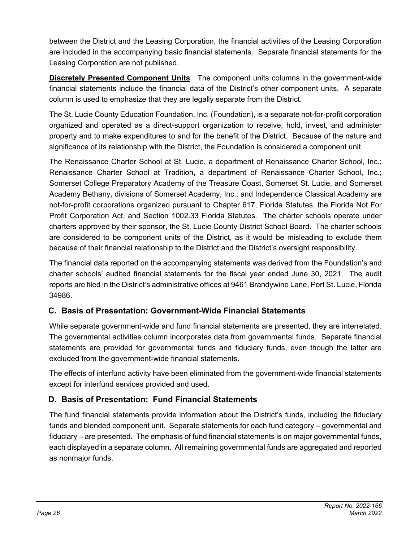between the District and the Leasing Corporation, the financial activities of the Leasing Corporation are included in the accompanying basic financial statements. Separate financial statements for the Leasing Corporation are not published.

**Discretely Presented Component Units**. The component units columns in the government-wide financial statements include the financial data of the District's other component units. A separate column is used to emphasize that they are legally separate from the District.

The St. Lucie County Education Foundation, Inc. (Foundation), is a separate not-for-profit corporation organized and operated as a direct-support organization to receive, hold, invest, and administer property and to make expenditures to and for the benefit of the District. Because of the nature and significance of its relationship with the District, the Foundation is considered a component unit.

The Renaissance Charter School at St. Lucie, a department of Renaissance Charter School, Inc.; Renaissance Charter School at Tradition, a department of Renaissance Charter School, Inc.; Somerset College Preparatory Academy of the Treasure Coast, Somerset St. Lucie, and Somerset Academy Bethany, divisions of Somerset Academy, Inc.; and Independence Classical Academy are not-for-profit corporations organized pursuant to Chapter 617, Florida Statutes, the Florida Not For Profit Corporation Act, and Section 1002.33 Florida Statutes. The charter schools operate under charters approved by their sponsor, the St. Lucie County District School Board. The charter schools are considered to be component units of the District, as it would be misleading to exclude them because of their financial relationship to the District and the District's oversight responsibility.

The financial data reported on the accompanying statements was derived from the Foundation's and charter schools' audited financial statements for the fiscal year ended June 30, 2021. The audit reports are filed in the District's administrative offices at 9461 Brandywine Lane, Port St. Lucie, Florida 34986.

# **C. Basis of Presentation: Government-Wide Financial Statements**

While separate government-wide and fund financial statements are presented, they are interrelated. The governmental activities column incorporates data from governmental funds. Separate financial statements are provided for governmental funds and fiduciary funds, even though the latter are excluded from the government-wide financial statements.

The effects of interfund activity have been eliminated from the government-wide financial statements except for interfund services provided and used.

# **D. Basis of Presentation: Fund Financial Statements**

The fund financial statements provide information about the District's funds, including the fiduciary funds and blended component unit. Separate statements for each fund category – governmental and fiduciary – are presented. The emphasis of fund financial statements is on major governmental funds, each displayed in a separate column. All remaining governmental funds are aggregated and reported as nonmajor funds.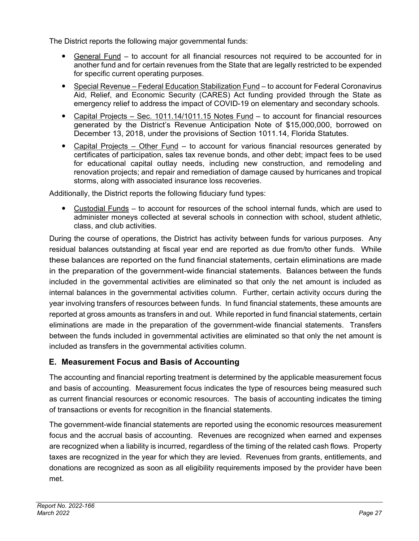The District reports the following major governmental funds:

- General Fund to account for all financial resources not required to be accounted for in another fund and for certain revenues from the State that are legally restricted to be expended for specific current operating purposes.
- Special Revenue Federal Education Stabilization Fund to account for Federal Coronavirus Aid, Relief, and Economic Security (CARES) Act funding provided through the State as emergency relief to address the impact of COVID-19 on elementary and secondary schools.
- Capital Projects Sec. 1011.14/1011.15 Notes Fund to account for financial resources generated by the District's Revenue Anticipation Note of \$15,000,000, borrowed on December 13, 2018, under the provisions of Section 1011.14, Florida Statutes.
- Capital Projects Other Fund to account for various financial resources generated by certificates of participation, sales tax revenue bonds, and other debt; impact fees to be used for educational capital outlay needs, including new construction, and remodeling and renovation projects; and repair and remediation of damage caused by hurricanes and tropical storms, along with associated insurance loss recoveries.

Additionally, the District reports the following fiduciary fund types:

 Custodial Funds – to account for resources of the school internal funds, which are used to administer moneys collected at several schools in connection with school, student athletic, class, and club activities.

During the course of operations, the District has activity between funds for various purposes. Any residual balances outstanding at fiscal year end are reported as due from/to other funds. While these balances are reported on the fund financial statements, certain eliminations are made in the preparation of the government-wide financial statements. Balances between the funds included in the governmental activities are eliminated so that only the net amount is included as internal balances in the governmental activities column. Further, certain activity occurs during the year involving transfers of resources between funds. In fund financial statements, these amounts are reported at gross amounts as transfers in and out. While reported in fund financial statements, certain eliminations are made in the preparation of the government-wide financial statements. Transfers between the funds included in governmental activities are eliminated so that only the net amount is included as transfers in the governmental activities column.

# **E. Measurement Focus and Basis of Accounting**

The accounting and financial reporting treatment is determined by the applicable measurement focus and basis of accounting. Measurement focus indicates the type of resources being measured such as current financial resources or economic resources. The basis of accounting indicates the timing of transactions or events for recognition in the financial statements.

The government-wide financial statements are reported using the economic resources measurement focus and the accrual basis of accounting. Revenues are recognized when earned and expenses are recognized when a liability is incurred, regardless of the timing of the related cash flows. Property taxes are recognized in the year for which they are levied. Revenues from grants, entitlements, and donations are recognized as soon as all eligibility requirements imposed by the provider have been met.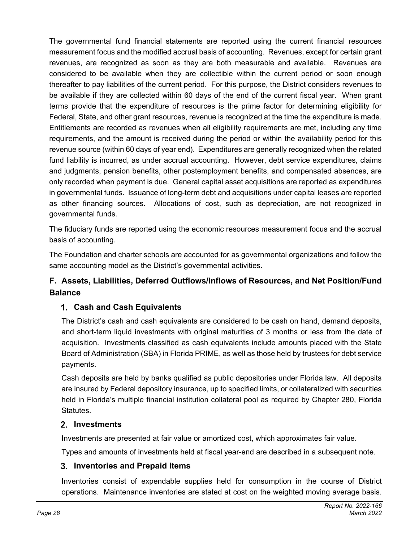The governmental fund financial statements are reported using the current financial resources measurement focus and the modified accrual basis of accounting. Revenues, except for certain grant revenues, are recognized as soon as they are both measurable and available. Revenues are considered to be available when they are collectible within the current period or soon enough thereafter to pay liabilities of the current period. For this purpose, the District considers revenues to be available if they are collected within 60 days of the end of the current fiscal year. When grant terms provide that the expenditure of resources is the prime factor for determining eligibility for Federal, State, and other grant resources, revenue is recognized at the time the expenditure is made. Entitlements are recorded as revenues when all eligibility requirements are met, including any time requirements, and the amount is received during the period or within the availability period for this revenue source (within 60 days of year end). Expenditures are generally recognized when the related fund liability is incurred, as under accrual accounting. However, debt service expenditures, claims and judgments, pension benefits, other postemployment benefits, and compensated absences, are only recorded when payment is due. General capital asset acquisitions are reported as expenditures in governmental funds. Issuance of long-term debt and acquisitions under capital leases are reported as other financing sources. Allocations of cost, such as depreciation, are not recognized in governmental funds.

The fiduciary funds are reported using the economic resources measurement focus and the accrual basis of accounting.

The Foundation and charter schools are accounted for as governmental organizations and follow the same accounting model as the District's governmental activities.

# **F. Assets, Liabilities, Deferred Outflows/Inflows of Resources, and Net Position/Fund Balance**

# **Cash and Cash Equivalents**

The District's cash and cash equivalents are considered to be cash on hand, demand deposits, and short-term liquid investments with original maturities of 3 months or less from the date of acquisition. Investments classified as cash equivalents include amounts placed with the State Board of Administration (SBA) in Florida PRIME, as well as those held by trustees for debt service payments.

Cash deposits are held by banks qualified as public depositories under Florida law. All deposits are insured by Federal depository insurance, up to specified limits, or collateralized with securities held in Florida's multiple financial institution collateral pool as required by Chapter 280, Florida Statutes.

# **Investments**

Investments are presented at fair value or amortized cost, which approximates fair value.

Types and amounts of investments held at fiscal year-end are described in a subsequent note.

# **Inventories and Prepaid Items**

Inventories consist of expendable supplies held for consumption in the course of District operations. Maintenance inventories are stated at cost on the weighted moving average basis.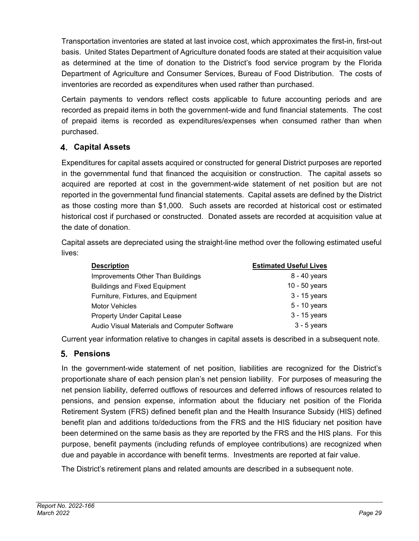Transportation inventories are stated at last invoice cost, which approximates the first-in, first-out basis. United States Department of Agriculture donated foods are stated at their acquisition value as determined at the time of donation to the District's food service program by the Florida Department of Agriculture and Consumer Services, Bureau of Food Distribution. The costs of inventories are recorded as expenditures when used rather than purchased.

Certain payments to vendors reflect costs applicable to future accounting periods and are recorded as prepaid items in both the government-wide and fund financial statements. The cost of prepaid items is recorded as expenditures/expenses when consumed rather than when purchased.

# **Capital Assets**

Expenditures for capital assets acquired or constructed for general District purposes are reported in the governmental fund that financed the acquisition or construction. The capital assets so acquired are reported at cost in the government-wide statement of net position but are not reported in the governmental fund financial statements. Capital assets are defined by the District as those costing more than \$1,000. Such assets are recorded at historical cost or estimated historical cost if purchased or constructed. Donated assets are recorded at acquisition value at the date of donation.

Capital assets are depreciated using the straight-line method over the following estimated useful lives:

| <b>Description</b>                           | <b>Estimated Useful Lives</b> |
|----------------------------------------------|-------------------------------|
| Improvements Other Than Buildings            | 8 - 40 years                  |
| <b>Buildings and Fixed Equipment</b>         | 10 - 50 years                 |
| Furniture, Fixtures, and Equipment           | 3 - 15 years                  |
| <b>Motor Vehicles</b>                        | 5 - 10 years                  |
| <b>Property Under Capital Lease</b>          | $3 - 15$ years                |
| Audio Visual Materials and Computer Software | $3 - 5$ years                 |

Current year information relative to changes in capital assets is described in a subsequent note.

# **Pensions**

In the government-wide statement of net position, liabilities are recognized for the District's proportionate share of each pension plan's net pension liability. For purposes of measuring the net pension liability, deferred outflows of resources and deferred inflows of resources related to pensions, and pension expense, information about the fiduciary net position of the Florida Retirement System (FRS) defined benefit plan and the Health Insurance Subsidy (HIS) defined benefit plan and additions to/deductions from the FRS and the HIS fiduciary net position have been determined on the same basis as they are reported by the FRS and the HIS plans. For this purpose, benefit payments (including refunds of employee contributions) are recognized when due and payable in accordance with benefit terms. Investments are reported at fair value.

The District's retirement plans and related amounts are described in a subsequent note.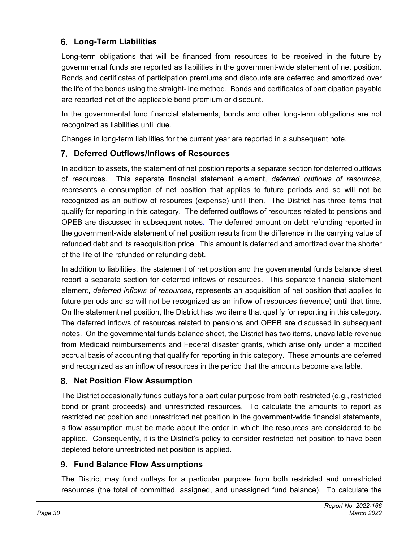# **Long-Term Liabilities**

Long-term obligations that will be financed from resources to be received in the future by governmental funds are reported as liabilities in the government-wide statement of net position. Bonds and certificates of participation premiums and discounts are deferred and amortized over the life of the bonds using the straight-line method. Bonds and certificates of participation payable are reported net of the applicable bond premium or discount.

In the governmental fund financial statements, bonds and other long-term obligations are not recognized as liabilities until due.

Changes in long-term liabilities for the current year are reported in a subsequent note.

# **Deferred Outflows/Inflows of Resources**

In addition to assets, the statement of net position reports a separate section for deferred outflows of resources. This separate financial statement element, *deferred outflows of resources*, represents a consumption of net position that applies to future periods and so will not be recognized as an outflow of resources (expense) until then. The District has three items that qualify for reporting in this category. The deferred outflows of resources related to pensions and OPEB are discussed in subsequent notes. The deferred amount on debt refunding reported in the government-wide statement of net position results from the difference in the carrying value of refunded debt and its reacquisition price. This amount is deferred and amortized over the shorter of the life of the refunded or refunding debt.

In addition to liabilities, the statement of net position and the governmental funds balance sheet report a separate section for deferred inflows of resources. This separate financial statement element, *deferred inflows of resources*, represents an acquisition of net position that applies to future periods and so will not be recognized as an inflow of resources (revenue) until that time. On the statement net position, the District has two items that qualify for reporting in this category. The deferred inflows of resources related to pensions and OPEB are discussed in subsequent notes. On the governmental funds balance sheet, the District has two items, unavailable revenue from Medicaid reimbursements and Federal disaster grants, which arise only under a modified accrual basis of accounting that qualify for reporting in this category. These amounts are deferred and recognized as an inflow of resources in the period that the amounts become available.

# **Net Position Flow Assumption**

The District occasionally funds outlays for a particular purpose from both restricted (e.g., restricted bond or grant proceeds) and unrestricted resources. To calculate the amounts to report as restricted net position and unrestricted net position in the government-wide financial statements, a flow assumption must be made about the order in which the resources are considered to be applied. Consequently, it is the District's policy to consider restricted net position to have been depleted before unrestricted net position is applied.

# **Fund Balance Flow Assumptions**

The District may fund outlays for a particular purpose from both restricted and unrestricted resources (the total of committed, assigned, and unassigned fund balance). To calculate the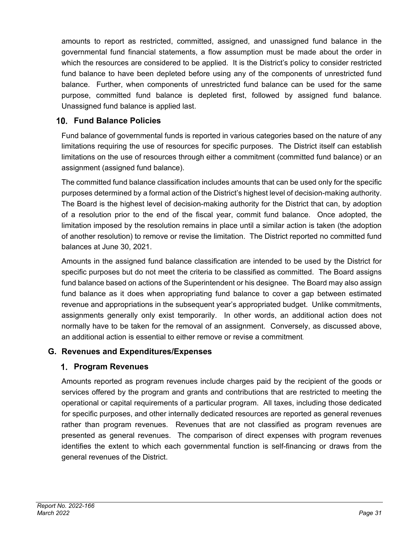amounts to report as restricted, committed, assigned, and unassigned fund balance in the governmental fund financial statements, a flow assumption must be made about the order in which the resources are considered to be applied. It is the District's policy to consider restricted fund balance to have been depleted before using any of the components of unrestricted fund balance. Further, when components of unrestricted fund balance can be used for the same purpose, committed fund balance is depleted first, followed by assigned fund balance. Unassigned fund balance is applied last.

## **Fund Balance Policies**

Fund balance of governmental funds is reported in various categories based on the nature of any limitations requiring the use of resources for specific purposes. The District itself can establish limitations on the use of resources through either a commitment (committed fund balance) or an assignment (assigned fund balance).

The committed fund balance classification includes amounts that can be used only for the specific purposes determined by a formal action of the District's highest level of decision-making authority. The Board is the highest level of decision-making authority for the District that can, by adoption of a resolution prior to the end of the fiscal year, commit fund balance. Once adopted, the limitation imposed by the resolution remains in place until a similar action is taken (the adoption of another resolution) to remove or revise the limitation. The District reported no committed fund balances at June 30, 2021.

Amounts in the assigned fund balance classification are intended to be used by the District for specific purposes but do not meet the criteria to be classified as committed. The Board assigns fund balance based on actions of the Superintendent or his designee. The Board may also assign fund balance as it does when appropriating fund balance to cover a gap between estimated revenue and appropriations in the subsequent year's appropriated budget. Unlike commitments, assignments generally only exist temporarily. In other words, an additional action does not normally have to be taken for the removal of an assignment. Conversely, as discussed above, an additional action is essential to either remove or revise a commitment.

## **G. Revenues and Expenditures/Expenses**

## **Program Revenues**

Amounts reported as program revenues include charges paid by the recipient of the goods or services offered by the program and grants and contributions that are restricted to meeting the operational or capital requirements of a particular program. All taxes, including those dedicated for specific purposes, and other internally dedicated resources are reported as general revenues rather than program revenues. Revenues that are not classified as program revenues are presented as general revenues. The comparison of direct expenses with program revenues identifies the extent to which each governmental function is self-financing or draws from the general revenues of the District.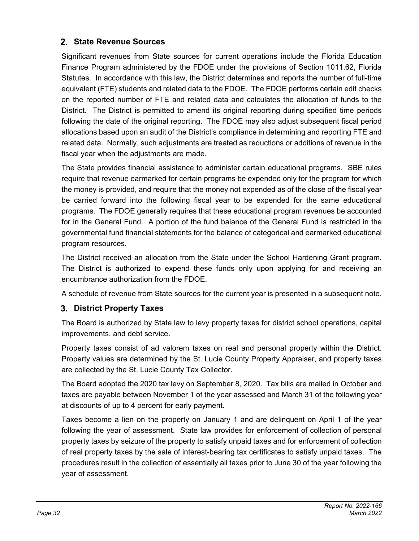## **State Revenue Sources**

Significant revenues from State sources for current operations include the Florida Education Finance Program administered by the FDOE under the provisions of Section 1011.62, Florida Statutes. In accordance with this law, the District determines and reports the number of full-time equivalent (FTE) students and related data to the FDOE. The FDOE performs certain edit checks on the reported number of FTE and related data and calculates the allocation of funds to the District. The District is permitted to amend its original reporting during specified time periods following the date of the original reporting. The FDOE may also adjust subsequent fiscal period allocations based upon an audit of the District's compliance in determining and reporting FTE and related data. Normally, such adjustments are treated as reductions or additions of revenue in the fiscal year when the adjustments are made.

The State provides financial assistance to administer certain educational programs. SBE rules require that revenue earmarked for certain programs be expended only for the program for which the money is provided, and require that the money not expended as of the close of the fiscal year be carried forward into the following fiscal year to be expended for the same educational programs. The FDOE generally requires that these educational program revenues be accounted for in the General Fund. A portion of the fund balance of the General Fund is restricted in the governmental fund financial statements for the balance of categorical and earmarked educational program resources.

The District received an allocation from the State under the School Hardening Grant program. The District is authorized to expend these funds only upon applying for and receiving an encumbrance authorization from the FDOE.

A schedule of revenue from State sources for the current year is presented in a subsequent note.

## **District Property Taxes**

The Board is authorized by State law to levy property taxes for district school operations, capital improvements, and debt service.

Property taxes consist of ad valorem taxes on real and personal property within the District. Property values are determined by the St. Lucie County Property Appraiser, and property taxes are collected by the St. Lucie County Tax Collector.

The Board adopted the 2020 tax levy on September 8, 2020. Tax bills are mailed in October and taxes are payable between November 1 of the year assessed and March 31 of the following year at discounts of up to 4 percent for early payment.

Taxes become a lien on the property on January 1 and are delinquent on April 1 of the year following the year of assessment. State law provides for enforcement of collection of personal property taxes by seizure of the property to satisfy unpaid taxes and for enforcement of collection of real property taxes by the sale of interest-bearing tax certificates to satisfy unpaid taxes. The procedures result in the collection of essentially all taxes prior to June 30 of the year following the year of assessment.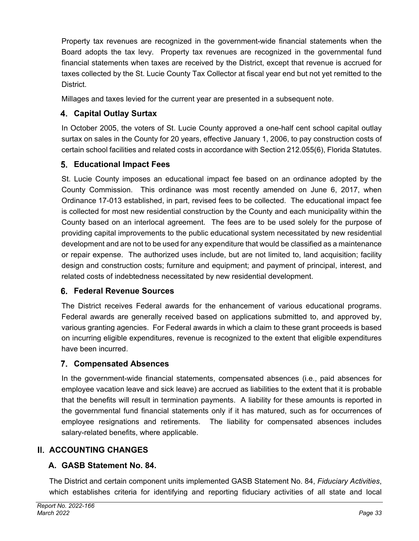Property tax revenues are recognized in the government-wide financial statements when the Board adopts the tax levy. Property tax revenues are recognized in the governmental fund financial statements when taxes are received by the District, except that revenue is accrued for taxes collected by the St. Lucie County Tax Collector at fiscal year end but not yet remitted to the District.

Millages and taxes levied for the current year are presented in a subsequent note.

## **Capital Outlay Surtax**

In October 2005, the voters of St. Lucie County approved a one-half cent school capital outlay surtax on sales in the County for 20 years, effective January 1, 2006, to pay construction costs of certain school facilities and related costs in accordance with Section 212.055(6), Florida Statutes.

## **Educational Impact Fees**

St. Lucie County imposes an educational impact fee based on an ordinance adopted by the County Commission. This ordinance was most recently amended on June 6, 2017, when Ordinance 17-013 established, in part, revised fees to be collected. The educational impact fee is collected for most new residential construction by the County and each municipality within the County based on an interlocal agreement. The fees are to be used solely for the purpose of providing capital improvements to the public educational system necessitated by new residential development and are not to be used for any expenditure that would be classified as a maintenance or repair expense. The authorized uses include, but are not limited to, land acquisition; facility design and construction costs; furniture and equipment; and payment of principal, interest, and related costs of indebtedness necessitated by new residential development.

## **Federal Revenue Sources**

The District receives Federal awards for the enhancement of various educational programs. Federal awards are generally received based on applications submitted to, and approved by, various granting agencies. For Federal awards in which a claim to these grant proceeds is based on incurring eligible expenditures, revenue is recognized to the extent that eligible expenditures have been incurred.

## **Compensated Absences**

In the government-wide financial statements, compensated absences (i.e., paid absences for employee vacation leave and sick leave) are accrued as liabilities to the extent that it is probable that the benefits will result in termination payments. A liability for these amounts is reported in the governmental fund financial statements only if it has matured, such as for occurrences of employee resignations and retirements. The liability for compensated absences includes salary-related benefits, where applicable.

## **ACCOUNTING CHANGES**

## **A. GASB Statement No. 84.**

The District and certain component units implemented GASB Statement No. 84, *Fiduciary Activities*, which establishes criteria for identifying and reporting fiduciary activities of all state and local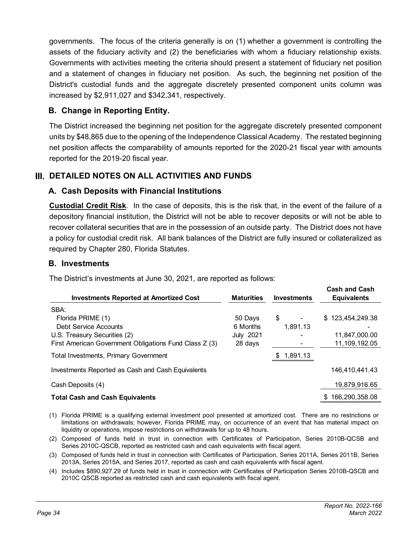governments. The focus of the criteria generally is on (1) whether a government is controlling the assets of the fiduciary activity and (2) the beneficiaries with whom a fiduciary relationship exists. Governments with activities meeting the criteria should present a statement of fiduciary net position and a statement of changes in fiduciary net position. As such, the beginning net position of the District's custodial funds and the aggregate discretely presented component units column was increased by \$2,911,027 and \$342,341, respectively.

## **B. Change in Reporting Entity.**

The District increased the beginning net position for the aggregate discretely presented component units by \$48,865 due to the opening of the Independence Classical Academy. The restated beginning net position affects the comparability of amounts reported for the 2020-21 fiscal year with amounts reported for the 2019-20 fiscal year.

## **DETAILED NOTES ON ALL ACTIVITIES AND FUNDS**

### **A. Cash Deposits with Financial Institutions**

**Custodial Credit Risk**. In the case of deposits, this is the risk that, in the event of the failure of a depository financial institution, the District will not be able to recover deposits or will not be able to recover collateral securities that are in the possession of an outside party. The District does not have a policy for custodial credit risk. All bank balances of the District are fully insured or collateralized as required by Chapter 280, Florida Statutes.

### **B. Investments**

The District's investments at June 30, 2021, are reported as follows:

| <b>Investments Reported at Amortized Cost</b>          | <b>Maturities</b> | <b>Investments</b> | <b>Cash and Cash</b><br><b>Equivalents</b> |
|--------------------------------------------------------|-------------------|--------------------|--------------------------------------------|
| SBA:                                                   |                   |                    |                                            |
| Florida PRIME (1)                                      | 50 Days           | \$                 | \$123,454,249.38                           |
| Debt Service Accounts                                  | 6 Months          | 1.891.13           |                                            |
| U.S. Treasury Securities (2)                           | <b>July 2021</b>  |                    | 11,847,000.00                              |
| First American Government Obligations Fund Class Z (3) | 28 days           |                    | 11,109,192.05                              |
| <b>Total Investments, Primary Government</b>           |                   | \$1,891.13         |                                            |
| Investments Reported as Cash and Cash Equivalents      |                   |                    | 146.410.441.43                             |
| Cash Deposits (4)                                      |                   |                    | 19,879,916.65                              |
| <b>Total Cash and Cash Equivalents</b>                 |                   |                    | 166,290,358.08                             |

- (1) Florida PRIME is a qualifying external investment pool presented at amortized cost. There are no restrictions or limitations on withdrawals; however, Florida PRIME may, on occurrence of an event that has material impact on liquidity or operations, impose restrictions on withdrawals for up to 48 hours.
- (2) Composed of funds held in trust in connection with Certificates of Participation, Series 2010B-QCSB and Series 2010C-QSCB, reported as restricted cash and cash equivalents with fiscal agent.
- (3) Composed of funds held in trust in connection with Certificates of Participation, Series 2011A, Series 2011B, Series 2013A, Series 2015A, and Series 2017, reported as cash and cash equivalents with fiscal agent.
- (4) Includes \$890,927.29 of funds held in trust in connection with Certificates of Participation Series 2010B-QSCB and 2010C QSCB reported as restricted cash and cash equivalents with fiscal agent.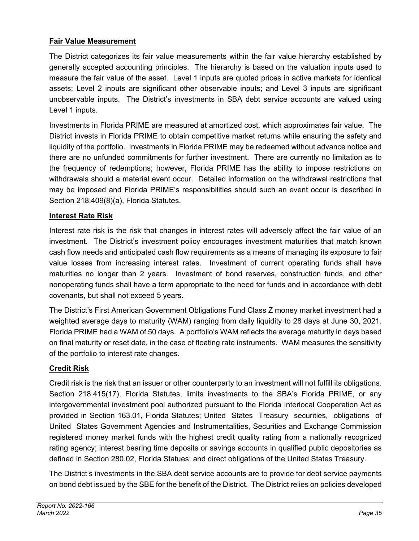## **Fair Value Measurement**

The District categorizes its fair value measurements within the fair value hierarchy established by generally accepted accounting principles. The hierarchy is based on the valuation inputs used to measure the fair value of the asset. Level 1 inputs are quoted prices in active markets for identical assets; Level 2 inputs are significant other observable inputs; and Level 3 inputs are significant unobservable inputs. The District's investments in SBA debt service accounts are valued using Level 1 inputs.

Investments in Florida PRIME are measured at amortized cost, which approximates fair value. The District invests in Florida PRIME to obtain competitive market returns while ensuring the safety and liquidity of the portfolio. Investments in Florida PRIME may be redeemed without advance notice and there are no unfunded commitments for further investment. There are currently no limitation as to the frequency of redemptions; however, Florida PRIME has the ability to impose restrictions on withdrawals should a material event occur. Detailed information on the withdrawal restrictions that may be imposed and Florida PRIME's responsibilities should such an event occur is described in Section 218.409(8)(a), Florida Statutes.

### **Interest Rate Risk**

Interest rate risk is the risk that changes in interest rates will adversely affect the fair value of an investment. The District's investment policy encourages investment maturities that match known cash flow needs and anticipated cash flow requirements as a means of managing its exposure to fair value losses from increasing interest rates. Investment of current operating funds shall have maturities no longer than 2 years. Investment of bond reserves, construction funds, and other nonoperating funds shall have a term appropriate to the need for funds and in accordance with debt covenants, but shall not exceed 5 years.

The District's First American Government Obligations Fund Class Z money market investment had a weighted average days to maturity (WAM) ranging from daily liquidity to 28 days at June 30, 2021. Florida PRIME had a WAM of 50 days. A portfolio's WAM reflects the average maturity in days based on final maturity or reset date, in the case of floating rate instruments. WAM measures the sensitivity of the portfolio to interest rate changes.

## **Credit Risk**

Credit risk is the risk that an issuer or other counterparty to an investment will not fulfill its obligations. Section 218.415(17), Florida Statutes, limits investments to the SBA's Florida PRIME, or any intergovernmental investment pool authorized pursuant to the Florida Interlocal Cooperation Act as provided in Section 163.01, Florida Statutes; United States Treasury securities, obligations of United States Government Agencies and Instrumentalities, Securities and Exchange Commission registered money market funds with the highest credit quality rating from a nationally recognized rating agency; interest bearing time deposits or savings accounts in qualified public depositories as defined in Section 280.02, Florida Statues; and direct obligations of the United States Treasury.

The District's investments in the SBA debt service accounts are to provide for debt service payments on bond debt issued by the SBE for the benefit of the District. The District relies on policies developed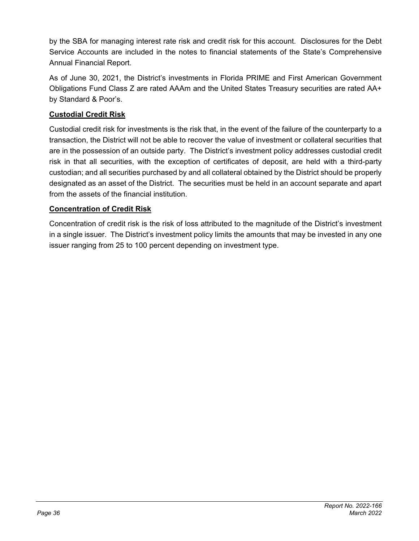by the SBA for managing interest rate risk and credit risk for this account. Disclosures for the Debt Service Accounts are included in the notes to financial statements of the State's Comprehensive Annual Financial Report.

As of June 30, 2021, the District's investments in Florida PRIME and First American Government Obligations Fund Class Z are rated AAAm and the United States Treasury securities are rated AA+ by Standard & Poor's.

## **Custodial Credit Risk**

Custodial credit risk for investments is the risk that, in the event of the failure of the counterparty to a transaction, the District will not be able to recover the value of investment or collateral securities that are in the possession of an outside party. The District's investment policy addresses custodial credit risk in that all securities, with the exception of certificates of deposit, are held with a third-party custodian; and all securities purchased by and all collateral obtained by the District should be properly designated as an asset of the District. The securities must be held in an account separate and apart from the assets of the financial institution.

### **Concentration of Credit Risk**

Concentration of credit risk is the risk of loss attributed to the magnitude of the District's investment in a single issuer. The District's investment policy limits the amounts that may be invested in any one issuer ranging from 25 to 100 percent depending on investment type.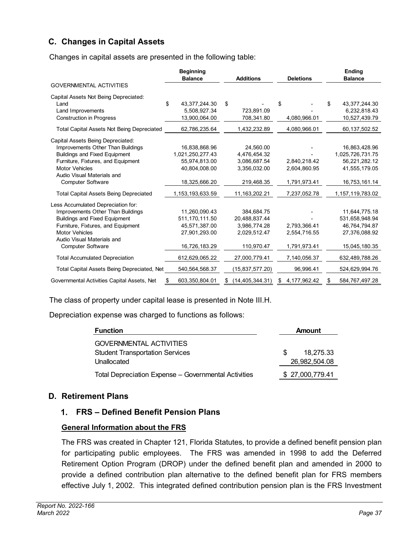## **C. Changes in Capital Assets**

Changes in capital assets are presented in the following table:

|                                                                                                                                                                                                                                          | <b>Beginning</b><br><b>Balance</b>                                                   | <b>Additions</b>                                                          | <b>Deletions</b>                             | <b>Ending</b><br><b>Balance</b>                                                      |
|------------------------------------------------------------------------------------------------------------------------------------------------------------------------------------------------------------------------------------------|--------------------------------------------------------------------------------------|---------------------------------------------------------------------------|----------------------------------------------|--------------------------------------------------------------------------------------|
| <b>GOVERNMENTAL ACTIVITIES</b>                                                                                                                                                                                                           |                                                                                      |                                                                           |                                              |                                                                                      |
| Capital Assets Not Being Depreciated:<br>Land<br><b>Land Improvements</b><br><b>Construction in Progress</b>                                                                                                                             | \$<br>43,377,244.30<br>5,508,927.34<br>13,900,064.00                                 | \$<br>723,891.09<br>708,341.80                                            | \$<br>4,080,966.01                           | 43,377,244.30<br>\$<br>6,232,818.43<br>10,527,439.79                                 |
| <b>Total Capital Assets Not Being Depreciated</b>                                                                                                                                                                                        | 62,786,235.64                                                                        | 1,432,232.89                                                              | 4,080,966.01                                 | 60, 137, 502.52                                                                      |
| Capital Assets Being Depreciated:<br>Improvements Other Than Buildings<br><b>Buildings and Fixed Equipment</b><br>Furniture, Fixtures, and Equipment<br><b>Motor Vehicles</b><br>Audio Visual Materials and<br><b>Computer Software</b>  | 16,838,868.96<br>1,021,250,277.43<br>55,974,813.00<br>40,804,008.00<br>18,325,666.20 | 24.560.00<br>4,476,454.32<br>3,086,687.54<br>3,356,032.00<br>219,468.35   | 2,840,218.42<br>2,604,860.95<br>1,791,973.41 | 16,863,428.96<br>1,025,726,731.75<br>56,221,282.12<br>41,555,179.05<br>16,753,161.14 |
| <b>Total Capital Assets Being Depreciated</b>                                                                                                                                                                                            | 1, 153, 193, 633. 59                                                                 | 11, 163, 202. 21                                                          | 7,237,052.78                                 | 1,157,119,783.02                                                                     |
| Less Accumulated Depreciation for:<br>Improvements Other Than Buildings<br><b>Buildings and Fixed Equipment</b><br>Furniture, Fixtures, and Equipment<br><b>Motor Vehicles</b><br>Audio Visual Materials and<br><b>Computer Software</b> | 11.260.090.43<br>511,170,111.50<br>45,571,387.00<br>27,901,293.00<br>16,726,183.29   | 384.684.75<br>20,488,837.44<br>3,986,774.28<br>2,029,512.47<br>110,970.47 | 2,793,366.41<br>2,554,716.55<br>1,791,973.41 | 11.644.775.18<br>531,658,948.94<br>46,764,794.87<br>27,376,088.92<br>15,045,180.35   |
| <b>Total Accumulated Depreciation</b>                                                                                                                                                                                                    | 612,629,065.22                                                                       | 27,000,779.41                                                             | 7,140,056.37                                 | 632,489,788.26                                                                       |
| Total Capital Assets Being Depreciated, Net                                                                                                                                                                                              | 540,564,568.37                                                                       | (15, 837, 577.20)                                                         | 96,996.41                                    | 524,629,994.76                                                                       |
| Governmental Activities Capital Assets, Net                                                                                                                                                                                              | 603,350,804.01<br>\$                                                                 | (14, 405, 344.31)                                                         | 4,177,962.42                                 | 584,767,497.28                                                                       |

The class of property under capital lease is presented in Note III.H.

Depreciation expense was charged to functions as follows:

| <b>Function</b>                                      | Amount          |
|------------------------------------------------------|-----------------|
| <b>GOVERNMENTAL ACTIVITIES</b>                       |                 |
| <b>Student Transportation Services</b>               | 18.275.33       |
| Unallocated                                          | 26,982,504.08   |
| Total Depreciation Expense - Governmental Activities | \$27,000,779.41 |

### **D. Retirement Plans**

## **FRS – Defined Benefit Pension Plans**

### **General Information about the FRS**

The FRS was created in Chapter 121, Florida Statutes, to provide a defined benefit pension plan for participating public employees. The FRS was amended in 1998 to add the Deferred Retirement Option Program (DROP) under the defined benefit plan and amended in 2000 to provide a defined contribution plan alternative to the defined benefit plan for FRS members effective July 1, 2002. This integrated defined contribution pension plan is the FRS Investment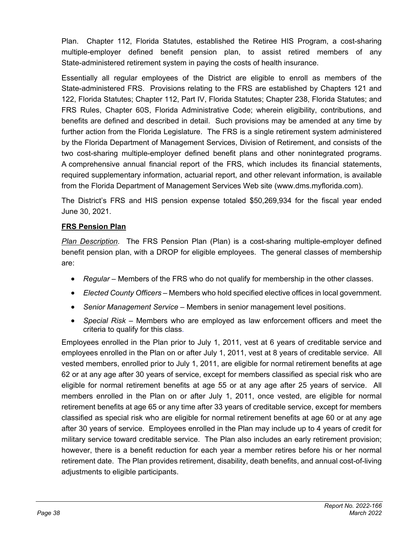Plan. Chapter 112, Florida Statutes, established the Retiree HIS Program, a cost-sharing multiple-employer defined benefit pension plan, to assist retired members of any State-administered retirement system in paying the costs of health insurance.

Essentially all regular employees of the District are eligible to enroll as members of the State-administered FRS. Provisions relating to the FRS are established by Chapters 121 and 122, Florida Statutes; Chapter 112, Part IV, Florida Statutes; Chapter 238, Florida Statutes; and FRS Rules, Chapter 60S, Florida Administrative Code; wherein eligibility, contributions, and benefits are defined and described in detail. Such provisions may be amended at any time by further action from the Florida Legislature. The FRS is a single retirement system administered by the Florida Department of Management Services, Division of Retirement, and consists of the two cost-sharing multiple-employer defined benefit plans and other nonintegrated programs. A comprehensive annual financial report of the FRS, which includes its financial statements, required supplementary information, actuarial report, and other relevant information, is available from the Florida Department of Management Services Web site (www.dms.myflorida.com).

The District's FRS and HIS pension expense totaled \$50,269,934 for the fiscal year ended June 30, 2021.

### **FRS Pension Plan**

*Plan Description*. The FRS Pension Plan (Plan) is a cost-sharing multiple-employer defined benefit pension plan, with a DROP for eligible employees. The general classes of membership are:

- *Regular* Members of the FRS who do not qualify for membership in the other classes.
- *Elected County Officers* Members who hold specified elective offices in local government.
- *Senior Management Service*  Members in senior management level positions.
- *Special Risk* Members who are employed as law enforcement officers and meet the criteria to qualify for this class.

Employees enrolled in the Plan prior to July 1, 2011, vest at 6 years of creditable service and employees enrolled in the Plan on or after July 1, 2011, vest at 8 years of creditable service. All vested members, enrolled prior to July 1, 2011, are eligible for normal retirement benefits at age 62 or at any age after 30 years of service, except for members classified as special risk who are eligible for normal retirement benefits at age 55 or at any age after 25 years of service. All members enrolled in the Plan on or after July 1, 2011, once vested, are eligible for normal retirement benefits at age 65 or any time after 33 years of creditable service, except for members classified as special risk who are eligible for normal retirement benefits at age 60 or at any age after 30 years of service. Employees enrolled in the Plan may include up to 4 years of credit for military service toward creditable service. The Plan also includes an early retirement provision; however, there is a benefit reduction for each year a member retires before his or her normal retirement date. The Plan provides retirement, disability, death benefits, and annual cost-of-living adjustments to eligible participants.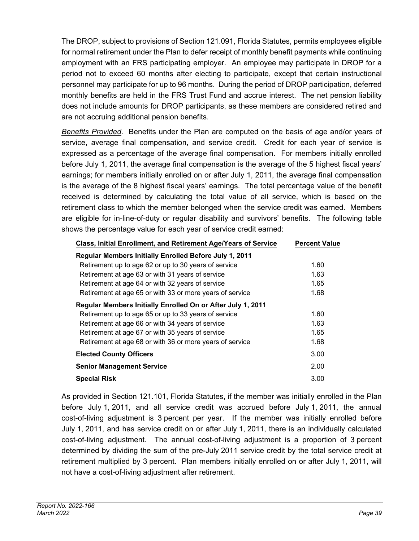The DROP, subject to provisions of Section 121.091, Florida Statutes, permits employees eligible for normal retirement under the Plan to defer receipt of monthly benefit payments while continuing employment with an FRS participating employer. An employee may participate in DROP for a period not to exceed 60 months after electing to participate, except that certain instructional personnel may participate for up to 96 months. During the period of DROP participation, deferred monthly benefits are held in the FRS Trust Fund and accrue interest. The net pension liability does not include amounts for DROP participants, as these members are considered retired and are not accruing additional pension benefits.

*Benefits Provided*. Benefits under the Plan are computed on the basis of age and/or years of service, average final compensation, and service credit. Credit for each year of service is expressed as a percentage of the average final compensation. For members initially enrolled before July 1, 2011, the average final compensation is the average of the 5 highest fiscal years' earnings; for members initially enrolled on or after July 1, 2011, the average final compensation is the average of the 8 highest fiscal years' earnings. The total percentage value of the benefit received is determined by calculating the total value of all service, which is based on the retirement class to which the member belonged when the service credit was earned. Members are eligible for in-line-of-duty or regular disability and survivors' benefits. The following table shows the percentage value for each year of service credit earned:

| Class, Initial Enrollment, and Retirement Age/Years of Service | <b>Percent Value</b> |
|----------------------------------------------------------------|----------------------|
| <b>Regular Members Initially Enrolled Before July 1, 2011</b>  |                      |
| Retirement up to age 62 or up to 30 years of service           | 1.60                 |
| Retirement at age 63 or with 31 years of service               | 1.63                 |
| Retirement at age 64 or with 32 years of service               | 1.65                 |
| Retirement at age 65 or with 33 or more years of service       | 1.68                 |
| Regular Members Initially Enrolled On or After July 1, 2011    |                      |
| Retirement up to age 65 or up to 33 years of service           | 1.60                 |
| Retirement at age 66 or with 34 years of service               | 1.63                 |
| Retirement at age 67 or with 35 years of service               | 1.65                 |
| Retirement at age 68 or with 36 or more years of service       | 1.68                 |
| <b>Elected County Officers</b>                                 | 3.00                 |
| <b>Senior Management Service</b>                               | 2.00                 |
| <b>Special Risk</b>                                            | 3.00                 |

As provided in Section 121.101, Florida Statutes, if the member was initially enrolled in the Plan before July 1, 2011, and all service credit was accrued before July 1, 2011, the annual cost-of-living adjustment is 3 percent per year. If the member was initially enrolled before July 1, 2011, and has service credit on or after July 1, 2011, there is an individually calculated cost-of-living adjustment. The annual cost-of-living adjustment is a proportion of 3 percent determined by dividing the sum of the pre-July 2011 service credit by the total service credit at retirement multiplied by 3 percent. Plan members initially enrolled on or after July 1, 2011, will not have a cost-of-living adjustment after retirement.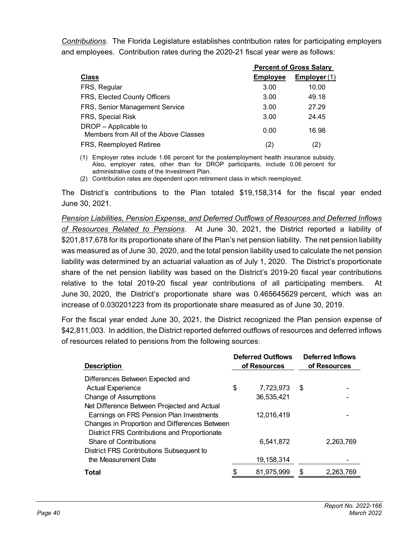*Contributions*. The Florida Legislature establishes contribution rates for participating employers and employees. Contribution rates during the 2020-21 fiscal year were as follows:

|                                                               | <b>Percent of Gross Salary</b> |              |  |
|---------------------------------------------------------------|--------------------------------|--------------|--|
| <b>Class</b>                                                  | <b>Employee</b>                | Employer (1) |  |
| FRS, Regular                                                  | 3.00                           | 10.00        |  |
| FRS, Elected County Officers                                  | 3.00                           | 49.18        |  |
| FRS, Senior Management Service                                | 3.00                           | 27.29        |  |
| FRS, Special Risk                                             | 3.00                           | 24.45        |  |
| DROP - Applicable to<br>Members from All of the Above Classes | 0.00                           | 16.98        |  |
| FRS, Reemployed Retiree                                       | (2)                            | (2)          |  |

(1) Employer rates include 1.66 percent for the postemployment health insurance subsidy. Also, employer rates, other than for DROP participants, include 0.06 percent for administrative costs of the Investment Plan.

(2) Contribution rates are dependent upon retirement class in which reemployed.

The District's contributions to the Plan totaled \$19,158,314 for the fiscal year ended June 30, 2021.

*Pension Liabilities, Pension Expense, and Deferred Outflows of Resources and Deferred Inflows of Resources Related to Pensions*. At June 30, 2021, the District reported a liability of \$201,817,678 for its proportionate share of the Plan's net pension liability. The net pension liability was measured as of June 30, 2020, and the total pension liability used to calculate the net pension liability was determined by an actuarial valuation as of July 1, 2020. The District's proportionate share of the net pension liability was based on the District's 2019-20 fiscal year contributions relative to the total 2019-20 fiscal year contributions of all participating members. At June 30, 2020, the District's proportionate share was 0.465645629 percent, which was an increase of 0.030201223 from its proportionate share measured as of June 30, 2019.

For the fiscal year ended June 30, 2021, the District recognized the Plan pension expense of \$42,811,003. In addition, the District reported deferred outflows of resources and deferred inflows of resources related to pensions from the following sources:

| <b>Description</b>                                  | <b>Deferred Outflows</b><br>of Resources |              | <b>Deferred Inflows</b><br>of Resources |           |
|-----------------------------------------------------|------------------------------------------|--------------|-----------------------------------------|-----------|
| Differences Between Expected and                    |                                          |              |                                         |           |
| <b>Actual Experience</b>                            | \$                                       | 7,723,973    | \$                                      |           |
| <b>Change of Assumptions</b>                        |                                          | 36,535,421   |                                         |           |
| Net Difference Between Projected and Actual         |                                          |              |                                         |           |
| Earnings on FRS Pension Plan Investments            |                                          | 12,016,419   |                                         |           |
| Changes in Proportion and Differences Between       |                                          |              |                                         |           |
| <b>District FRS Contributions and Proportionate</b> |                                          |              |                                         |           |
| Share of Contributions                              |                                          | 6,541,872    |                                         | 2,263,769 |
| District FRS Contributions Subsequent to            |                                          |              |                                         |           |
| the Measurement Date                                |                                          | 19, 158, 314 |                                         |           |
| <b>Total</b>                                        |                                          | 81,975,999   | S                                       | 2,263,769 |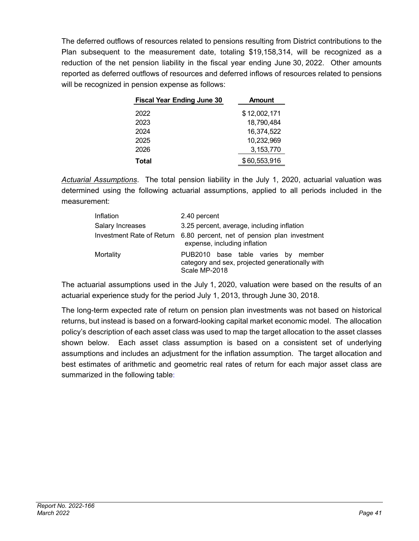The deferred outflows of resources related to pensions resulting from District contributions to the Plan subsequent to the measurement date, totaling \$19,158,314, will be recognized as a reduction of the net pension liability in the fiscal year ending June 30, 2022. Other amounts reported as deferred outflows of resources and deferred inflows of resources related to pensions will be recognized in pension expense as follows:

| <b>Amount</b> |
|---------------|
| \$12,002,171  |
| 18,790,484    |
| 16,374,522    |
| 10,232,969    |
| 3, 153, 770   |
| \$60,553,916  |
|               |

*Actuarial Assumptions*. The total pension liability in the July 1, 2020, actuarial valuation was determined using the following actuarial assumptions, applied to all periods included in the measurement:

| Inflation        | 2.40 percent                                                                                            |  |  |
|------------------|---------------------------------------------------------------------------------------------------------|--|--|
| Salary Increases | 3.25 percent, average, including inflation                                                              |  |  |
|                  | Investment Rate of Return 6.80 percent, net of pension plan investment<br>expense, including inflation  |  |  |
| Mortality        | PUB2010 base table varies by member<br>category and sex, projected generationally with<br>Scale MP-2018 |  |  |

The actuarial assumptions used in the July 1, 2020, valuation were based on the results of an actuarial experience study for the period July 1, 2013, through June 30, 2018.

The long-term expected rate of return on pension plan investments was not based on historical returns, but instead is based on a forward-looking capital market economic model. The allocation policy's description of each asset class was used to map the target allocation to the asset classes shown below. Each asset class assumption is based on a consistent set of underlying assumptions and includes an adjustment for the inflation assumption. The target allocation and best estimates of arithmetic and geometric real rates of return for each major asset class are summarized in the following table: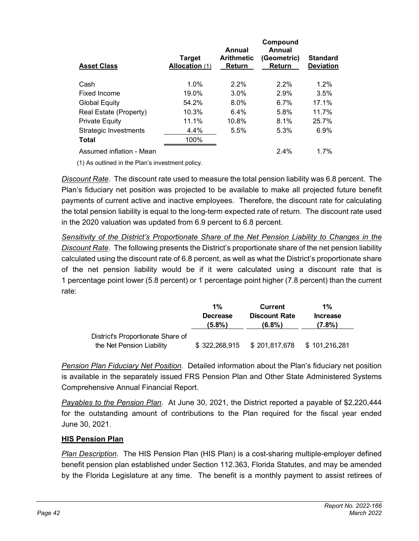| <b>Asset Class</b>           | <b>Target</b><br><b>Allocation (1)</b> | Annual<br><b>Arithmetic</b><br><b>Return</b> | Compound<br>Annual<br>(Geometric)<br>Return | <b>Standard</b><br><b>Deviation</b> |
|------------------------------|----------------------------------------|----------------------------------------------|---------------------------------------------|-------------------------------------|
| Cash                         | 1.0%                                   | 2.2%                                         | 2.2%                                        | $1.2\%$                             |
| <b>Fixed Income</b>          | 19.0%                                  | 3.0%                                         | 2.9%                                        | 3.5%                                |
| <b>Global Equity</b>         | 54.2%                                  | 8.0%                                         | 6.7%                                        | 17.1%                               |
| Real Estate (Property)       | 10.3%                                  | 6.4%                                         | 5.8%                                        | 11.7%                               |
| <b>Private Equity</b>        | 11.1%                                  | 10.8%                                        | 8.1%                                        | 25.7%                               |
| <b>Strategic Investments</b> | 4.4%                                   | 5.5%                                         | 5.3%                                        | 6.9%                                |
| Total                        | 100%                                   |                                              |                                             |                                     |
| Assumed inflation - Mean     |                                        |                                              | 2.4%                                        | 1.7%                                |

(1) As outlined in the Plan's investment policy.

*Discount Rate*. The discount rate used to measure the total pension liability was 6.8 percent. The Plan's fiduciary net position was projected to be available to make all projected future benefit payments of current active and inactive employees. Therefore, the discount rate for calculating the total pension liability is equal to the long-term expected rate of return. The discount rate used in the 2020 valuation was updated from 6.9 percent to 6.8 percent.

*Sensitivity of the District's Proportionate Share of the Net Pension Liability to Changes in the Discount Rate*. The following presents the District's proportionate share of the net pension liability calculated using the discount rate of 6.8 percent, as well as what the District's proportionate share of the net pension liability would be if it were calculated using a discount rate that is 1 percentage point lower (5.8 percent) or 1 percentage point higher (7.8 percent) than the current rate:

|                                   | 1%                        | <b>Current</b>                    | $1\%$                     |
|-----------------------------------|---------------------------|-----------------------------------|---------------------------|
|                                   | <b>Decrease</b><br>(5.8%) | <b>Discount Rate</b><br>$(6.8\%)$ | <b>Increase</b><br>(7.8%) |
| District's Proportionate Share of |                           |                                   |                           |
| the Net Pension Liability         | \$322,268,915             | \$201,817,678                     | \$101,216,281             |

*Pension Plan Fiduciary Net Position*. Detailed information about the Plan's fiduciary net position is available in the separately issued FRS Pension Plan and Other State Administered Systems Comprehensive Annual Financial Report.

*Payables to the Pension Plan*. At June 30, 2021, the District reported a payable of \$2,220,444 for the outstanding amount of contributions to the Plan required for the fiscal year ended June 30, 2021.

### **HIS Pension Plan**

*Plan Description*. The HIS Pension Plan (HIS Plan) is a cost-sharing multiple-employer defined benefit pension plan established under Section 112.363, Florida Statutes, and may be amended by the Florida Legislature at any time. The benefit is a monthly payment to assist retirees of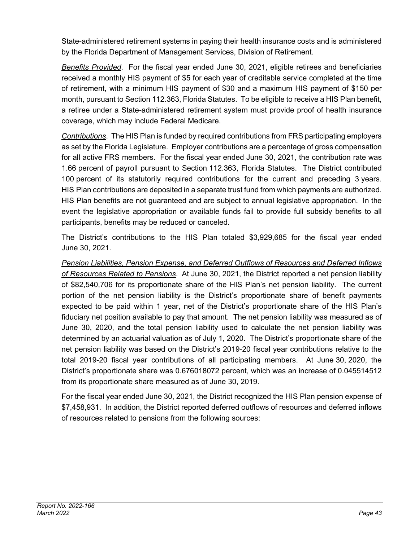State-administered retirement systems in paying their health insurance costs and is administered by the Florida Department of Management Services, Division of Retirement.

*Benefits Provided*. For the fiscal year ended June 30, 2021, eligible retirees and beneficiaries received a monthly HIS payment of \$5 for each year of creditable service completed at the time of retirement, with a minimum HIS payment of \$30 and a maximum HIS payment of \$150 per month, pursuant to Section 112.363, Florida Statutes. To be eligible to receive a HIS Plan benefit, a retiree under a State-administered retirement system must provide proof of health insurance coverage, which may include Federal Medicare.

*Contributions*. The HIS Plan is funded by required contributions from FRS participating employers as set by the Florida Legislature. Employer contributions are a percentage of gross compensation for all active FRS members. For the fiscal year ended June 30, 2021, the contribution rate was 1.66 percent of payroll pursuant to Section 112.363, Florida Statutes. The District contributed 100 percent of its statutorily required contributions for the current and preceding 3 years. HIS Plan contributions are deposited in a separate trust fund from which payments are authorized. HIS Plan benefits are not guaranteed and are subject to annual legislative appropriation. In the event the legislative appropriation or available funds fail to provide full subsidy benefits to all participants, benefits may be reduced or canceled.

The District's contributions to the HIS Plan totaled \$3,929,685 for the fiscal year ended June 30, 2021.

*Pension Liabilities, Pension Expense, and Deferred Outflows of Resources and Deferred Inflows of Resources Related to Pensions*. At June 30, 2021, the District reported a net pension liability of \$82,540,706 for its proportionate share of the HIS Plan's net pension liability. The current portion of the net pension liability is the District's proportionate share of benefit payments expected to be paid within 1 year, net of the District's proportionate share of the HIS Plan's fiduciary net position available to pay that amount. The net pension liability was measured as of June 30, 2020, and the total pension liability used to calculate the net pension liability was determined by an actuarial valuation as of July 1, 2020. The District's proportionate share of the net pension liability was based on the District's 2019-20 fiscal year contributions relative to the total 2019-20 fiscal year contributions of all participating members. At June 30, 2020, the District's proportionate share was 0.676018072 percent, which was an increase of 0.045514512 from its proportionate share measured as of June 30, 2019.

For the fiscal year ended June 30, 2021, the District recognized the HIS Plan pension expense of \$7,458,931. In addition, the District reported deferred outflows of resources and deferred inflows of resources related to pensions from the following sources: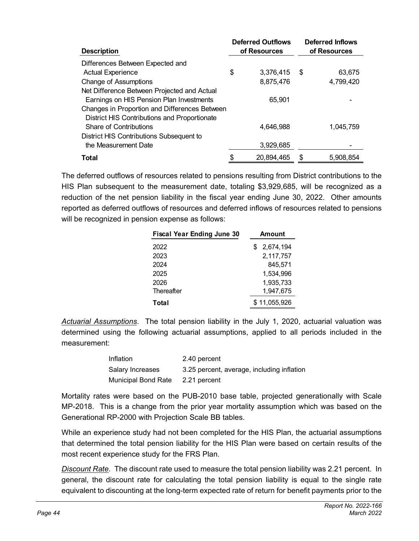|                                               | <b>Deferred Outflows</b> |    | <b>Deferred Inflows</b> |
|-----------------------------------------------|--------------------------|----|-------------------------|
| <b>Description</b>                            | of Resources             |    | of Resources            |
| Differences Between Expected and              |                          |    |                         |
| <b>Actual Experience</b>                      | \$<br>3,376,415          | \$ | 63,675                  |
| <b>Change of Assumptions</b>                  | 8,875,476                |    | 4,799,420               |
| Net Difference Between Projected and Actual   |                          |    |                         |
| Earnings on HIS Pension Plan Investments      | 65,901                   |    |                         |
| Changes in Proportion and Differences Between |                          |    |                         |
| District HIS Contributions and Proportionate  |                          |    |                         |
| <b>Share of Contributions</b>                 | 4,646,988                |    | 1,045,759               |
| District HIS Contributions Subsequent to      |                          |    |                         |
| the Measurement Date                          | 3,929,685                |    |                         |
| <b>Total</b>                                  | \$<br>20,894,465         | \$ | 5,908,854               |

The deferred outflows of resources related to pensions resulting from District contributions to the HIS Plan subsequent to the measurement date, totaling \$3,929,685, will be recognized as a reduction of the net pension liability in the fiscal year ending June 30, 2022. Other amounts reported as deferred outflows of resources and deferred inflows of resources related to pensions will be recognized in pension expense as follows:

| <b>Fiscal Year Ending June 30</b> | Amount          |  |
|-----------------------------------|-----------------|--|
| 2022                              | 2,674,194<br>\$ |  |
| 2023                              | 2,117,757       |  |
| 2024                              | 845,571         |  |
| 2025                              | 1,534,996       |  |
| 2026                              | 1,935,733       |  |
| Thereafter                        | 1,947,675       |  |
| Total                             | \$11,055,926    |  |

*Actuarial Assumptions*. The total pension liability in the July 1, 2020, actuarial valuation was determined using the following actuarial assumptions, applied to all periods included in the measurement:

| Inflation                  | 2.40 percent                               |
|----------------------------|--------------------------------------------|
| Salary Increases           | 3.25 percent, average, including inflation |
| <b>Municipal Bond Rate</b> | 2.21 percent                               |

Mortality rates were based on the PUB-2010 base table, projected generationally with Scale MP-2018. This is a change from the prior year mortality assumption which was based on the Generational RP-2000 with Projection Scale BB tables.

While an experience study had not been completed for the HIS Plan, the actuarial assumptions that determined the total pension liability for the HIS Plan were based on certain results of the most recent experience study for the FRS Plan.

*Discount Rate*. The discount rate used to measure the total pension liability was 2.21 percent. In general, the discount rate for calculating the total pension liability is equal to the single rate equivalent to discounting at the long-term expected rate of return for benefit payments prior to the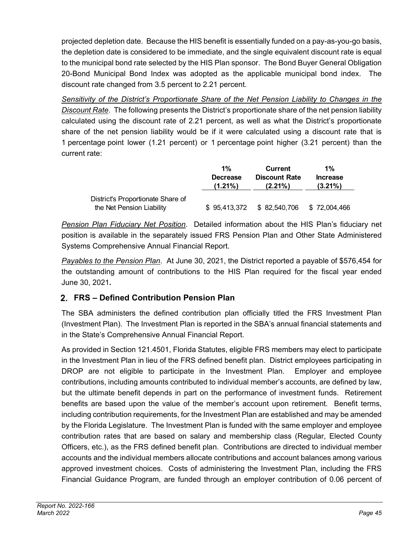projected depletion date. Because the HIS benefit is essentially funded on a pay-as-you-go basis, the depletion date is considered to be immediate, and the single equivalent discount rate is equal to the municipal bond rate selected by the HIS Plan sponsor. The Bond Buyer General Obligation 20-Bond Municipal Bond Index was adopted as the applicable municipal bond index. The discount rate changed from 3.5 percent to 2.21 percent.

*Sensitivity of the District's Proportionate Share of the Net Pension Liability to Changes in the Discount Rate*. The following presents the District's proportionate share of the net pension liability calculated using the discount rate of 2.21 percent, as well as what the District's proportionate share of the net pension liability would be if it were calculated using a discount rate that is 1 percentage point lower (1.21 percent) or 1 percentage point higher (3.21 percent) than the current rate:

|                                   | $1\%$                         | <b>Current</b>                     | $1\%$                         |
|-----------------------------------|-------------------------------|------------------------------------|-------------------------------|
|                                   | <b>Decrease</b><br>$(1.21\%)$ | <b>Discount Rate</b><br>$(2.21\%)$ | <b>Increase</b><br>$(3.21\%)$ |
| District's Proportionate Share of |                               |                                    |                               |
| the Net Pension Liability         | \$95,413,372                  | \$ 82,540,706                      | \$72,004,466                  |

*Pension Plan Fiduciary Net Position*. Detailed information about the HIS Plan's fiduciary net position is available in the separately issued FRS Pension Plan and Other State Administered Systems Comprehensive Annual Financial Report.

*Payables to the Pension Plan*. At June 30, 2021, the District reported a payable of \$576,454 for the outstanding amount of contributions to the HIS Plan required for the fiscal year ended June 30, 2021**.** 

## **FRS – Defined Contribution Pension Plan**

The SBA administers the defined contribution plan officially titled the FRS Investment Plan (Investment Plan). The Investment Plan is reported in the SBA's annual financial statements and in the State's Comprehensive Annual Financial Report.

As provided in Section 121.4501, Florida Statutes, eligible FRS members may elect to participate in the Investment Plan in lieu of the FRS defined benefit plan. District employees participating in DROP are not eligible to participate in the Investment Plan. Employer and employee contributions, including amounts contributed to individual member's accounts, are defined by law, but the ultimate benefit depends in part on the performance of investment funds. Retirement benefits are based upon the value of the member's account upon retirement. Benefit terms, including contribution requirements, for the Investment Plan are established and may be amended by the Florida Legislature. The Investment Plan is funded with the same employer and employee contribution rates that are based on salary and membership class (Regular, Elected County Officers, etc.), as the FRS defined benefit plan. Contributions are directed to individual member accounts and the individual members allocate contributions and account balances among various approved investment choices. Costs of administering the Investment Plan, including the FRS Financial Guidance Program, are funded through an employer contribution of 0.06 percent of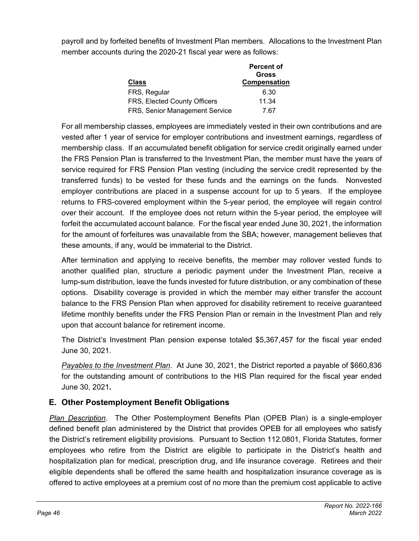payroll and by forfeited benefits of Investment Plan members. Allocations to the Investment Plan member accounts during the 2020-21 fiscal year were as follows:

|                                | <b>Percent of</b> |
|--------------------------------|-------------------|
|                                | Gross             |
| <b>Class</b>                   | Compensation      |
| FRS, Regular                   | 6.30              |
| FRS, Elected County Officers   | 11.34             |
| FRS, Senior Management Service | 7 67              |

For all membership classes, employees are immediately vested in their own contributions and are vested after 1 year of service for employer contributions and investment earnings, regardless of membership class. If an accumulated benefit obligation for service credit originally earned under the FRS Pension Plan is transferred to the Investment Plan, the member must have the years of service required for FRS Pension Plan vesting (including the service credit represented by the transferred funds) to be vested for these funds and the earnings on the funds. Nonvested employer contributions are placed in a suspense account for up to 5 years. If the employee returns to FRS-covered employment within the 5-year period, the employee will regain control over their account. If the employee does not return within the 5-year period, the employee will forfeit the accumulated account balance. For the fiscal year ended June 30, 2021, the information for the amount of forfeitures was unavailable from the SBA; however, management believes that these amounts, if any, would be immaterial to the District.

After termination and applying to receive benefits, the member may rollover vested funds to another qualified plan, structure a periodic payment under the Investment Plan, receive a lump-sum distribution, leave the funds invested for future distribution, or any combination of these options. Disability coverage is provided in which the member may either transfer the account balance to the FRS Pension Plan when approved for disability retirement to receive guaranteed lifetime monthly benefits under the FRS Pension Plan or remain in the Investment Plan and rely upon that account balance for retirement income.

The District's Investment Plan pension expense totaled \$5,367,457 for the fiscal year ended June 30, 2021.

*Payables to the Investment Plan*. At June 30, 2021, the District reported a payable of \$660,836 for the outstanding amount of contributions to the HIS Plan required for the fiscal year ended June 30, 2021**.** 

## **E. Other Postemployment Benefit Obligations**

*Plan Description*. The Other Postemployment Benefits Plan (OPEB Plan) is a single-employer defined benefit plan administered by the District that provides OPEB for all employees who satisfy the District's retirement eligibility provisions. Pursuant to Section 112.0801, Florida Statutes, former employees who retire from the District are eligible to participate in the District's health and hospitalization plan for medical, prescription drug, and life insurance coverage. Retirees and their eligible dependents shall be offered the same health and hospitalization insurance coverage as is offered to active employees at a premium cost of no more than the premium cost applicable to active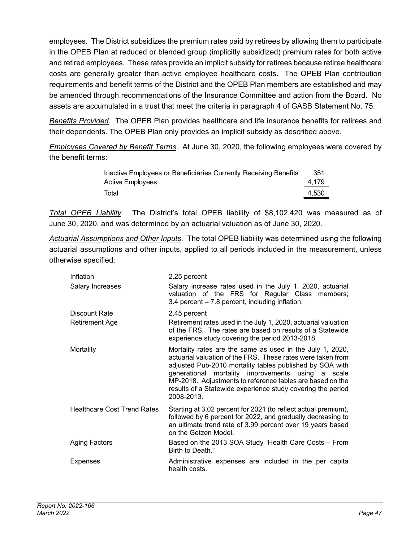employees. The District subsidizes the premium rates paid by retirees by allowing them to participate in the OPEB Plan at reduced or blended group (implicitly subsidized) premium rates for both active and retired employees. These rates provide an implicit subsidy for retirees because retiree healthcare costs are generally greater than active employee healthcare costs. The OPEB Plan contribution requirements and benefit terms of the District and the OPEB Plan members are established and may be amended through recommendations of the Insurance Committee and action from the Board. No assets are accumulated in a trust that meet the criteria in paragraph 4 of GASB Statement No. 75.

*Benefits Provided*.The OPEB Plan provides healthcare and life insurance benefits for retirees and their dependents. The OPEB Plan only provides an implicit subsidy as described above.

*Employees Covered by Benefit Terms*. At June 30, 2020, the following employees were covered by the benefit terms:

| Inactive Employees or Beneficiaries Currently Receiving Benefits | 351   |
|------------------------------------------------------------------|-------|
| <b>Active Employees</b>                                          | 4,179 |
| Total                                                            | 4.530 |

*Total OPEB Liability*. The District's total OPEB liability of \$8,102,420 was measured as of June 30, 2020, and was determined by an actuarial valuation as of June 30, 2020.

*Actuarial Assumptions and Other Inputs*. The total OPEB liability was determined using the following actuarial assumptions and other inputs, applied to all periods included in the measurement, unless otherwise specified:

| Inflation                          | 2.25 percent                                                                                                                                                                                                                                                                                                                                                                        |
|------------------------------------|-------------------------------------------------------------------------------------------------------------------------------------------------------------------------------------------------------------------------------------------------------------------------------------------------------------------------------------------------------------------------------------|
| Salary Increases                   | Salary increase rates used in the July 1, 2020, actuarial<br>valuation of the FRS for Regular Class members;<br>3.4 percent – 7.8 percent, including inflation.                                                                                                                                                                                                                     |
| Discount Rate                      | 2.45 percent                                                                                                                                                                                                                                                                                                                                                                        |
| Retirement Age                     | Retirement rates used in the July 1, 2020, actuarial valuation<br>of the FRS. The rates are based on results of a Statewide<br>experience study covering the period 2013-2018.                                                                                                                                                                                                      |
| Mortality                          | Mortality rates are the same as used in the July 1, 2020,<br>actuarial valuation of the FRS. These rates were taken from<br>adjusted Pub-2010 mortality tables published by SOA with<br>generational mortality improvements using a scale<br>MP-2018. Adjustments to reference tables are based on the<br>results of a Statewide experience study covering the period<br>2008-2013. |
| <b>Healthcare Cost Trend Rates</b> | Starting at 3.02 percent for 2021 (to reflect actual premium),<br>followed by 6 percent for 2022, and gradually decreasing to<br>an ultimate trend rate of 3.99 percent over 19 years based<br>on the Getzen Model.                                                                                                                                                                 |
| Aging Factors                      | Based on the 2013 SOA Study "Health Care Costs – From<br><b>Birth to Death</b> "                                                                                                                                                                                                                                                                                                    |
| <b>Expenses</b>                    | Administrative expenses are included in the per capita<br>health costs.                                                                                                                                                                                                                                                                                                             |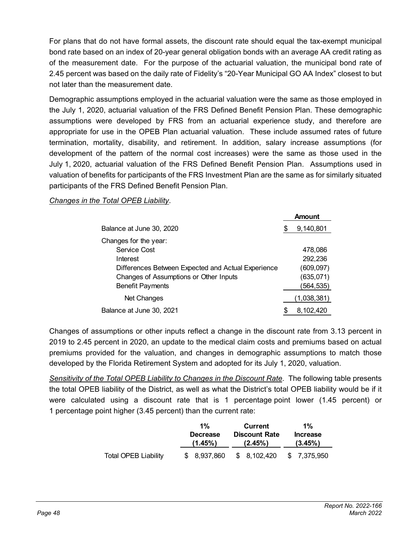For plans that do not have formal assets, the discount rate should equal the tax-exempt municipal bond rate based on an index of 20-year general obligation bonds with an average AA credit rating as of the measurement date. For the purpose of the actuarial valuation, the municipal bond rate of 2.45 percent was based on the daily rate of Fidelity's "20-Year Municipal GO AA Index" closest to but not later than the measurement date.

Demographic assumptions employed in the actuarial valuation were the same as those employed in the July 1, 2020, actuarial valuation of the FRS Defined Benefit Pension Plan. These demographic assumptions were developed by FRS from an actuarial experience study, and therefore are appropriate for use in the OPEB Plan actuarial valuation. These include assumed rates of future termination, mortality, disability, and retirement. In addition, salary increase assumptions (for development of the pattern of the normal cost increases) were the same as those used in the July 1, 2020, actuarial valuation of the FRS Defined Benefit Pension Plan. Assumptions used in valuation of benefits for participants of the FRS Investment Plan are the same as for similarly situated participants of the FRS Defined Benefit Pension Plan.

#### *Changes in the Total OPEB Liability*.

|                                                    | <b>Amount</b>   |
|----------------------------------------------------|-----------------|
| Balance at June 30, 2020                           | \$<br>9,140,801 |
| Changes for the year:                              |                 |
| Service Cost                                       | 478,086         |
| Interest                                           | 292,236         |
| Differences Between Expected and Actual Experience | (609,097)       |
| Changes of Assumptions or Other Inputs             | (635, 071)      |
| <b>Benefit Payments</b>                            | (564, 535)      |
| Net Changes                                        | (1,038,381)     |
| Balance at June 30, 2021                           | \$<br>8.102.420 |

Changes of assumptions or other inputs reflect a change in the discount rate from 3.13 percent in 2019 to 2.45 percent in 2020, an update to the medical claim costs and premiums based on actual premiums provided for the valuation, and changes in demographic assumptions to match those developed by the Florida Retirement System and adopted for its July 1, 2020, valuation.

*Sensitivity of the Total OPEB Liability to Changes in the Discount Rate*. The following table presents the total OPEB liability of the District, as well as what the District's total OPEB liability would be if it were calculated using a discount rate that is 1 percentage point lower (1.45 percent) or 1 percentage point higher (3.45 percent) than the current rate:

|                      | $1\%$           | <b>Current</b>       | $1\%$           |  |
|----------------------|-----------------|----------------------|-----------------|--|
|                      | <b>Decrease</b> | <b>Discount Rate</b> | <b>Increase</b> |  |
|                      | $(1.45\%)$      | $(2.45\%)$           | $(3.45\%)$      |  |
| Total OPEB Liability | \$ 8,937,860    | \$ 8.102.420         | \$7,375,950     |  |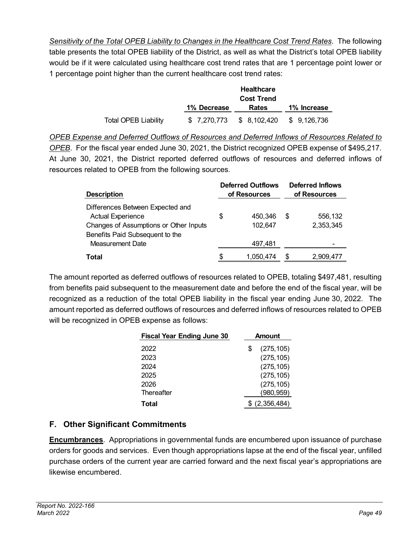*Sensitivity of the Total OPEB Liability to Changes in the Healthcare Cost Trend Rates*. The following table presents the total OPEB liability of the District, as well as what the District's total OPEB liability would be if it were calculated using healthcare cost trend rates that are 1 percentage point lower or 1 percentage point higher than the current healthcare cost trend rates:

|                             |             | <b>Healthcare</b>                      |             |
|-----------------------------|-------------|----------------------------------------|-------------|
|                             |             | <b>Cost Trend</b>                      |             |
|                             | 1% Decrease | Rates                                  | 1% Increase |
| <b>Total OPEB Liability</b> |             | \$ 7,270,773 \$ 8,102,420 \$ 9,126,736 |             |

*OPEB Expense and Deferred Outflows of Resources and Deferred Inflows of Resources Related to OPEB*. For the fiscal year ended June 30, 2021, the District recognized OPEB expense of \$495,217. At June 30, 2021, the District reported deferred outflows of resources and deferred inflows of resources related to OPEB from the following sources.

| <b>Description</b>                                                        |    | <b>Deferred Outflows</b><br>of Resources | <b>Deferred Inflows</b><br>of Resources |           |  |
|---------------------------------------------------------------------------|----|------------------------------------------|-----------------------------------------|-----------|--|
| Differences Between Expected and<br><b>Actual Experience</b>              | \$ | 450,346                                  | \$                                      | 556,132   |  |
| Changes of Assumptions or Other Inputs<br>Benefits Paid Subsequent to the |    | 102,647                                  |                                         | 2,353,345 |  |
| <b>Measurement Date</b>                                                   |    | 497,481                                  |                                         |           |  |
| Total                                                                     |    | 1,050,474                                | S                                       | 2,909,477 |  |

The amount reported as deferred outflows of resources related to OPEB, totaling \$497,481, resulting from benefits paid subsequent to the measurement date and before the end of the fiscal year, will be recognized as a reduction of the total OPEB liability in the fiscal year ending June 30, 2022. The amount reported as deferred outflows of resources and deferred inflows of resources related to OPEB will be recognized in OPEB expense as follows:

| <b>Fiscal Year Ending June 30</b> | Amount           |  |  |
|-----------------------------------|------------------|--|--|
| 2022                              | \$<br>(275, 105) |  |  |
| 2023                              | (275, 105)       |  |  |
| 2024                              | (275, 105)       |  |  |
| 2025                              | (275, 105)       |  |  |
| 2026                              | (275, 105)       |  |  |
| Thereafter                        | (980, 959)       |  |  |
| Total                             | (2,356,484)      |  |  |
|                                   |                  |  |  |

## **F. Other Significant Commitments**

**Encumbrances**. Appropriations in governmental funds are encumbered upon issuance of purchase orders for goods and services. Even though appropriations lapse at the end of the fiscal year, unfilled purchase orders of the current year are carried forward and the next fiscal year's appropriations are likewise encumbered.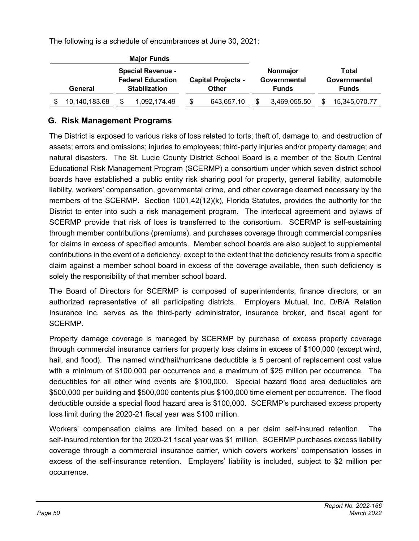The following is a schedule of encumbrances at June 30, 2021:

|               | <b>Major Funds</b>                                                           |                                    |                                          |                                       |
|---------------|------------------------------------------------------------------------------|------------------------------------|------------------------------------------|---------------------------------------|
| General       | <b>Special Revenue -</b><br><b>Federal Education</b><br><b>Stabilization</b> | <b>Capital Projects -</b><br>Other | Nonmajor<br>Governmental<br><b>Funds</b> | Total<br>Governmental<br><b>Funds</b> |
| 10,140,183.68 | 1,092,174.49                                                                 | \$<br>643,657.10                   | 3,469,055.50                             | 15,345,070.77                         |

## **G. Risk Management Programs**

The District is exposed to various risks of loss related to torts; theft of, damage to, and destruction of assets; errors and omissions; injuries to employees; third-party injuries and/or property damage; and natural disasters. The St. Lucie County District School Board is a member of the South Central Educational Risk Management Program (SCERMP) a consortium under which seven district school boards have established a public entity risk sharing pool for property, general liability, automobile liability, workers' compensation, governmental crime, and other coverage deemed necessary by the members of the SCERMP. Section 1001.42(12)(k), Florida Statutes, provides the authority for the District to enter into such a risk management program. The interlocal agreement and bylaws of SCERMP provide that risk of loss is transferred to the consortium. SCERMP is self-sustaining through member contributions (premiums), and purchases coverage through commercial companies for claims in excess of specified amounts. Member school boards are also subject to supplemental contributions in the event of a deficiency, except to the extent that the deficiency results from a specific claim against a member school board in excess of the coverage available, then such deficiency is solely the responsibility of that member school board.

The Board of Directors for SCERMP is composed of superintendents, finance directors, or an authorized representative of all participating districts. Employers Mutual, Inc. D/B/A Relation Insurance Inc. serves as the third-party administrator, insurance broker, and fiscal agent for SCERMP.

Property damage coverage is managed by SCERMP by purchase of excess property coverage through commercial insurance carriers for property loss claims in excess of \$100,000 (except wind, hail, and flood). The named wind/hail/hurricane deductible is 5 percent of replacement cost value with a minimum of \$100,000 per occurrence and a maximum of \$25 million per occurrence. The deductibles for all other wind events are \$100,000. Special hazard flood area deductibles are \$500,000 per building and \$500,000 contents plus \$100,000 time element per occurrence. The flood deductible outside a special flood hazard area is \$100,000. SCERMP's purchased excess property loss limit during the 2020-21 fiscal year was \$100 million.

Workers' compensation claims are limited based on a per claim self-insured retention. The self-insured retention for the 2020-21 fiscal year was \$1 million. SCERMP purchases excess liability coverage through a commercial insurance carrier, which covers workers' compensation losses in excess of the self-insurance retention. Employers' liability is included, subject to \$2 million per occurrence.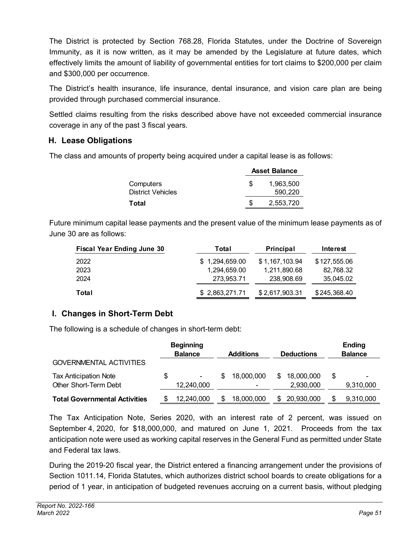The District is protected by Section 768.28, Florida Statutes, under the Doctrine of Sovereign Immunity, as it is now written, as it may be amended by the Legislature at future dates, which effectively limits the amount of liability of governmental entities for tort claims to \$200,000 per claim and \$300,000 per occurrence.

The District's health insurance, life insurance, dental insurance, and vision care plan are being provided through purchased commercial insurance.

Settled claims resulting from the risks described above have not exceeded commercial insurance coverage in any of the past 3 fiscal years.

## **H. Lease Obligations**

The class and amounts of property being acquired under a capital lease is as follows:

|                          | <b>Asset Balance</b> |           |  |  |
|--------------------------|----------------------|-----------|--|--|
| Computers                | \$.                  | 1.963.500 |  |  |
| <b>District Vehicles</b> |                      | 590.220   |  |  |
| Total                    | \$.                  | 2.553.720 |  |  |

Future minimum capital lease payments and the present value of the minimum lease payments as of June 30 are as follows:

| <b>Fiscal Year Ending June 30</b> | Total          | <b>Principal</b> | Interest     |
|-----------------------------------|----------------|------------------|--------------|
| 2022                              | \$1,294,659.00 | \$1,167,103.94   | \$127,555.06 |
| 2023                              | 1.294.659.00   | 1,211,890.68     | 82,768.32    |
| 2024                              | 273,953.71     | 238,908.69       | 35,045.02    |
| Total                             | \$2,863,271.71 | \$2,617,903.31   | \$245,368.40 |
|                                   |                |                  |              |

## **I. Changes in Short-Term Debt**

The following is a schedule of changes in short-term debt:

|                                                       | <b>Beginning</b><br><b>Balance</b><br><b>Additions</b> |            | <b>Deductions</b> |                                            |  | Ending<br><b>Balance</b> |    |           |
|-------------------------------------------------------|--------------------------------------------------------|------------|-------------------|--------------------------------------------|--|--------------------------|----|-----------|
| <b>GOVERNMENTAL ACTIVITIES</b>                        |                                                        |            |                   |                                            |  |                          |    |           |
| <b>Tax Anticipation Note</b><br>Other Short-Term Debt | \$                                                     | 12,240,000 | S                 | 18,000,000<br>$\qquad \qquad \blacksquare$ |  | 18,000,000<br>2,930,000  | \$ | 9,310,000 |
| <b>Total Governmental Activities</b>                  |                                                        | 12,240,000 |                   | 18,000,000                                 |  | 20,930,000               | S  | 9,310,000 |

The Tax Anticipation Note, Series 2020, with an interest rate of 2 percent, was issued on September 4, 2020, for \$18,000,000, and matured on June 1, 2021. Proceeds from the tax anticipation note were used as working capital reserves in the General Fund as permitted under State and Federal tax laws.

During the 2019-20 fiscal year, the District entered a financing arrangement under the provisions of Section 1011.14, Florida Statutes, which authorizes district school boards to create obligations for a period of 1 year, in anticipation of budgeted revenues accruing on a current basis, without pledging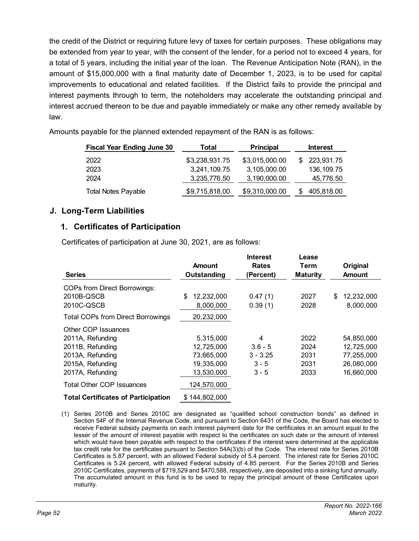the credit of the District or requiring future levy of taxes for certain purposes. These obligations may be extended from year to year, with the consent of the lender, for a period not to exceed 4 years, for a total of 5 years, including the initial year of the loan. The Revenue Anticipation Note (RAN), in the amount of \$15,000,000 with a final maturity date of December 1, 2023, is to be used for capital improvements to educational and related facilities. If the District fails to provide the principal and interest payments through to term, the noteholders may accelerate the outstanding principal and interest accrued thereon to be due and payable immediately or make any other remedy available by law.

| <b>Fiscal Year Ending June 30</b> | <b>Principal</b><br>Total |                | <b>Interest</b> |
|-----------------------------------|---------------------------|----------------|-----------------|
| 2022                              | \$3,238,931.75            | \$3,015,000.00 | 223,931.75      |
| 2023                              | 3,241,109.75              | 3,105,000.00   | 136, 109. 75    |
| 2024                              | 3,235,776.50              | 3,190,000.00   | 45,776.50       |
| <b>Total Notes Payable</b>        | \$9,715,818.00            | \$9,310,000.00 | 405,818.00      |

Amounts payable for the planned extended repayment of the RAN is as follows:

#### **J. Long-Term Liabilities**

### **Certificates of Participation**

Certificates of participation at June 30, 2021, are as follows:

| <b>Series</b>                                                                                                           | <b>Amount</b><br>Outstanding                                      | <b>Interest</b><br><b>Rates</b><br>(Percent)       | Lease<br>Term<br><b>Maturity</b>     | Original<br><b>Amount</b>                                          |
|-------------------------------------------------------------------------------------------------------------------------|-------------------------------------------------------------------|----------------------------------------------------|--------------------------------------|--------------------------------------------------------------------|
| <b>COPs from Direct Borrowings:</b><br>2010B-QSCB<br>2010C-QSCB                                                         | 12,232,000<br>\$<br>8,000,000                                     | 0.47(1)<br>0.39(1)                                 | 2027<br>2028                         | \$<br>12,232,000<br>8,000,000                                      |
| <b>Total COPs from Direct Borrowings</b>                                                                                | 20,232,000                                                        |                                                    |                                      |                                                                    |
| Other COP Issuances<br>2011A, Refunding<br>2011B, Refunding<br>2013A, Refunding<br>2015A, Refunding<br>2017A, Refunding | 5,315,000<br>12,725,000<br>73,665,000<br>19,335,000<br>13,530,000 | 4<br>$3.6 - 5$<br>$3 - 3.25$<br>$3 - 5$<br>$3 - 5$ | 2022<br>2024<br>2031<br>2031<br>2033 | 54,850,000<br>12,725,000<br>77,255,000<br>26,080,000<br>16,660,000 |
| <b>Total Other COP Issuances</b>                                                                                        | 124,570,000                                                       |                                                    |                                      |                                                                    |
| <b>Total Certificates of Participation</b>                                                                              | \$144,802,000                                                     |                                                    |                                      |                                                                    |

(1) Series 2010B and Series 2010C are designated as "qualified school construction bonds" as defined in Section 54F of the Internal Revenue Code, and pursuant to Section 6431 of the Code, the Board has elected to receive Federal subsidy payments on each interest payment date for the certificates in an amount equal to the lesser of the amount of interest payable with respect to the certificates on such date or the amount of interest which would have been payable with respect to the certificates if the interest were determined at the applicable tax credit rate for the certificates pursuant to Section 54A(3)(b) of the Code. The interest rate for Series 2010B Certificates is 5.87 percent, with an allowed Federal subsidy of 5.4 percent. The interest rate for Series 2010C Certificates is 5.24 percent, with allowed Federal subsidy of 4.85 percent. For the Series 2010B and Series 2010C Certificates, payments of \$719,529 and \$470,588, respectively, are deposited into a sinking fund annually. The accumulated amount in this fund is to be used to repay the principal amount of these Certificates upon maturity.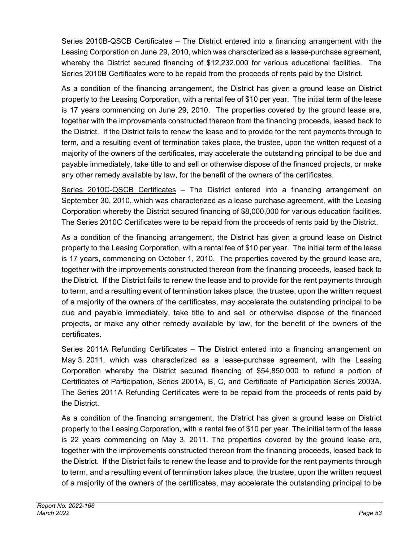Series 2010B-QSCB Certificates – The District entered into a financing arrangement with the Leasing Corporation on June 29, 2010, which was characterized as a lease-purchase agreement, whereby the District secured financing of \$12,232,000 for various educational facilities. The Series 2010B Certificates were to be repaid from the proceeds of rents paid by the District.

As a condition of the financing arrangement, the District has given a ground lease on District property to the Leasing Corporation, with a rental fee of \$10 per year. The initial term of the lease is 17 years commencing on June 29, 2010. The properties covered by the ground lease are, together with the improvements constructed thereon from the financing proceeds, leased back to the District. If the District fails to renew the lease and to provide for the rent payments through to term, and a resulting event of termination takes place, the trustee, upon the written request of a majority of the owners of the certificates, may accelerate the outstanding principal to be due and payable immediately, take title to and sell or otherwise dispose of the financed projects, or make any other remedy available by law, for the benefit of the owners of the certificates.

Series 2010C-QSCB Certificates – The District entered into a financing arrangement on September 30, 2010, which was characterized as a lease purchase agreement, with the Leasing Corporation whereby the District secured financing of \$8,000,000 for various education facilities. The Series 2010C Certificates were to be repaid from the proceeds of rents paid by the District.

As a condition of the financing arrangement, the District has given a ground lease on District property to the Leasing Corporation, with a rental fee of \$10 per year. The initial term of the lease is 17 years, commencing on October 1, 2010. The properties covered by the ground lease are, together with the improvements constructed thereon from the financing proceeds, leased back to the District. If the District fails to renew the lease and to provide for the rent payments through to term, and a resulting event of termination takes place, the trustee, upon the written request of a majority of the owners of the certificates, may accelerate the outstanding principal to be due and payable immediately, take title to and sell or otherwise dispose of the financed projects, or make any other remedy available by law, for the benefit of the owners of the certificates.

Series 2011A Refunding Certificates - The District entered into a financing arrangement on May 3, 2011, which was characterized as a lease-purchase agreement, with the Leasing Corporation whereby the District secured financing of \$54,850,000 to refund a portion of Certificates of Participation, Series 2001A, B, C, and Certificate of Participation Series 2003A. The Series 2011A Refunding Certificates were to be repaid from the proceeds of rents paid by the District.

As a condition of the financing arrangement, the District has given a ground lease on District property to the Leasing Corporation, with a rental fee of \$10 per year. The initial term of the lease is 22 years commencing on May 3, 2011. The properties covered by the ground lease are, together with the improvements constructed thereon from the financing proceeds, leased back to the District. If the District fails to renew the lease and to provide for the rent payments through to term, and a resulting event of termination takes place, the trustee, upon the written request of a majority of the owners of the certificates, may accelerate the outstanding principal to be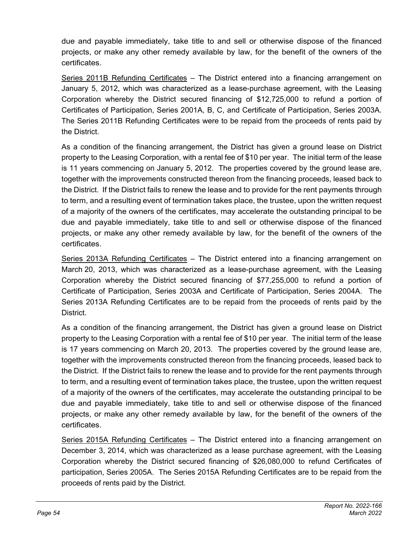due and payable immediately, take title to and sell or otherwise dispose of the financed projects, or make any other remedy available by law, for the benefit of the owners of the certificates.

Series 2011B Refunding Certificates – The District entered into a financing arrangement on January 5, 2012, which was characterized as a lease-purchase agreement, with the Leasing Corporation whereby the District secured financing of \$12,725,000 to refund a portion of Certificates of Participation, Series 2001A, B, C, and Certificate of Participation, Series 2003A. The Series 2011B Refunding Certificates were to be repaid from the proceeds of rents paid by the District.

As a condition of the financing arrangement, the District has given a ground lease on District property to the Leasing Corporation, with a rental fee of \$10 per year. The initial term of the lease is 11 years commencing on January 5, 2012. The properties covered by the ground lease are, together with the improvements constructed thereon from the financing proceeds, leased back to the District. If the District fails to renew the lease and to provide for the rent payments through to term, and a resulting event of termination takes place, the trustee, upon the written request of a majority of the owners of the certificates, may accelerate the outstanding principal to be due and payable immediately, take title to and sell or otherwise dispose of the financed projects, or make any other remedy available by law, for the benefit of the owners of the certificates.

Series 2013A Refunding Certificates – The District entered into a financing arrangement on March 20, 2013, which was characterized as a lease-purchase agreement, with the Leasing Corporation whereby the District secured financing of \$77,255,000 to refund a portion of Certificate of Participation, Series 2003A and Certificate of Participation, Series 2004A. The Series 2013A Refunding Certificates are to be repaid from the proceeds of rents paid by the District.

As a condition of the financing arrangement, the District has given a ground lease on District property to the Leasing Corporation with a rental fee of \$10 per year. The initial term of the lease is 17 years commencing on March 20, 2013. The properties covered by the ground lease are, together with the improvements constructed thereon from the financing proceeds, leased back to the District. If the District fails to renew the lease and to provide for the rent payments through to term, and a resulting event of termination takes place, the trustee, upon the written request of a majority of the owners of the certificates, may accelerate the outstanding principal to be due and payable immediately, take title to and sell or otherwise dispose of the financed projects, or make any other remedy available by law, for the benefit of the owners of the certificates.

Series 2015A Refunding Certificates – The District entered into a financing arrangement on December 3, 2014, which was characterized as a lease purchase agreement, with the Leasing Corporation whereby the District secured financing of \$26,080,000 to refund Certificates of participation, Series 2005A. The Series 2015A Refunding Certificates are to be repaid from the proceeds of rents paid by the District.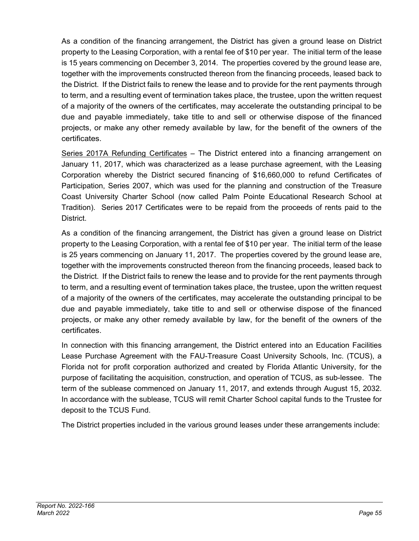As a condition of the financing arrangement, the District has given a ground lease on District property to the Leasing Corporation, with a rental fee of \$10 per year. The initial term of the lease is 15 years commencing on December 3, 2014. The properties covered by the ground lease are, together with the improvements constructed thereon from the financing proceeds, leased back to the District. If the District fails to renew the lease and to provide for the rent payments through to term, and a resulting event of termination takes place, the trustee, upon the written request of a majority of the owners of the certificates, may accelerate the outstanding principal to be due and payable immediately, take title to and sell or otherwise dispose of the financed projects, or make any other remedy available by law, for the benefit of the owners of the certificates.

Series 2017A Refunding Certificates – The District entered into a financing arrangement on January 11, 2017, which was characterized as a lease purchase agreement, with the Leasing Corporation whereby the District secured financing of \$16,660,000 to refund Certificates of Participation, Series 2007, which was used for the planning and construction of the Treasure Coast University Charter School (now called Palm Pointe Educational Research School at Tradition). Series 2017 Certificates were to be repaid from the proceeds of rents paid to the District.

As a condition of the financing arrangement, the District has given a ground lease on District property to the Leasing Corporation, with a rental fee of \$10 per year. The initial term of the lease is 25 years commencing on January 11, 2017. The properties covered by the ground lease are, together with the improvements constructed thereon from the financing proceeds, leased back to the District. If the District fails to renew the lease and to provide for the rent payments through to term, and a resulting event of termination takes place, the trustee, upon the written request of a majority of the owners of the certificates, may accelerate the outstanding principal to be due and payable immediately, take title to and sell or otherwise dispose of the financed projects, or make any other remedy available by law, for the benefit of the owners of the certificates.

In connection with this financing arrangement, the District entered into an Education Facilities Lease Purchase Agreement with the FAU-Treasure Coast University Schools, Inc. (TCUS), a Florida not for profit corporation authorized and created by Florida Atlantic University, for the purpose of facilitating the acquisition, construction, and operation of TCUS, as sub-lessee. The term of the sublease commenced on January 11, 2017, and extends through August 15, 2032. In accordance with the sublease, TCUS will remit Charter School capital funds to the Trustee for deposit to the TCUS Fund.

The District properties included in the various ground leases under these arrangements include: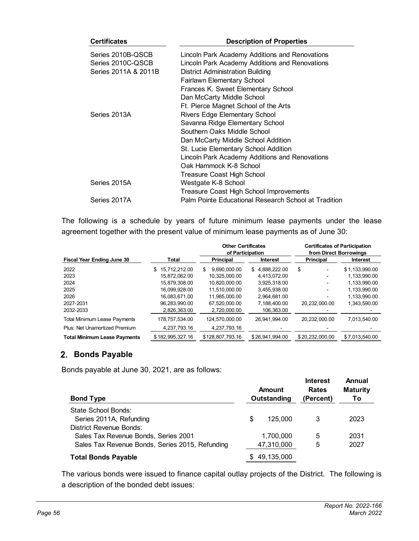| <b>Certificates</b>  | <b>Description of Properties</b>                     |
|----------------------|------------------------------------------------------|
| Series 2010B-QSCB    | Lincoln Park Academy Additions and Renovations       |
| Series 2010C-QSCB    | Lincoln Park Academy Additions and Renovations       |
| Series 2011A & 2011B | <b>District Administration Building</b>              |
|                      | <b>Fairlawn Elementary School</b>                    |
|                      | Frances K. Sweet Elementary School                   |
|                      | Dan McCarty Middle School                            |
|                      | Ft. Pierce Magnet School of the Arts                 |
| Series 2013A         | <b>Rivers Edge Elementary School</b>                 |
|                      | Savanna Ridge Elementary School                      |
|                      | Southern Oaks Middle School                          |
|                      | Dan McCarty Middle School Addition                   |
|                      | St. Lucie Elementary School Addition                 |
|                      | Lincoln Park Academy Additions and Renovations       |
|                      | Oak Hammock K-8 School                               |
|                      | Treasure Coast High School                           |
| Series 2015A         | Westgate K-8 School                                  |
|                      | Treasure Coast High School Improvements              |
| Series 2017A         | Palm Pointe Educational Research School at Tradition |

The following is a schedule by years of future minimum lease payments under the lease agreement together with the present value of minimum lease payments as of June 30:

|                                     |                     | <b>Other Certificates</b><br>of Participation |                 | <b>Certificates of Participation</b><br>from Direct Borrowings |                 |
|-------------------------------------|---------------------|-----------------------------------------------|-----------------|----------------------------------------------------------------|-----------------|
| <b>Fiscal Year Ending June 30</b>   | Total               | <b>Principal</b>                              | <b>Interest</b> | <b>Principal</b>                                               | <b>Interest</b> |
| 2022                                | 15.712.212.00<br>S. | 9.690.000.00<br>\$.                           | \$4.888.222.00  | \$                                                             | \$1.133.990.00  |
| 2023                                | 15.872.062.00       | 10.325.000.00                                 | 4.413.072.00    |                                                                | 1,133,990.00    |
| 2024                                | 15.879.308.00       | 10.820.000.00                                 | 3,925,318.00    |                                                                | 1,133,990.00    |
| 2025                                | 16.099.928.00       | 11.510.000.00                                 | 3.455.938.00    |                                                                | 1.133.990.00    |
| 2026                                | 16.083.671.00       | 11.985.000.00                                 | 2.964.681.00    |                                                                | 1,133,990.00    |
| 2027-2031                           | 96.283.990.00       | 67.520.000.00                                 | 7.188.400.00    | 20.232.000.00                                                  | 1,343,590.00    |
| 2032-2033                           | 2,826,363.00        | 2,720,000.00                                  | 106,363.00      |                                                                |                 |
| <b>Total Minimum Lease Payments</b> | 178.757.534.00      | 124.570.000.00                                | 26.941.994.00   | 20.232.000.00                                                  | 7,013,540.00    |
| Plus: Net Unamortized Premium       | 4,237,793.16        | 4,237,793.16                                  |                 |                                                                |                 |
| <b>Total Minimum Lease Payments</b> | \$182.995.327.16    | \$128.807.793.16                              | \$26.941.994.00 | \$20.232,000.00                                                | \$7.013.540.00  |

## **Bonds Payable**

Bonds payable at June 30, 2021, are as follows:

| <b>Bond Type</b>                                                                                                   |   | Amount<br>Outstanding   | <b>Interest</b><br><b>Rates</b><br>(Percent) | Annual<br><b>Maturity</b><br>Τo |
|--------------------------------------------------------------------------------------------------------------------|---|-------------------------|----------------------------------------------|---------------------------------|
| State School Bonds:<br>Series 2011A, Refunding                                                                     | S | 125.000                 | 3                                            | 2023                            |
| District Revenue Bonds:<br>Sales Tax Revenue Bonds, Series 2001<br>Sales Tax Revenue Bonds, Series 2015, Refunding |   | 1,700,000<br>47,310,000 | 5<br>5                                       | 2031<br>2027                    |
| <b>Total Bonds Payable</b>                                                                                         |   | 49,135,000              |                                              |                                 |

The various bonds were issued to finance capital outlay projects of the District. The following is a description of the bonded debt issues: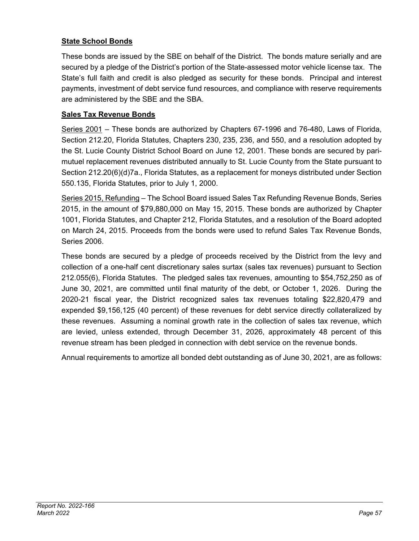## **State School Bonds**

These bonds are issued by the SBE on behalf of the District. The bonds mature serially and are secured by a pledge of the District's portion of the State-assessed motor vehicle license tax. The State's full faith and credit is also pledged as security for these bonds. Principal and interest payments, investment of debt service fund resources, and compliance with reserve requirements are administered by the SBE and the SBA.

## **Sales Tax Revenue Bonds**

Series 2001 – These bonds are authorized by Chapters 67-1996 and 76-480, Laws of Florida, Section 212.20, Florida Statutes, Chapters 230, 235, 236, and 550, and a resolution adopted by the St. Lucie County District School Board on June 12, 2001. These bonds are secured by parimutuel replacement revenues distributed annually to St. Lucie County from the State pursuant to Section 212.20(6)(d)7a., Florida Statutes, as a replacement for moneys distributed under Section 550.135, Florida Statutes, prior to July 1, 2000.

Series 2015, Refunding – The School Board issued Sales Tax Refunding Revenue Bonds, Series 2015, in the amount of \$79,880,000 on May 15, 2015. These bonds are authorized by Chapter 1001, Florida Statutes, and Chapter 212, Florida Statutes, and a resolution of the Board adopted on March 24, 2015. Proceeds from the bonds were used to refund Sales Tax Revenue Bonds, Series 2006.

These bonds are secured by a pledge of proceeds received by the District from the levy and collection of a one-half cent discretionary sales surtax (sales tax revenues) pursuant to Section 212.055(6), Florida Statutes. The pledged sales tax revenues, amounting to \$54,752,250 as of June 30, 2021, are committed until final maturity of the debt, or October 1, 2026. During the 2020-21 fiscal year, the District recognized sales tax revenues totaling \$22,820,479 and expended \$9,156,125 (40 percent) of these revenues for debt service directly collateralized by these revenues. Assuming a nominal growth rate in the collection of sales tax revenue, which are levied, unless extended, through December 31, 2026, approximately 48 percent of this revenue stream has been pledged in connection with debt service on the revenue bonds.

Annual requirements to amortize all bonded debt outstanding as of June 30, 2021, are as follows: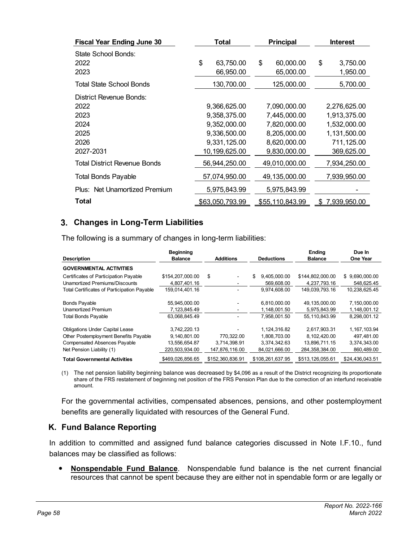| <b>Fiscal Year Ending June 30</b>                                            | Total                                                                                         | <b>Principal</b>                                                                             | <b>Interest</b>                                                                          |  |
|------------------------------------------------------------------------------|-----------------------------------------------------------------------------------------------|----------------------------------------------------------------------------------------------|------------------------------------------------------------------------------------------|--|
| State School Bonds:<br>2022<br>2023                                          | \$<br>63,750.00<br>66,950.00                                                                  | \$<br>60,000.00<br>65,000.00                                                                 | \$<br>3,750.00<br>1,950.00                                                               |  |
| <b>Total State School Bonds</b>                                              | 130,700.00                                                                                    | 125,000.00                                                                                   | 5,700.00                                                                                 |  |
| District Revenue Bonds:<br>2022<br>2023<br>2024<br>2025<br>2026<br>2027-2031 | 9,366,625.00<br>9,358,375.00<br>9,352,000.00<br>9,336,500.00<br>9,331,125.00<br>10,199,625.00 | 7,090,000.00<br>7,445,000.00<br>7,820,000.00<br>8,205,000.00<br>8,620,000.00<br>9,830,000.00 | 2,276,625.00<br>1,913,375.00<br>1,532,000.00<br>1,131,500.00<br>711,125.00<br>369,625.00 |  |
| <b>Total District Revenue Bonds</b>                                          | 56,944,250.00                                                                                 | 49,010,000.00                                                                                | 7,934,250.00                                                                             |  |
| <b>Total Bonds Payable</b>                                                   | 57,074,950.00                                                                                 | 49,135,000.00                                                                                | 7,939,950.00                                                                             |  |
| Plus: Net Unamortized Premium                                                | 5,975,843.99                                                                                  | 5,975,843.99                                                                                 |                                                                                          |  |
| Total                                                                        | \$63,050,793.99                                                                               | \$55,110,843.99                                                                              | 7,939,950.00<br>S                                                                        |  |

## **Changes in Long-Term Liabilities**

The following is a summary of changes in long-term liabilities:

|                                                    | <b>Beginning</b> |                  |                    | Ending           | Due In          |
|----------------------------------------------------|------------------|------------------|--------------------|------------------|-----------------|
| <b>Description</b>                                 | <b>Balance</b>   | <b>Additions</b> | <b>Deductions</b>  | <b>Balance</b>   | One Year        |
| <b>GOVERNMENTAL ACTIVITIES</b>                     |                  |                  |                    |                  |                 |
| Certificates of Participation Payable              | \$154,207,000.00 | \$<br>۰          | 9,405,000.00<br>\$ | \$144,802,000.00 | \$9,690,000.00  |
| <b>Unamortized Premiums/Discounts</b>              | 4,807,401.16     |                  | 569,608.00         | 4,237,793.16     | 548,625.45      |
| <b>Total Certificates of Participation Payable</b> | 159.014.401.16   |                  | 9.974.608.00       | 149.039.793.16   | 10,238,625.45   |
|                                                    |                  |                  |                    |                  |                 |
| <b>Bonds Payable</b>                               | 55,945,000.00    |                  | 6,810,000.00       | 49,135,000.00    | 7,150,000.00    |
| <b>Unamortized Premium</b>                         | 7.123.845.49     |                  | 1.148.001.50       | 5.975.843.99     | 1,148,001.12    |
| <b>Total Bonds Payable</b>                         | 63.068.845.49    |                  | 7.958.001.50       | 55.110.843.99    | 8,298,001.12    |
|                                                    |                  |                  |                    |                  |                 |
| <b>Obligations Under Capital Lease</b>             | 3,742,220.13     |                  | 1,124,316.82       | 2.617.903.31     | 1,167,103.94    |
| Other Postemployment Benefits Payable              | 9.140.801.00     | 770.322.00       | 1,808,703.00       | 8.102.420.00     | 497.481.00      |
| <b>Compensated Absences Payable</b>                | 13,556,654.87    | 3,714,398.91     | 3,374,342.63       | 13,896,711.15    | 3,374,343.00    |
| Net Pension Liability (1)                          | 220,503,934.00   | 147,876,116.00   | 84,021,666.00      | 284,358,384.00   | 860,489.00      |
| <b>Total Governmental Activities</b>               | \$469,026,856.65 | \$152,360,836.91 | \$108,261,637.95   | \$513,126,055.61 | \$24,436,043.51 |

(1) The net pension liability beginning balance was decreased by \$4,096 as a result of the District recognizing its proportionate share of the FRS restatement of beginning net position of the FRS Pension Plan due to the correction of an interfund receivable amount.

For the governmental activities, compensated absences, pensions, and other postemployment benefits are generally liquidated with resources of the General Fund.

### **K. Fund Balance Reporting**

In addition to committed and assigned fund balance categories discussed in Note I.F.10., fund balances may be classified as follows:

 **Nonspendable Fund Balance**. Nonspendable fund balance is the net current financial resources that cannot be spent because they are either not in spendable form or are legally or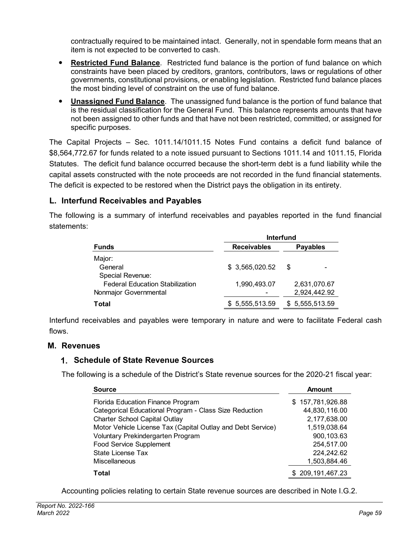contractually required to be maintained intact. Generally, not in spendable form means that an item is not expected to be converted to cash.

- **Restricted Fund Balance**. Restricted fund balance is the portion of fund balance on which constraints have been placed by creditors, grantors, contributors, laws or regulations of other governments, constitutional provisions, or enabling legislation. Restricted fund balance places the most binding level of constraint on the use of fund balance.
- **Unassigned Fund Balance**. The unassigned fund balance is the portion of fund balance that is the residual classification for the General Fund. This balance represents amounts that have not been assigned to other funds and that have not been restricted, committed, or assigned for specific purposes.

The Capital Projects – Sec. 1011.14/1011.15 Notes Fund contains a deficit fund balance of \$8,564,772.67 for funds related to a note issued pursuant to Sections 1011.14 and 1011.15, Florida Statutes. The deficit fund balance occurred because the short-term debt is a fund liability while the capital assets constructed with the note proceeds are not recorded in the fund financial statements. The deficit is expected to be restored when the District pays the obligation in its entirety.

## **L. Interfund Receivables and Payables**

The following is a summary of interfund receivables and payables reported in the fund financial statements:

|                                        | <b>Interfund</b>   |                 |  |  |
|----------------------------------------|--------------------|-----------------|--|--|
| <b>Funds</b>                           | <b>Receivables</b> | <b>Payables</b> |  |  |
| Major:                                 |                    |                 |  |  |
| General                                | \$3,565,020.52     | S               |  |  |
| Special Revenue:                       |                    |                 |  |  |
| <b>Federal Education Stabilization</b> | 1,990,493.07       | 2,631,070.67    |  |  |
| Nonmajor Governmental                  |                    | 2,924,442.92    |  |  |
| Total                                  | \$5,555,513.59     | \$5,555,513.59  |  |  |

Interfund receivables and payables were temporary in nature and were to facilitate Federal cash flows.

### **M. Revenues**

## **Schedule of State Revenue Sources**

The following is a schedule of the District's State revenue sources for the 2020-21 fiscal year:

| <b>Source</b>                                               | <b>Amount</b>    |
|-------------------------------------------------------------|------------------|
| <b>Florida Education Finance Program</b>                    | \$157,781,926.88 |
| Categorical Educational Program - Class Size Reduction      | 44,830,116.00    |
| <b>Charter School Capital Outlay</b>                        | 2,177,638.00     |
| Motor Vehicle License Tax (Capital Outlay and Debt Service) | 1,519,038.64     |
| Voluntary Prekindergarten Program                           | 900,103.63       |
| Food Service Supplement                                     | 254,517.00       |
| State License Tax                                           | 224,242.62       |
| Miscellaneous                                               | 1,503,884.46     |
| Total                                                       | \$209,191,467.23 |

Accounting policies relating to certain State revenue sources are described in Note I.G.2.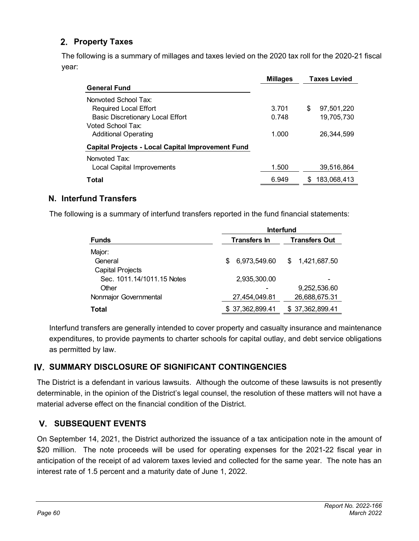## **Property Taxes**

The following is a summary of millages and taxes levied on the 2020 tax roll for the 2020-21 fiscal year:

|                                                          | <b>Millages</b> |    | <b>Taxes Levied</b> |
|----------------------------------------------------------|-----------------|----|---------------------|
| <b>General Fund</b>                                      |                 |    |                     |
| Nonvoted School Tax:                                     |                 |    |                     |
| <b>Required Local Effort</b>                             | 3.701           | S  | 97.501.220          |
| <b>Basic Discretionary Local Effort</b>                  | 0.748           |    | 19,705,730          |
| Voted School Tax:                                        |                 |    |                     |
| <b>Additional Operating</b>                              | 1.000           |    | 26,344,599          |
| <b>Capital Projects - Local Capital Improvement Fund</b> |                 |    |                     |
| Nonvoted Tax:                                            |                 |    |                     |
| Local Capital Improvements                               | 1.500           |    | 39,516,864          |
| Total                                                    | 6.949           | \$ | 183.068.413         |

## **N. Interfund Transfers**

The following is a summary of interfund transfers reported in the fund financial statements:

|                            | <b>Interfund</b>    |                      |  |  |  |  |
|----------------------------|---------------------|----------------------|--|--|--|--|
| <b>Funds</b>               | <b>Transfers In</b> | <b>Transfers Out</b> |  |  |  |  |
| Major:                     |                     |                      |  |  |  |  |
| General                    | 6,973,549.60<br>S   | \$1,421,687.50       |  |  |  |  |
| <b>Capital Projects</b>    |                     |                      |  |  |  |  |
| Sec. 1011.14/1011.15 Notes | 2,935,300.00        |                      |  |  |  |  |
| Other                      |                     | 9,252,536.60         |  |  |  |  |
| Nonmajor Governmental      | 27,454,049.81       | 26,688,675.31        |  |  |  |  |
| Total                      | \$37,362,899.41     | \$37,362,899.41      |  |  |  |  |

Interfund transfers are generally intended to cover property and casualty insurance and maintenance expenditures, to provide payments to charter schools for capital outlay, and debt service obligations as permitted by law.

## **SUMMARY DISCLOSURE OF SIGNIFICANT CONTINGENCIES**

The District is a defendant in various lawsuits. Although the outcome of these lawsuits is not presently determinable, in the opinion of the District's legal counsel, the resolution of these matters will not have a material adverse effect on the financial condition of the District.

## **SUBSEQUENT EVENTS**

On September 14, 2021, the District authorized the issuance of a tax anticipation note in the amount of \$20 million. The note proceeds will be used for operating expenses for the 2021-22 fiscal year in anticipation of the receipt of ad valorem taxes levied and collected for the same year. The note has an interest rate of 1.5 percent and a maturity date of June 1, 2022.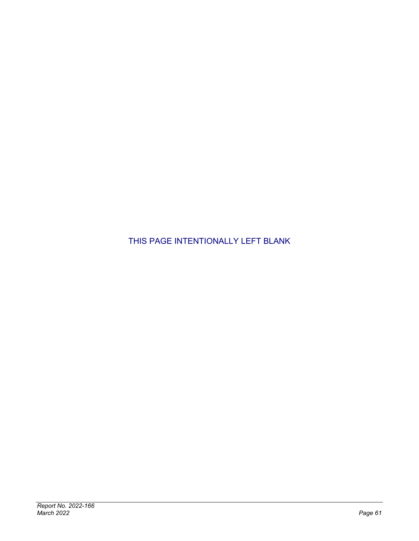THIS PAGE INTENTIONALLY LEFT BLANK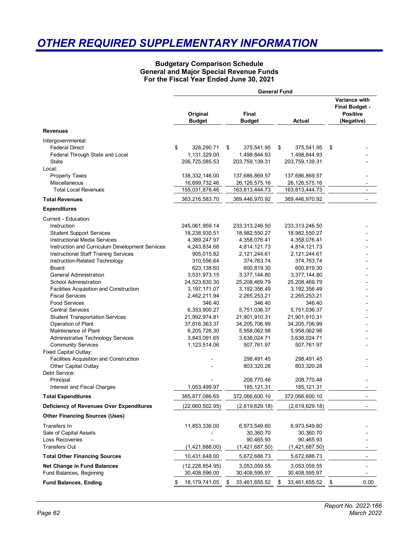# *OTHER REQUIRED SUPPLEMENTARY INFORMATION*

#### **Budgetary Comparison Schedule General and Major Special Revenue Funds For the Fiscal Year Ended June 30, 2021**

|                                                                                                                                                                                                                                                                                                                                                                                                                                                                                                                                              | <b>General Fund</b>                                                                                                                                                                                                                                      |                                                                                                                                                                                                                                                            |                                                                                                                                                                                                                                                            |                                                                                |  |  |  |
|----------------------------------------------------------------------------------------------------------------------------------------------------------------------------------------------------------------------------------------------------------------------------------------------------------------------------------------------------------------------------------------------------------------------------------------------------------------------------------------------------------------------------------------------|----------------------------------------------------------------------------------------------------------------------------------------------------------------------------------------------------------------------------------------------------------|------------------------------------------------------------------------------------------------------------------------------------------------------------------------------------------------------------------------------------------------------------|------------------------------------------------------------------------------------------------------------------------------------------------------------------------------------------------------------------------------------------------------------|--------------------------------------------------------------------------------|--|--|--|
|                                                                                                                                                                                                                                                                                                                                                                                                                                                                                                                                              | Original<br><b>Budget</b>                                                                                                                                                                                                                                | <b>Final</b><br><b>Budget</b>                                                                                                                                                                                                                              | <b>Actual</b>                                                                                                                                                                                                                                              | <b>Variance with</b><br><b>Final Budget -</b><br><b>Positive</b><br>(Negative) |  |  |  |
| <b>Revenues</b>                                                                                                                                                                                                                                                                                                                                                                                                                                                                                                                              |                                                                                                                                                                                                                                                          |                                                                                                                                                                                                                                                            |                                                                                                                                                                                                                                                            |                                                                                |  |  |  |
| Intergovernmental:<br><b>Federal Direct</b><br>Federal Through State and Local<br>State<br>Local:                                                                                                                                                                                                                                                                                                                                                                                                                                            | \$<br>328,290.71<br>1,131,329.00<br>206,725,085.53                                                                                                                                                                                                       | \$<br>375,541.95<br>1,498,844.93<br>203,759,139.31                                                                                                                                                                                                         | \$<br>375,541.95<br>1,498,844.93<br>203,759,139.31                                                                                                                                                                                                         | \$                                                                             |  |  |  |
| <b>Property Taxes</b><br><b>Miscellaneous</b><br><b>Total Local Revenues</b>                                                                                                                                                                                                                                                                                                                                                                                                                                                                 | 138,332,146.00<br>16,699,732.46<br>155,031,878.46                                                                                                                                                                                                        | 137,686,869.57<br>26, 126, 575. 16<br>163,813,444.73                                                                                                                                                                                                       | 137,686,869.57<br>26, 126, 575. 16<br>163,813,444.73                                                                                                                                                                                                       | $\overline{a}$                                                                 |  |  |  |
| <b>Total Revenues</b>                                                                                                                                                                                                                                                                                                                                                                                                                                                                                                                        | 363,216,583.70                                                                                                                                                                                                                                           | 369,446,970.92                                                                                                                                                                                                                                             | 369,446,970.92                                                                                                                                                                                                                                             |                                                                                |  |  |  |
| <b>Expenditures</b>                                                                                                                                                                                                                                                                                                                                                                                                                                                                                                                          |                                                                                                                                                                                                                                                          |                                                                                                                                                                                                                                                            |                                                                                                                                                                                                                                                            |                                                                                |  |  |  |
| Current - Education:<br>Instruction<br><b>Student Support Services</b><br><b>Instructional Media Services</b><br>Instruction and Curriculum Development Services<br><b>Instructional Staff Training Services</b><br>Instruction-Related Technology<br>Board<br><b>General Administration</b><br>School Administration<br><b>Facilities Acquisition and Construction</b><br><b>Fiscal Services</b><br><b>Food Services</b><br><b>Central Services</b><br><b>Student Transportation Services</b><br>Operation of Plant<br>Maintenance of Plant | 245,061,959.14<br>18,238,930.51<br>4,389,247.97<br>4,243,834.68<br>905,015.82<br>310,556.64<br>623,138.60<br>3,531,973.15<br>24,523,630.30<br>3, 197, 171.07<br>2,462,211.94<br>346.40<br>6,353,900.27<br>21,992,974.81<br>37,816,363.37<br>6,205,726.30 | 233,313,246.50<br>18,982,550.27<br>4,358,076.41<br>4,814,121.73<br>2,121,244.61<br>374,763.74<br>600,819.30<br>3,377,144.80<br>25,208,469.79<br>3, 192, 356.49<br>2,265,253.21<br>346.40<br>5,751,036.37<br>21,901,910.31<br>34,205,706.99<br>5,958,062.98 | 233,313,246.50<br>18,982,550.27<br>4,358,076.41<br>4,814,121.73<br>2,121,244.61<br>374,763.74<br>600,819.30<br>3,377,144.80<br>25,208,469.79<br>3, 192, 356.49<br>2,265,253.21<br>346.40<br>5,751,036.37<br>21,901,910.31<br>34,205,706.99<br>5,958,062.98 |                                                                                |  |  |  |
| <b>Administrative Technology Services</b><br><b>Community Services</b>                                                                                                                                                                                                                                                                                                                                                                                                                                                                       | 3,843,091.65<br>1,123,514.06                                                                                                                                                                                                                             | 3,638,024.71<br>507,761.97                                                                                                                                                                                                                                 | 3,638,024.71<br>507,761.97                                                                                                                                                                                                                                 |                                                                                |  |  |  |
| <b>Fixed Capital Outlay:</b><br>Facilities Acquisition and Construction<br>Other Capital Outlay<br>Debt Service:<br>Principal<br>Interest and Fiscal Charges                                                                                                                                                                                                                                                                                                                                                                                 | 1,053,499.97                                                                                                                                                                                                                                             | 298,491.45<br>803,320.28<br>208,770.48<br>185, 121.31                                                                                                                                                                                                      | 298,491.45<br>803,320.28<br>208,770.48<br>185, 121.31                                                                                                                                                                                                      |                                                                                |  |  |  |
| <b>Total Expenditures</b>                                                                                                                                                                                                                                                                                                                                                                                                                                                                                                                    | 385,877,086.65                                                                                                                                                                                                                                           | 372,066,600.10                                                                                                                                                                                                                                             | 372,066,600.10                                                                                                                                                                                                                                             |                                                                                |  |  |  |
| Deficiency of Revenues Over Expenditures                                                                                                                                                                                                                                                                                                                                                                                                                                                                                                     | (22,660,502.95)                                                                                                                                                                                                                                          | (2,619,629.18)                                                                                                                                                                                                                                             | (2,619,629.18)                                                                                                                                                                                                                                             |                                                                                |  |  |  |
| <b>Other Financing Sources (Uses)</b>                                                                                                                                                                                                                                                                                                                                                                                                                                                                                                        |                                                                                                                                                                                                                                                          |                                                                                                                                                                                                                                                            |                                                                                                                                                                                                                                                            |                                                                                |  |  |  |
| Transfers In<br>Sale of Capital Assets<br>Loss Recoveries<br><b>Transfers Out</b>                                                                                                                                                                                                                                                                                                                                                                                                                                                            | 11,853,336.00<br>(1,421,688.00)                                                                                                                                                                                                                          | 6,973,549.60<br>30,360.70<br>90,465.93<br>(1,421,687.50)                                                                                                                                                                                                   | 6,973,549.60<br>30,360.70<br>90,465.93<br>(1,421,687.50)                                                                                                                                                                                                   |                                                                                |  |  |  |
| <b>Total Other Financing Sources</b>                                                                                                                                                                                                                                                                                                                                                                                                                                                                                                         | 10,431,648.00                                                                                                                                                                                                                                            | 5,672,688.73                                                                                                                                                                                                                                               | 5,672,688.73                                                                                                                                                                                                                                               |                                                                                |  |  |  |
| <b>Net Change in Fund Balances</b><br>Fund Balances, Beginning                                                                                                                                                                                                                                                                                                                                                                                                                                                                               | (12, 228, 854.95)<br>30,408,596.00                                                                                                                                                                                                                       | 3,053,059.55<br>30,408,595.97                                                                                                                                                                                                                              | 3,053,059.55<br>30,408,595.97                                                                                                                                                                                                                              |                                                                                |  |  |  |
| <b>Fund Balances, Ending</b>                                                                                                                                                                                                                                                                                                                                                                                                                                                                                                                 | 18, 179, 741.05<br>\$                                                                                                                                                                                                                                    | 33,461,655.52<br>\$                                                                                                                                                                                                                                        | 33,461,655.52<br>\$                                                                                                                                                                                                                                        | 0.00<br>\$                                                                     |  |  |  |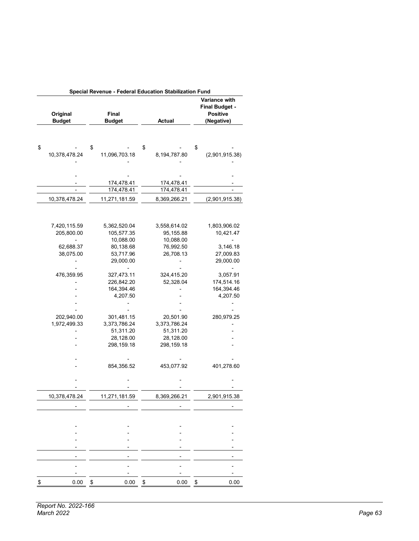|                     | Special Revenue - Federal Education Stabilization Fund |    |                           |                                                           |
|---------------------|--------------------------------------------------------|----|---------------------------|-----------------------------------------------------------|
| Original            | Final                                                  |    |                           | <b>Variance with</b><br>Final Budget -<br><b>Positive</b> |
| <b>Budget</b>       | <b>Budget</b>                                          |    | <b>Actual</b>             | (Negative)                                                |
|                     |                                                        |    |                           |                                                           |
| \$<br>10,378,478.24 | \$<br>11,096,703.18                                    | \$ | 8, 194, 787.80            | \$<br>(2,901,915.38)                                      |
|                     |                                                        |    |                           |                                                           |
|                     |                                                        |    |                           |                                                           |
| $\overline{a}$      | 174,478.41<br>174,478.41                               |    | 174,478.41<br>174,478.41  | $\overline{a}$                                            |
| 10,378,478.24       | 11,271,181.59                                          |    | 8,369,266.21              | (2,901,915.38)                                            |
|                     |                                                        |    |                           |                                                           |
| 7,420,115.59        | 5,362,520.04                                           |    | 3,558,614.02<br>95,155.88 | 1,803,906.02                                              |
| 205,800.00          | 105,577.35<br>10,088.00                                |    | 10,088.00                 | 10,421.47                                                 |
| 62,688.37           | 80,138.68                                              |    | 76,992.50                 | 3,146.18                                                  |
| 38,075.00           | 53,717.96                                              |    | 26,708.13                 | 27,009.83                                                 |
|                     | 29,000.00                                              |    |                           | 29,000.00                                                 |
| 476,359.95          | 327,473.11                                             |    | 324,415.20                | 3,057.91                                                  |
|                     | 226,842.20                                             |    | 52,328.04                 | 174,514.16                                                |
|                     | 164,394.46                                             |    |                           | 164,394.46                                                |
|                     | 4,207.50                                               |    |                           | 4,207.50                                                  |
|                     |                                                        |    |                           |                                                           |
|                     |                                                        |    |                           |                                                           |
| 202,940.00          | 301,481.15                                             |    | 20,501.90                 | 280,979.25                                                |
| 1,972,499.33        | 3,373,786.24                                           |    | 3,373,786.24              |                                                           |
|                     | 51,311.20                                              |    | 51,311.20                 |                                                           |
|                     | 28,128.00                                              |    | 28,128.00                 |                                                           |
|                     | 298,159.18                                             |    | 298,159.18                |                                                           |
|                     | 854,356.52                                             |    | 453,077.92                | 401,278.60                                                |
|                     |                                                        |    |                           |                                                           |
|                     |                                                        |    |                           |                                                           |
| 10,378,478.24       | 11,271,181.59                                          |    | 8,369,266.21              | 2,901,915.38                                              |
|                     |                                                        |    |                           |                                                           |
|                     |                                                        |    |                           |                                                           |
|                     |                                                        |    |                           |                                                           |
|                     |                                                        |    |                           |                                                           |
|                     |                                                        |    |                           |                                                           |
|                     |                                                        |    |                           |                                                           |
|                     |                                                        |    |                           |                                                           |
| \$<br>0.00          | \$<br>0.00                                             | \$ | 0.00                      | \$<br>0.00                                                |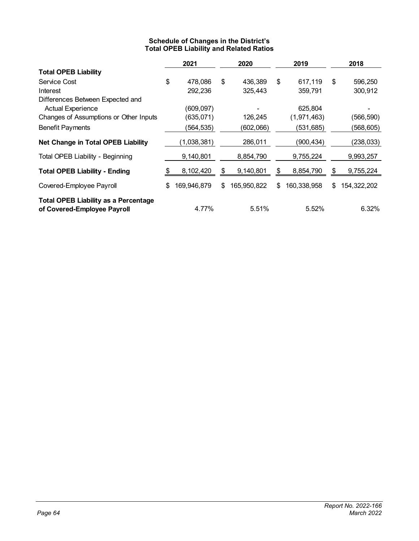#### **Schedule of Changes in the District's Total OPEB Liability and Related Ratios**

|                                                                            | 2021 |             | 2020              | 2019              | 2018 |             |
|----------------------------------------------------------------------------|------|-------------|-------------------|-------------------|------|-------------|
| <b>Total OPEB Liability</b>                                                |      |             |                   |                   |      |             |
| Service Cost                                                               | \$   | 478,086     | \$<br>436.389     | \$<br>617.119     | \$   | 596,250     |
| Interest                                                                   |      | 292,236     | 325,443           | 359,791           |      | 300,912     |
| Differences Between Expected and                                           |      |             |                   |                   |      |             |
| <b>Actual Experience</b>                                                   |      | (609, 097)  |                   | 625,804           |      |             |
| Changes of Assumptions or Other Inputs                                     |      | (635,071)   | 126,245           | (1,971,463)       |      | (566, 590)  |
| <b>Benefit Payments</b>                                                    |      | (564, 535)  | (602,066)         | (531, 685)        |      | (568, 605)  |
| Net Change in Total OPEB Liability                                         |      | (1,038,381) | 286,011           | (900,434)         |      | (238, 033)  |
| Total OPEB Liability - Beginning                                           |      | 9,140,801   | 8,854,790         | 9,755,224         |      | 9,993,257   |
| <b>Total OPEB Liability - Ending</b>                                       |      | 8,102,420   | \$<br>9,140,801   | \$<br>8,854,790   | \$   | 9,755,224   |
| Covered-Employee Payroll                                                   | \$   | 169,946,879 | \$<br>165,950,822 | \$<br>160,338,958 | \$   | 154,322,202 |
| <b>Total OPEB Liability as a Percentage</b><br>of Covered-Employee Payroll |      | 4.77%       | 5.51%             | 5.52%             |      | 6.32%       |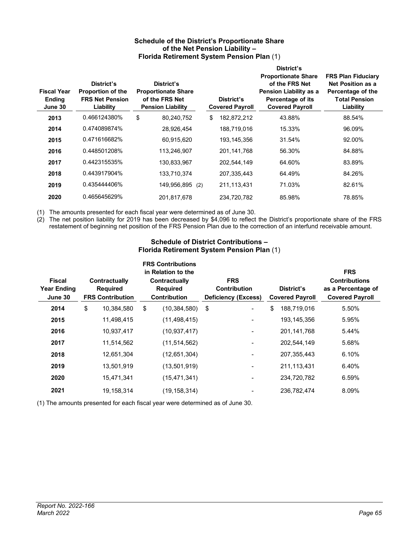#### **Schedule of the District's Proportionate Share of the Net Pension Liability – Florida Retirement System Pension Plan** (1)

| <b>Fiscal Year</b><br><b>Ending</b><br>June 30 | District's<br>Proportion of the<br><b>FRS Net Pension</b><br>Liability | District's<br><b>Proportionate Share</b><br>of the FRS Net<br><b>Pension Liability</b> | District's<br><b>Covered Payroll</b> | District's<br><b>Proportionate Share</b><br>of the FRS Net<br>Pension Liability as a<br>Percentage of its<br><b>Covered Payroll</b> | <b>FRS Plan Fiduciary</b><br><b>Net Position as a</b><br>Percentage of the<br><b>Total Pension</b><br>Liability |
|------------------------------------------------|------------------------------------------------------------------------|----------------------------------------------------------------------------------------|--------------------------------------|-------------------------------------------------------------------------------------------------------------------------------------|-----------------------------------------------------------------------------------------------------------------|
| 2013                                           | 0.466124380%                                                           | \$<br>80,240,752                                                                       | \$<br>182,872,212                    | 43.88%                                                                                                                              | 88.54%                                                                                                          |
| 2014                                           | 0.474089874%                                                           | 28,926,454                                                                             | 188,719,016                          | 15.33%                                                                                                                              | 96.09%                                                                                                          |
| 2015                                           | 0.471616682%                                                           | 60,915,620                                                                             | 193,145,356                          | 31.54%                                                                                                                              | 92.00%                                                                                                          |
| 2016                                           | 0.448501208%                                                           | 113,246,907                                                                            | 201,141,768                          | 56.30%                                                                                                                              | 84.88%                                                                                                          |
| 2017                                           | 0.442315535%                                                           | 130,833,967                                                                            | 202,544,149                          | 64.60%                                                                                                                              | 83.89%                                                                                                          |
| 2018                                           | 0.443917904%                                                           | 133,710,374                                                                            | 207, 335, 443                        | 64.49%                                                                                                                              | 84.26%                                                                                                          |
| 2019                                           | 0.435444406%                                                           | 149,956,895<br>(2)                                                                     | 211,113,431                          | 71.03%                                                                                                                              | 82.61%                                                                                                          |
| 2020                                           | 0.465645629%                                                           | 201,817,678                                                                            | 234,720,782                          | 85.98%                                                                                                                              | 78.85%                                                                                                          |

(1) The amounts presented for each fiscal year were determined as of June 30.

(2) The net position liability for 2019 has been decreased by \$4,096 to reflect the District's proportionate share of the FRS restatement of beginning net position of the FRS Pension Plan due to the correction of an interfund receivable amount.

#### **Schedule of District Contributions – Florida Retirement System Pension Plan** (1)

| <b>Fiscal</b><br><b>Year Ending</b><br>June 30 | Contractually<br><b>Required</b><br><b>FRS Contribution</b> | <b>FRS Contributions</b><br>in Relation to the<br>Contractually<br><b>Required</b><br><b>Contribution</b> | <b>FRS</b><br><b>Contribution</b><br><b>Deficiency (Excess)</b> | District's<br><b>Covered Payroll</b> | <b>FRS</b><br><b>Contributions</b><br>as a Percentage of<br><b>Covered Payroll</b> |
|------------------------------------------------|-------------------------------------------------------------|-----------------------------------------------------------------------------------------------------------|-----------------------------------------------------------------|--------------------------------------|------------------------------------------------------------------------------------|
| 2014                                           | \$<br>10,384,580                                            | \$<br>(10, 384, 580)                                                                                      | \$                                                              | \$<br>188,719,016                    | 5.50%                                                                              |
| 2015                                           | 11,498,415                                                  | (11, 498, 415)                                                                                            |                                                                 | 193,145,356                          | 5.95%                                                                              |
| 2016                                           | 10,937,417                                                  | (10, 937, 417)                                                                                            |                                                                 | 201,141,768                          | 5.44%                                                                              |
| 2017                                           | 11,514,562                                                  | (11, 514, 562)                                                                                            |                                                                 | 202,544,149                          | 5.68%                                                                              |
| 2018                                           | 12,651,304                                                  | (12, 651, 304)                                                                                            |                                                                 | 207, 355, 443                        | 6.10%                                                                              |
| 2019                                           | 13,501,919                                                  | (13,501,919)                                                                                              |                                                                 | 211,113,431                          | 6.40%                                                                              |
| 2020                                           | 15,471,341                                                  | (15, 471, 341)                                                                                            |                                                                 | 234,720,782                          | 6.59%                                                                              |
| 2021                                           | 19,158,314                                                  | (19, 158, 314)                                                                                            |                                                                 | 236,782,474                          | 8.09%                                                                              |

(1) The amounts presented for each fiscal year were determined as of June 30.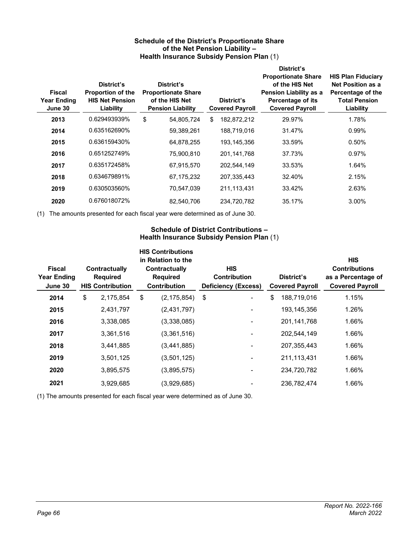#### **Schedule of the District's Proportionate Share of the Net Pension Liability – Health Insurance Subsidy Pension Plan** (1)

| <b>Fiscal</b><br><b>Year Ending</b> | District's<br><b>Proportion of the</b><br><b>HIS Net Pension</b> | District's<br><b>Proportionate Share</b><br>of the HIS Net | District's             | District's<br><b>Proportionate Share</b><br>of the HIS Net<br>Pension Liability as a<br>Percentage of its | <b>HIS Plan Fiduciary</b><br>Net Position as a<br>Percentage of the<br><b>Total Pension</b> |
|-------------------------------------|------------------------------------------------------------------|------------------------------------------------------------|------------------------|-----------------------------------------------------------------------------------------------------------|---------------------------------------------------------------------------------------------|
| June 30                             | Liability                                                        | <b>Pension Liability</b>                                   | <b>Covered Payroll</b> | <b>Covered Payroll</b>                                                                                    | Liability                                                                                   |
| 2013                                | 0.629493939%                                                     | \$<br>54,805,724                                           | 182,872,212<br>\$      | 29.97%                                                                                                    | 1.78%                                                                                       |
| 2014                                | 0.635162690%                                                     | 59,389,261                                                 | 188,719,016            | 31.47%                                                                                                    | 0.99%                                                                                       |
| 2015                                | 0.636159430%                                                     | 64,878,255                                                 | 193, 145, 356          | 33.59%                                                                                                    | 0.50%                                                                                       |
| 2016                                | 0.651252749%                                                     | 75,900,810                                                 | 201,141,768            | 37.73%                                                                                                    | 0.97%                                                                                       |
| 2017                                | 0.635172458%                                                     | 67,915,570                                                 | 202,544,149            | 33.53%                                                                                                    | 1.64%                                                                                       |
| 2018                                | 0.634679891%                                                     | 67,175,232                                                 | 207,335,443            | 32.40%                                                                                                    | 2.15%                                                                                       |
| 2019                                | 0.630503560%                                                     | 70,547,039                                                 | 211, 113, 431          | 33.42%                                                                                                    | 2.63%                                                                                       |
| 2020                                | 0.676018072%                                                     | 82,540,706                                                 | 234,720,782            | 35.17%                                                                                                    | 3.00%                                                                                       |
|                                     |                                                                  |                                                            |                        |                                                                                                           |                                                                                             |

(1) The amounts presented for each fiscal year were determined as of June 30.

#### **Schedule of District Contributions – Health Insurance Subsidy Pension Plan** (1)

| <b>Fiscal</b><br><b>Year Ending</b><br>June 30 | Contractually<br><b>Required</b><br><b>HIS Contribution</b> |           | <b>HIS Contributions</b><br>in Relation to the<br><b>Contractually</b><br><b>Required</b><br><b>Contribution</b> |               | <b>HIS</b><br><b>Contribution</b><br><b>Deficiency (Excess)</b> |  |    | District's<br><b>Covered Payroll</b> | <b>HIS</b><br><b>Contributions</b><br>as a Percentage of<br><b>Covered Payroll</b> |  |
|------------------------------------------------|-------------------------------------------------------------|-----------|------------------------------------------------------------------------------------------------------------------|---------------|-----------------------------------------------------------------|--|----|--------------------------------------|------------------------------------------------------------------------------------|--|
| 2014                                           | \$                                                          | 2,175,854 | \$                                                                                                               | (2, 175, 854) | \$                                                              |  | \$ | 188,719,016                          | 1.15%                                                                              |  |
| 2015                                           |                                                             | 2,431,797 |                                                                                                                  | (2,431,797)   |                                                                 |  |    | 193, 145, 356                        | 1.26%                                                                              |  |
| 2016                                           |                                                             | 3,338,085 |                                                                                                                  | (3,338,085)   |                                                                 |  |    | 201, 141, 768                        | 1.66%                                                                              |  |
| 2017                                           |                                                             | 3,361,516 |                                                                                                                  | (3,361,516)   |                                                                 |  |    | 202.544.149                          | 1.66%                                                                              |  |
| 2018                                           |                                                             | 3,441,885 |                                                                                                                  | (3,441,885)   |                                                                 |  |    | 207, 355, 443                        | 1.66%                                                                              |  |
| 2019                                           |                                                             | 3,501,125 |                                                                                                                  | (3,501,125)   |                                                                 |  |    | 211, 113, 431                        | 1.66%                                                                              |  |
| 2020                                           |                                                             | 3,895,575 |                                                                                                                  | (3,895,575)   |                                                                 |  |    | 234,720,782                          | 1.66%                                                                              |  |
| 2021                                           |                                                             | 3,929,685 |                                                                                                                  | (3,929,685)   |                                                                 |  |    | 236,782,474                          | 1.66%                                                                              |  |

(1) The amounts presented for each fiscal year were determined as of June 30.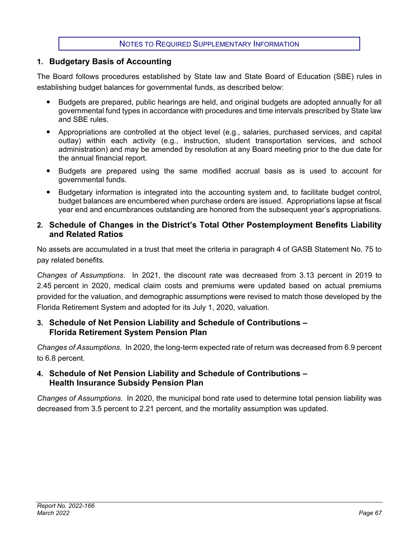#### NOTES TO REQUIRED SUPPLEMENTARY INFORMATION

#### **1. Budgetary Basis of Accounting**

The Board follows procedures established by State law and State Board of Education (SBE) rules in establishing budget balances for governmental funds, as described below:

- Budgets are prepared, public hearings are held, and original budgets are adopted annually for all governmental fund types in accordance with procedures and time intervals prescribed by State law and SBE rules.
- Appropriations are controlled at the object level (e.g., salaries, purchased services, and capital outlay) within each activity (e.g., instruction, student transportation services, and school administration) and may be amended by resolution at any Board meeting prior to the due date for the annual financial report.
- Budgets are prepared using the same modified accrual basis as is used to account for governmental funds.
- Budgetary information is integrated into the accounting system and, to facilitate budget control, budget balances are encumbered when purchase orders are issued. Appropriations lapse at fiscal year end and encumbrances outstanding are honored from the subsequent year's appropriations.

#### **2. Schedule of Changes in the District's Total Other Postemployment Benefits Liability and Related Ratios**

No assets are accumulated in a trust that meet the criteria in paragraph 4 of GASB Statement No. 75 to pay related benefits.

*Changes of Assumptions*. In 2021, the discount rate was decreased from 3.13 percent in 2019 to 2.45 percent in 2020, medical claim costs and premiums were updated based on actual premiums provided for the valuation, and demographic assumptions were revised to match those developed by the Florida Retirement System and adopted for its July 1, 2020, valuation.

#### **3. Schedule of Net Pension Liability and Schedule of Contributions – Florida Retirement System Pension Plan**

*Changes of Assumptions.* In 2020, the long-term expected rate of return was decreased from 6.9 percent to 6.8 percent.

#### **4. Schedule of Net Pension Liability and Schedule of Contributions – Health Insurance Subsidy Pension Plan**

*Changes of Assumptions.* In 2020, the municipal bond rate used to determine total pension liability was decreased from 3.5 percent to 2.21 percent, and the mortality assumption was updated.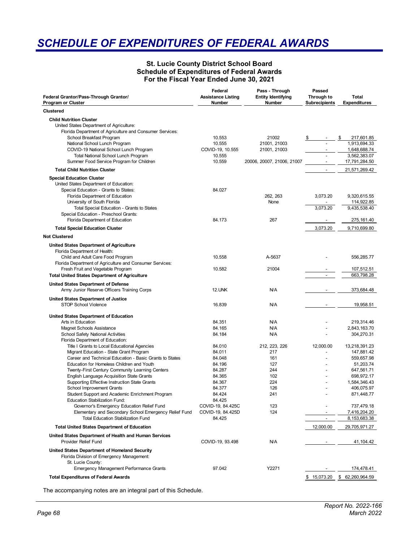## *SCHEDULE OF EXPENDITURES OF FEDERAL AWARDS*

#### **St. Lucie County District School Board Schedule of Expenditures of Federal Awards For the Fiscal Year Ended June 30, 2021**

| Federal Grantor/Pass-Through Grantor/<br><b>Program or Cluster</b>                                                                                                                                                                                                                                                                                                                                                                                                                                                                                                                                                                                                                                                                                                                                                    | Federal<br><b>Assistance Listing</b><br>Number                                                                                                                                     | Pass - Through<br><b>Entity Identifying</b><br>Number                                                                  | Passed<br>Through to<br><b>Subrecipients</b> | Total<br><b>Expenditures</b>                                                                                                                                                                                             |
|-----------------------------------------------------------------------------------------------------------------------------------------------------------------------------------------------------------------------------------------------------------------------------------------------------------------------------------------------------------------------------------------------------------------------------------------------------------------------------------------------------------------------------------------------------------------------------------------------------------------------------------------------------------------------------------------------------------------------------------------------------------------------------------------------------------------------|------------------------------------------------------------------------------------------------------------------------------------------------------------------------------------|------------------------------------------------------------------------------------------------------------------------|----------------------------------------------|--------------------------------------------------------------------------------------------------------------------------------------------------------------------------------------------------------------------------|
| <b>Clustered</b>                                                                                                                                                                                                                                                                                                                                                                                                                                                                                                                                                                                                                                                                                                                                                                                                      |                                                                                                                                                                                    |                                                                                                                        |                                              |                                                                                                                                                                                                                          |
| <b>Child Nutrition Cluster</b><br>United States Department of Agriculture:<br>Florida Department of Agriculture and Consumer Services:<br>School Breakfast Program<br>National School Lunch Program<br>COVID-19 National School Lunch Program<br><b>Total National School Lunch Program</b><br>Summer Food Service Program for Children                                                                                                                                                                                                                                                                                                                                                                                                                                                                               | 10.553<br>10.555<br>COVID-19, 10.555<br>10.555<br>10.559                                                                                                                           | 21002<br>21001, 21003<br>21001, 21003<br>20006, 20007, 21006, 21007                                                    | $\frac{1}{2}$                                | \$<br>217,601.85<br>1,913,694.33<br>1,648,688.74<br>3,562,383.07<br>17,791,284.50                                                                                                                                        |
| <b>Total Child Nutrition Cluster</b>                                                                                                                                                                                                                                                                                                                                                                                                                                                                                                                                                                                                                                                                                                                                                                                  |                                                                                                                                                                                    |                                                                                                                        | $\overline{\phantom{a}}$                     | 21,571,269.42                                                                                                                                                                                                            |
| <b>Special Education Cluster</b><br>United States Department of Education:<br>Special Education - Grants to States:<br>Florida Department of Education<br>University of South Florida                                                                                                                                                                                                                                                                                                                                                                                                                                                                                                                                                                                                                                 | 84.027                                                                                                                                                                             | 262, 263<br>None                                                                                                       | 3,073.20                                     | 9,320,615.55<br>114,922.85                                                                                                                                                                                               |
| Total Special Education - Grants to States<br>Special Education - Preschool Grants:<br>Florida Department of Education                                                                                                                                                                                                                                                                                                                                                                                                                                                                                                                                                                                                                                                                                                | 84.173                                                                                                                                                                             | 267                                                                                                                    | 3,073.20                                     | 9,435,538.40<br>275, 161.40                                                                                                                                                                                              |
| <b>Total Special Education Cluster</b>                                                                                                                                                                                                                                                                                                                                                                                                                                                                                                                                                                                                                                                                                                                                                                                |                                                                                                                                                                                    |                                                                                                                        | 3,073.20                                     | 9,710,699.80                                                                                                                                                                                                             |
| <b>Not Clustered</b>                                                                                                                                                                                                                                                                                                                                                                                                                                                                                                                                                                                                                                                                                                                                                                                                  |                                                                                                                                                                                    |                                                                                                                        |                                              |                                                                                                                                                                                                                          |
| <b>United States Department of Agriculture</b><br>Florida Department of Health:                                                                                                                                                                                                                                                                                                                                                                                                                                                                                                                                                                                                                                                                                                                                       |                                                                                                                                                                                    |                                                                                                                        |                                              |                                                                                                                                                                                                                          |
| Child and Adult Care Food Program<br>Florida Department of Agriculture and Consumer Services:<br>Fresh Fruit and Vegetable Program                                                                                                                                                                                                                                                                                                                                                                                                                                                                                                                                                                                                                                                                                    | 10.558<br>10.582                                                                                                                                                                   | A-5637<br>21004                                                                                                        | $\overline{\phantom{a}}$                     | 556,285.77<br>107,512.51                                                                                                                                                                                                 |
| <b>Total United States Department of Agriculture</b>                                                                                                                                                                                                                                                                                                                                                                                                                                                                                                                                                                                                                                                                                                                                                                  |                                                                                                                                                                                    |                                                                                                                        | $\overline{\phantom{a}}$                     | 663,798.28                                                                                                                                                                                                               |
| <b>United States Department of Defense</b><br>Army Junior Reserve Officers Training Corps                                                                                                                                                                                                                                                                                                                                                                                                                                                                                                                                                                                                                                                                                                                             | 12.UNK                                                                                                                                                                             | N/A                                                                                                                    |                                              | 373,684.48                                                                                                                                                                                                               |
| United States Department of Justice<br><b>STOP School Violence</b>                                                                                                                                                                                                                                                                                                                                                                                                                                                                                                                                                                                                                                                                                                                                                    | 16.839                                                                                                                                                                             | N/A                                                                                                                    |                                              | 19,958.51                                                                                                                                                                                                                |
| <b>United States Department of Education</b><br>Arts in Education<br><b>Magnet Schools Assistance</b><br><b>School Safety National Activities</b><br>Florida Department of Education:<br>Title I Grants to Local Educational Agencies<br>Migrant Education - State Grant Program<br>Career and Technical Education - Basic Grants to States<br>Education for Homeless Children and Youth<br>Twenty-First Century Community Learning Centers<br>English Language Acquisition State Grants<br>Supporting Effective Instruction State Grants<br>School Improvement Grants<br>Student Support and Academic Enrichment Program<br><b>Education Stabilization Fund:</b><br>Governor's Emergency Education Relief Fund<br>Elementary and Secondary School Emergency Relief Fund<br><b>Total Education Stabilization Fund</b> | 84.351<br>84.165<br>84.184<br>84.010<br>84.011<br>84.048<br>84.196<br>84.287<br>84.365<br>84.367<br>84.377<br>84.424<br>84.425<br>COVID-19, 84.425C<br>COVID-19, 84.425D<br>84.425 | <b>N/A</b><br><b>N/A</b><br>N/A<br>212, 223, 226<br>217<br>161<br>127<br>244<br>102<br>224<br>126<br>241<br>123<br>124 | 12,000.00<br>$\overline{\phantom{0}}$        | 219,314.46<br>2,843,163.70<br>304,270.31<br>13,218,391.23<br>147,881.42<br>559,657.98<br>51,203.74<br>647,561.71<br>698,972.17<br>1,584,346.43<br>406,075.97<br>871,448.77<br>737,479.18<br>7,416,204.20<br>8,153,683.38 |
| <b>Total United States Department of Education</b>                                                                                                                                                                                                                                                                                                                                                                                                                                                                                                                                                                                                                                                                                                                                                                    |                                                                                                                                                                                    |                                                                                                                        | 12,000.00                                    | 29,705,971.27                                                                                                                                                                                                            |
| United States Department of Health and Human Services<br><b>Provider Relief Fund</b>                                                                                                                                                                                                                                                                                                                                                                                                                                                                                                                                                                                                                                                                                                                                  | COVID-19, 93.498                                                                                                                                                                   | N/A                                                                                                                    | $\overline{\phantom{a}}$                     | 41,104.42                                                                                                                                                                                                                |
| United States Department of Homeland Security<br>Florida Division of Emergency Management:<br>St. Lucie County:<br><b>Emergency Management Performance Grants</b>                                                                                                                                                                                                                                                                                                                                                                                                                                                                                                                                                                                                                                                     | 97.042                                                                                                                                                                             | Y2271                                                                                                                  |                                              | 174,478.41                                                                                                                                                                                                               |
| <b>Total Expenditures of Federal Awards</b>                                                                                                                                                                                                                                                                                                                                                                                                                                                                                                                                                                                                                                                                                                                                                                           |                                                                                                                                                                                    |                                                                                                                        |                                              | \$15,073.20 \$62,260,964.59                                                                                                                                                                                              |

The accompanying notes are an integral part of this Schedule.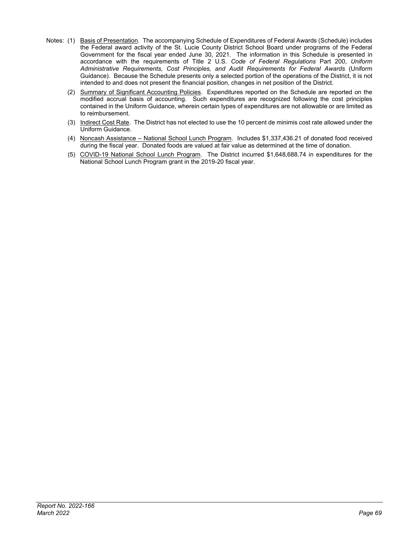- Notes: (1) Basis of Presentation. The accompanying Schedule of Expenditures of Federal Awards (Schedule) includes the Federal award activity of the St. Lucie County District School Board under programs of the Federal Government for the fiscal year ended June 30, 2021. The information in this Schedule is presented in accordance with the requirements of Title 2 U.S. *Code of Federal Regulations* Part 200, *Uniform Administrative Requirements, Cost Principles, and Audit Requirements for Federal Awards* (Uniform Guidance). Because the Schedule presents only a selected portion of the operations of the District, it is not intended to and does not present the financial position, changes in net position of the District.
	- (2) Summary of Significant Accounting Policies. Expenditures reported on the Schedule are reported on the modified accrual basis of accounting. Such expenditures are recognized following the cost principles contained in the Uniform Guidance, wherein certain types of expenditures are not allowable or are limited as to reimbursement.
	- (3) Indirect Cost Rate. The District has not elected to use the 10 percent de minimis cost rate allowed under the Uniform Guidance.
	- (4) Noncash Assistance National School Lunch Program. Includes \$1,337,436.21 of donated food received during the fiscal year. Donated foods are valued at fair value as determined at the time of donation.
	- (5) COVID-19 National School Lunch Program. The District incurred \$1,648,688.74 in expenditures for the National School Lunch Program grant in the 2019-20 fiscal year.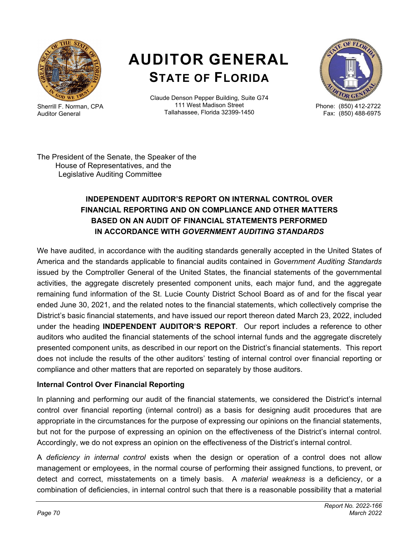

Sherrill F. Norman, CPA Auditor General

# **AUDITOR GENERAL STATE OF FLORIDA**

Claude Denson Pepper Building, Suite G74 111 West Madison Street Tallahassee, Florida 32399-1450



Phone: (850) 412-2722 Fax: (850) 488-6975

The President of the Senate, the Speaker of the House of Representatives, and the Legislative Auditing Committee

### **INDEPENDENT AUDITOR'S REPORT ON INTERNAL CONTROL OVER FINANCIAL REPORTING AND ON COMPLIANCE AND OTHER MATTERS BASED ON AN AUDIT OF FINANCIAL STATEMENTS PERFORMED IN ACCORDANCE WITH** *GOVERNMENT AUDITING STANDARDS*

We have audited, in accordance with the auditing standards generally accepted in the United States of America and the standards applicable to financial audits contained in *Government Auditing Standards* issued by the Comptroller General of the United States, the financial statements of the governmental activities, the aggregate discretely presented component units, each major fund, and the aggregate remaining fund information of the St. Lucie County District School Board as of and for the fiscal year ended June 30, 2021, and the related notes to the financial statements, which collectively comprise the District's basic financial statements, and have issued our report thereon dated March 23, 2022, included under the heading **INDEPENDENT AUDITOR'S REPORT**. Our report includes a reference to other auditors who audited the financial statements of the school internal funds and the aggregate discretely presented component units, as described in our report on the District's financial statements. This report does not include the results of the other auditors' testing of internal control over financial reporting or compliance and other matters that are reported on separately by those auditors.

#### **Internal Control Over Financial Reporting**

In planning and performing our audit of the financial statements, we considered the District's internal control over financial reporting (internal control) as a basis for designing audit procedures that are appropriate in the circumstances for the purpose of expressing our opinions on the financial statements, but not for the purpose of expressing an opinion on the effectiveness of the District's internal control. Accordingly, we do not express an opinion on the effectiveness of the District's internal control.

A *deficiency in internal control* exists when the design or operation of a control does not allow management or employees, in the normal course of performing their assigned functions, to prevent, or detect and correct, misstatements on a timely basis. A *material weakness* is a deficiency, or a combination of deficiencies, in internal control such that there is a reasonable possibility that a material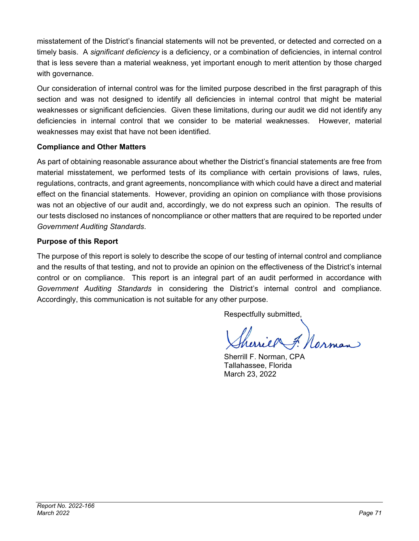misstatement of the District's financial statements will not be prevented, or detected and corrected on a timely basis. A *significant deficiency* is a deficiency, or a combination of deficiencies, in internal control that is less severe than a material weakness, yet important enough to merit attention by those charged with governance.

Our consideration of internal control was for the limited purpose described in the first paragraph of this section and was not designed to identify all deficiencies in internal control that might be material weaknesses or significant deficiencies. Given these limitations, during our audit we did not identify any deficiencies in internal control that we consider to be material weaknesses. However, material weaknesses may exist that have not been identified.

#### **Compliance and Other Matters**

As part of obtaining reasonable assurance about whether the District's financial statements are free from material misstatement, we performed tests of its compliance with certain provisions of laws, rules, regulations, contracts, and grant agreements, noncompliance with which could have a direct and material effect on the financial statements. However, providing an opinion on compliance with those provisions was not an objective of our audit and, accordingly, we do not express such an opinion. The results of our tests disclosed no instances of noncompliance or other matters that are required to be reported under *Government Auditing Standards*.

#### **Purpose of this Report**

The purpose of this report is solely to describe the scope of our testing of internal control and compliance and the results of that testing, and not to provide an opinion on the effectiveness of the District's internal control or on compliance. This report is an integral part of an audit performed in accordance with *Government Auditing Standards* in considering the District's internal control and compliance. Accordingly, this communication is not suitable for any other purpose.

Respectfully submitted,

Sherrill F. Norman, CPA Tallahassee, Florida March 23, 2022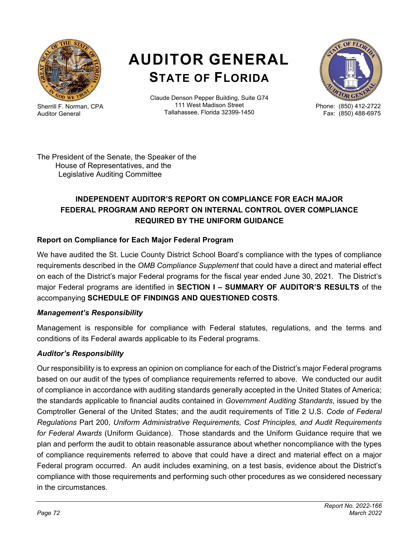

Sherrill F. Norman, CPA Auditor General

# **AUDITOR GENERAL STATE OF FLORIDA**

Claude Denson Pepper Building, Suite G74 111 West Madison Street Tallahassee, Florida 32399-1450



Phone: (850) 412-2722 Fax: (850) 488-6975

The President of the Senate, the Speaker of the House of Representatives, and the Legislative Auditing Committee

### **INDEPENDENT AUDITOR'S REPORT ON COMPLIANCE FOR EACH MAJOR FEDERAL PROGRAM AND REPORT ON INTERNAL CONTROL OVER COMPLIANCE REQUIRED BY THE UNIFORM GUIDANCE**

#### **Report on Compliance for Each Major Federal Program**

We have audited the St. Lucie County District School Board's compliance with the types of compliance requirements described in the *OMB Compliance Supplement* that could have a direct and material effect on each of the District's major Federal programs for the fiscal year ended June 30, 2021. The District's major Federal programs are identified in **SECTION I – SUMMARY OF AUDITOR'S RESULTS** of the accompanying **SCHEDULE OF FINDINGS AND QUESTIONED COSTS**.

#### *Management's Responsibility*

Management is responsible for compliance with Federal statutes, regulations, and the terms and conditions of its Federal awards applicable to its Federal programs.

#### *Auditor's Responsibility*

Our responsibility is to express an opinion on compliance for each of the District's major Federal programs based on our audit of the types of compliance requirements referred to above. We conducted our audit of compliance in accordance with auditing standards generally accepted in the United States of America; the standards applicable to financial audits contained in *Government Auditing Standards*, issued by the Comptroller General of the United States; and the audit requirements of Title 2 U.S. *Code of Federal Regulations* Part 200, *Uniform Administrative Requirements, Cost Principles, and Audit Requirements for Federal Awards* (Uniform Guidance). Those standards and the Uniform Guidance require that we plan and perform the audit to obtain reasonable assurance about whether noncompliance with the types of compliance requirements referred to above that could have a direct and material effect on a major Federal program occurred. An audit includes examining, on a test basis, evidence about the District's compliance with those requirements and performing such other procedures as we considered necessary in the circumstances.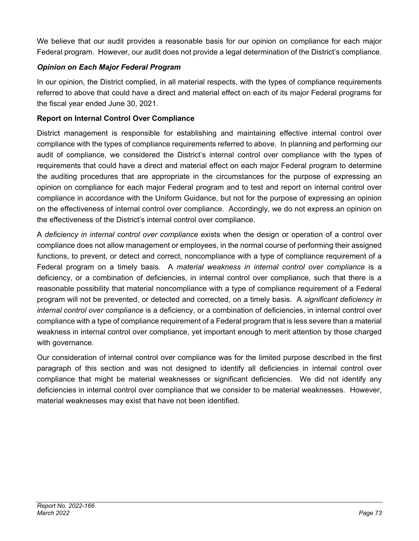We believe that our audit provides a reasonable basis for our opinion on compliance for each major Federal program. However, our audit does not provide a legal determination of the District's compliance.

#### *Opinion on Each Major Federal Program*

In our opinion, the District complied, in all material respects, with the types of compliance requirements referred to above that could have a direct and material effect on each of its major Federal programs for the fiscal year ended June 30, 2021.

#### **Report on Internal Control Over Compliance**

District management is responsible for establishing and maintaining effective internal control over compliance with the types of compliance requirements referred to above. In planning and performing our audit of compliance, we considered the District's internal control over compliance with the types of requirements that could have a direct and material effect on each major Federal program to determine the auditing procedures that are appropriate in the circumstances for the purpose of expressing an opinion on compliance for each major Federal program and to test and report on internal control over compliance in accordance with the Uniform Guidance, but not for the purpose of expressing an opinion on the effectiveness of internal control over compliance. Accordingly, we do not express an opinion on the effectiveness of the District's internal control over compliance.

A *deficiency in internal control over compliance* exists when the design or operation of a control over compliance does not allow management or employees, in the normal course of performing their assigned functions, to prevent, or detect and correct, noncompliance with a type of compliance requirement of a Federal program on a timely basis. A *material weakness in internal control over compliance* is a deficiency, or a combination of deficiencies, in internal control over compliance, such that there is a reasonable possibility that material noncompliance with a type of compliance requirement of a Federal program will not be prevented, or detected and corrected, on a timely basis. A *significant deficiency in internal control over compliance* is a deficiency, or a combination of deficiencies, in internal control over compliance with a type of compliance requirement of a Federal program that is less severe than a material weakness in internal control over compliance, yet important enough to merit attention by those charged with governance.

Our consideration of internal control over compliance was for the limited purpose described in the first paragraph of this section and was not designed to identify all deficiencies in internal control over compliance that might be material weaknesses or significant deficiencies. We did not identify any deficiencies in internal control over compliance that we consider to be material weaknesses. However, material weaknesses may exist that have not been identified.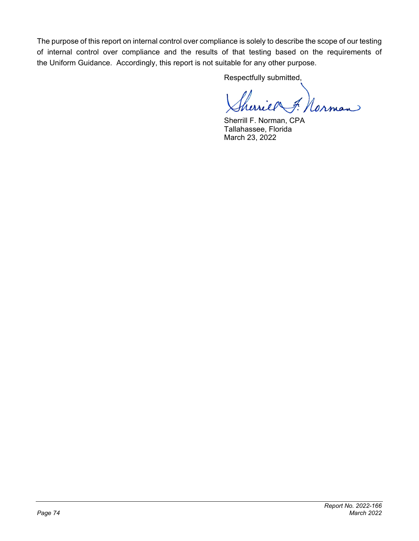The purpose of this report on internal control over compliance is solely to describe the scope of our testing of internal control over compliance and the results of that testing based on the requirements of the Uniform Guidance. Accordingly, this report is not suitable for any other purpose.

Respectfully submitted,

F. Norman

Sherrill F. Norman, CPA Tallahassee, Florida March 23, 2022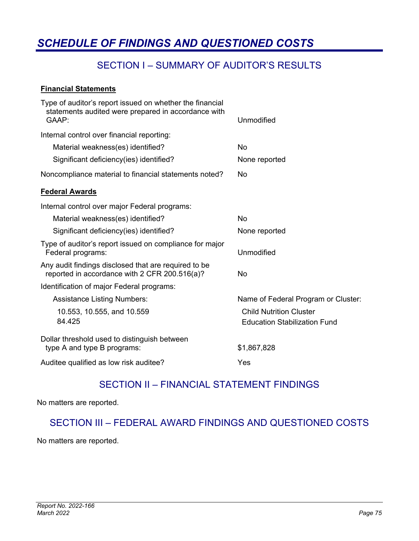# *SCHEDULE OF FINDINGS AND QUESTIONED COSTS*

## SECTION I – SUMMARY OF AUDITOR'S RESULTS

#### **Financial Statements**

| Type of auditor's report issued on whether the financial<br>statements audited were prepared in accordance with<br>GAAP: | Unmodified                          |  |  |
|--------------------------------------------------------------------------------------------------------------------------|-------------------------------------|--|--|
| Internal control over financial reporting:                                                                               |                                     |  |  |
| Material weakness(es) identified?                                                                                        | No                                  |  |  |
| Significant deficiency(ies) identified?                                                                                  | None reported                       |  |  |
| Noncompliance material to financial statements noted?                                                                    | No                                  |  |  |
| <b>Federal Awards</b>                                                                                                    |                                     |  |  |
| Internal control over major Federal programs:                                                                            |                                     |  |  |
| Material weakness(es) identified?                                                                                        | No                                  |  |  |
| Significant deficiency(ies) identified?                                                                                  | None reported                       |  |  |
| Type of auditor's report issued on compliance for major<br>Federal programs:                                             | Unmodified                          |  |  |
| Any audit findings disclosed that are required to be<br>reported in accordance with 2 CFR 200.516(a)?                    | No                                  |  |  |
| Identification of major Federal programs:                                                                                |                                     |  |  |
| <b>Assistance Listing Numbers:</b>                                                                                       | Name of Federal Program or Cluster: |  |  |
| 10.553, 10.555, and 10.559                                                                                               | <b>Child Nutrition Cluster</b>      |  |  |
| 84.425                                                                                                                   | <b>Education Stabilization Fund</b> |  |  |
| Dollar threshold used to distinguish between<br>type A and type B programs:                                              | \$1,867,828                         |  |  |
| Auditee qualified as low risk auditee?                                                                                   | Yes                                 |  |  |

## SECTION II – FINANCIAL STATEMENT FINDINGS

No matters are reported.

## SECTION III – FEDERAL AWARD FINDINGS AND QUESTIONED COSTS

No matters are reported.